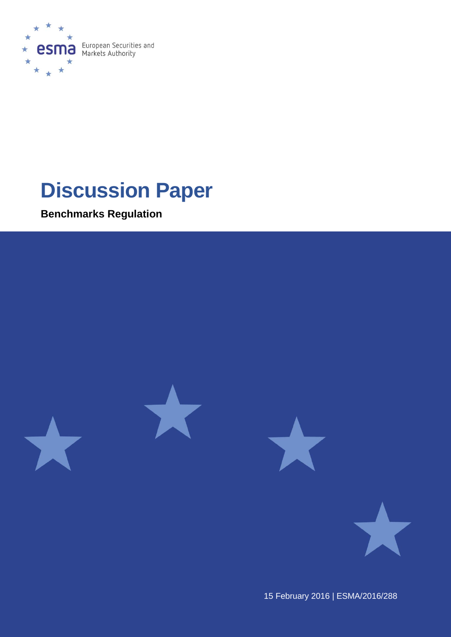

# **Discussion Paper**

**Benchmarks Regulation**



15 February 2016 | ESMA/2016/288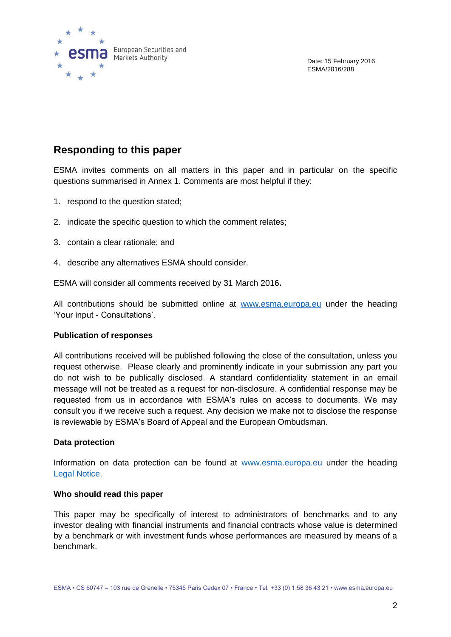

Date: 15 February 2016 ESMA/2016/288

### **Responding to this paper**

ESMA invites comments on all matters in this paper and in particular on the specific questions summarised in Annex 1. Comments are most helpful if they:

- 1. respond to the question stated;
- 2. indicate the specific question to which the comment relates;
- 3. contain a clear rationale; and
- 4. describe any alternatives ESMA should consider.

ESMA will consider all comments received by 31 March 2016**.**

All contributions should be submitted online at [www.esma.europa.eu](http://www.esma.europa.eu/) under the heading 'Your input - Consultations'.

#### **Publication of responses**

All contributions received will be published following the close of the consultation, unless you request otherwise. Please clearly and prominently indicate in your submission any part you do not wish to be publically disclosed. A standard confidentiality statement in an email message will not be treated as a request for non-disclosure. A confidential response may be requested from us in accordance with ESMA's rules on access to documents. We may consult you if we receive such a request. Any decision we make not to disclose the response is reviewable by ESMA's Board of Appeal and the European Ombudsman.

#### **Data protection**

Information on data protection can be found at [www.esma.europa.eu](http://www.esma.europa.eu/) under the heading [Legal Notice.](http://www.esma.europa.eu/legal-notice)

#### **Who should read this paper**

This paper may be specifically of interest to administrators of benchmarks and to any investor dealing with financial instruments and financial contracts whose value is determined by a benchmark or with investment funds whose performances are measured by means of a benchmark.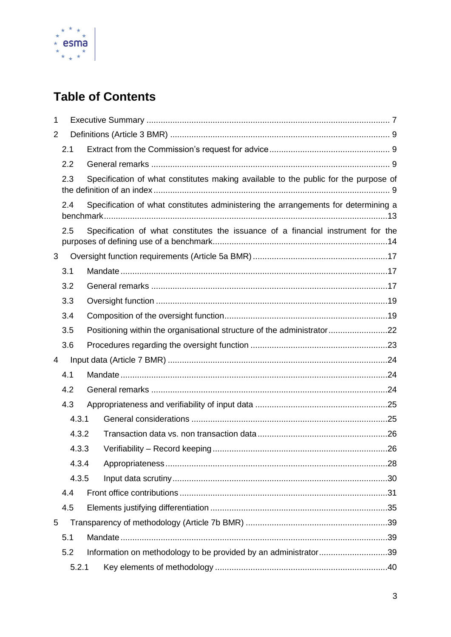

# **Table of Contents**

| 1 |                                                                                           |                                                                                     |  |  |  |
|---|-------------------------------------------------------------------------------------------|-------------------------------------------------------------------------------------|--|--|--|
| 2 |                                                                                           |                                                                                     |  |  |  |
|   | 2.1                                                                                       |                                                                                     |  |  |  |
|   | 2.2                                                                                       |                                                                                     |  |  |  |
|   | 2.3                                                                                       | Specification of what constitutes making available to the public for the purpose of |  |  |  |
|   | Specification of what constitutes administering the arrangements for determining a<br>2.4 |                                                                                     |  |  |  |
|   | 2.5                                                                                       | Specification of what constitutes the issuance of a financial instrument for the    |  |  |  |
| 3 |                                                                                           |                                                                                     |  |  |  |
|   | 3.1                                                                                       |                                                                                     |  |  |  |
|   | 3.2                                                                                       |                                                                                     |  |  |  |
|   | 3.3                                                                                       |                                                                                     |  |  |  |
|   | 3.4                                                                                       |                                                                                     |  |  |  |
|   | 3.5                                                                                       | Positioning within the organisational structure of the administrator22              |  |  |  |
|   | 3.6                                                                                       |                                                                                     |  |  |  |
| 4 |                                                                                           |                                                                                     |  |  |  |
|   | 4.1                                                                                       |                                                                                     |  |  |  |
|   | 4.2                                                                                       |                                                                                     |  |  |  |
|   | 4.3                                                                                       |                                                                                     |  |  |  |
|   | 4.3.1                                                                                     |                                                                                     |  |  |  |
|   | 4.3.2                                                                                     |                                                                                     |  |  |  |
|   | 4.3.3                                                                                     |                                                                                     |  |  |  |
|   | 4.3.4                                                                                     |                                                                                     |  |  |  |
|   | 4.3.5                                                                                     |                                                                                     |  |  |  |
|   | 4.4                                                                                       |                                                                                     |  |  |  |
|   | 4.5                                                                                       |                                                                                     |  |  |  |
| 5 |                                                                                           |                                                                                     |  |  |  |
|   | 5.1                                                                                       |                                                                                     |  |  |  |
|   | 5.2                                                                                       | Information on methodology to be provided by an administrator39                     |  |  |  |
|   | 5.2.1                                                                                     |                                                                                     |  |  |  |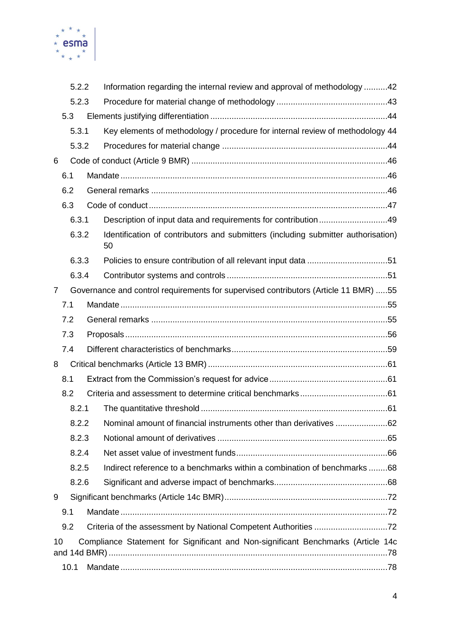

|                                                                                        | 5.2.2 |  | Information regarding the internal review and approval of methodology 42                |  |  |  |  |
|----------------------------------------------------------------------------------------|-------|--|-----------------------------------------------------------------------------------------|--|--|--|--|
|                                                                                        | 5.2.3 |  |                                                                                         |  |  |  |  |
|                                                                                        | 5.3   |  |                                                                                         |  |  |  |  |
|                                                                                        | 5.3.1 |  | Key elements of methodology / procedure for internal review of methodology 44           |  |  |  |  |
| 5.3.2                                                                                  |       |  |                                                                                         |  |  |  |  |
| 6                                                                                      |       |  |                                                                                         |  |  |  |  |
|                                                                                        | 6.1   |  |                                                                                         |  |  |  |  |
|                                                                                        | 6.2   |  |                                                                                         |  |  |  |  |
|                                                                                        | 6.3   |  |                                                                                         |  |  |  |  |
|                                                                                        | 6.3.1 |  | Description of input data and requirements for contribution49                           |  |  |  |  |
|                                                                                        | 6.3.2 |  | Identification of contributors and submitters (including submitter authorisation)<br>50 |  |  |  |  |
|                                                                                        | 6.3.3 |  |                                                                                         |  |  |  |  |
|                                                                                        | 6.3.4 |  |                                                                                         |  |  |  |  |
| 7                                                                                      |       |  | Governance and control requirements for supervised contributors (Article 11 BMR) 55     |  |  |  |  |
|                                                                                        | 7.1   |  |                                                                                         |  |  |  |  |
|                                                                                        | 7.2   |  |                                                                                         |  |  |  |  |
|                                                                                        | 7.3   |  |                                                                                         |  |  |  |  |
|                                                                                        | 7.4   |  |                                                                                         |  |  |  |  |
| 8                                                                                      |       |  |                                                                                         |  |  |  |  |
|                                                                                        | 8.1   |  |                                                                                         |  |  |  |  |
|                                                                                        | 8.2   |  |                                                                                         |  |  |  |  |
|                                                                                        | 8.2.1 |  |                                                                                         |  |  |  |  |
| 8.2.2                                                                                  |       |  | Nominal amount of financial instruments other than derivatives 62                       |  |  |  |  |
|                                                                                        | 8.2.3 |  |                                                                                         |  |  |  |  |
|                                                                                        | 8.2.4 |  |                                                                                         |  |  |  |  |
|                                                                                        | 8.2.5 |  | Indirect reference to a benchmarks within a combination of benchmarks 68                |  |  |  |  |
|                                                                                        | 8.2.6 |  |                                                                                         |  |  |  |  |
| 9                                                                                      |       |  |                                                                                         |  |  |  |  |
|                                                                                        | 9.1   |  |                                                                                         |  |  |  |  |
|                                                                                        | 9.2   |  |                                                                                         |  |  |  |  |
| 10<br>Compliance Statement for Significant and Non-significant Benchmarks (Article 14c |       |  |                                                                                         |  |  |  |  |
| 10.1                                                                                   |       |  |                                                                                         |  |  |  |  |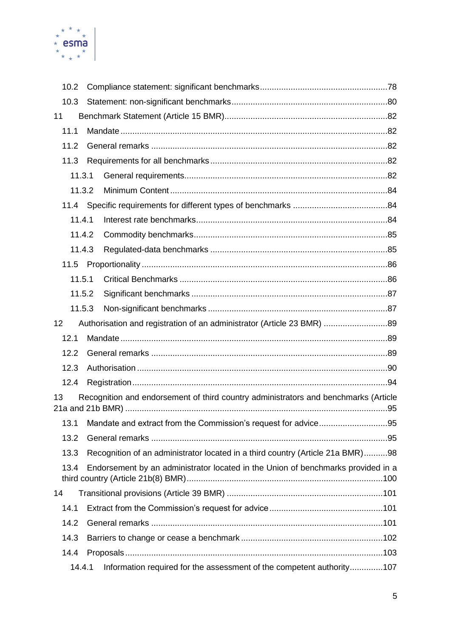

| 10.2   |                                                                                     |  |
|--------|-------------------------------------------------------------------------------------|--|
| 10.3   |                                                                                     |  |
| 11     |                                                                                     |  |
| 11.1   |                                                                                     |  |
| 11.2   |                                                                                     |  |
| 11.3   |                                                                                     |  |
| 11.3.1 |                                                                                     |  |
| 11.3.2 |                                                                                     |  |
| 11.4   |                                                                                     |  |
| 11.4.1 |                                                                                     |  |
| 11.4.2 |                                                                                     |  |
| 11.4.3 |                                                                                     |  |
| 11.5   |                                                                                     |  |
| 11.5.1 |                                                                                     |  |
| 11.5.2 |                                                                                     |  |
| 11.5.3 |                                                                                     |  |
| 12     | Authorisation and registration of an administrator (Article 23 BMR) 89              |  |
|        |                                                                                     |  |
| 12.1   |                                                                                     |  |
| 12.2   |                                                                                     |  |
| 12.3   |                                                                                     |  |
| 12.4   |                                                                                     |  |
| 13     | Recognition and endorsement of third country administrators and benchmarks (Article |  |
| 13.1   |                                                                                     |  |
| 13.2   |                                                                                     |  |
| 13.3   | Recognition of an administrator located in a third country (Article 21a BMR)98      |  |
| 13.4   | Endorsement by an administrator located in the Union of benchmarks provided in a    |  |
| 14     |                                                                                     |  |
| 14.1   |                                                                                     |  |
| 14.2   |                                                                                     |  |
| 14.3   |                                                                                     |  |
| 14.4   |                                                                                     |  |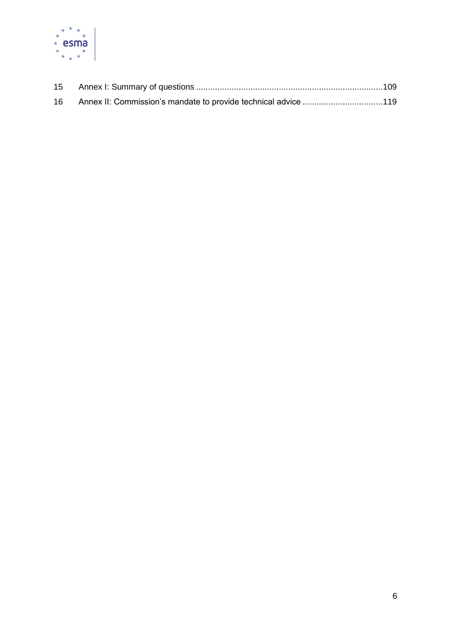

| 16 | Annex II: Commission's mandate to provide technical advice 119 |  |
|----|----------------------------------------------------------------|--|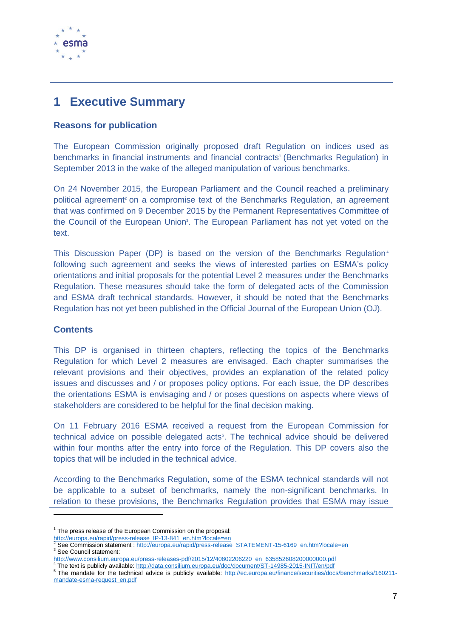

### <span id="page-6-0"></span>**1 Executive Summary**

### **Reasons for publication**

The European Commission originally proposed draft Regulation on indices used as benchmarks in financial instruments and financial contracts<sup>1</sup> (Benchmarks Regulation) in September 2013 in the wake of the alleged manipulation of various benchmarks.

On 24 November 2015, the European Parliament and the Council reached a preliminary political agreement<sup>2</sup> on a compromise text of the Benchmarks Regulation, an agreement that was confirmed on 9 December 2015 by the Permanent Representatives Committee of the Council of the European Union<sup>3</sup>. The European Parliament has not yet voted on the text.

This Discussion Paper (DP) is based on the version of the Benchmarks Regulation<sup>4</sup> following such agreement and seeks the views of interested parties on ESMA's policy orientations and initial proposals for the potential Level 2 measures under the Benchmarks Regulation. These measures should take the form of delegated acts of the Commission and ESMA draft technical standards. However, it should be noted that the Benchmarks Regulation has not yet been published in the Official Journal of the European Union (OJ).

#### **Contents**

1

This DP is organised in thirteen chapters, reflecting the topics of the Benchmarks Regulation for which Level 2 measures are envisaged. Each chapter summarises the relevant provisions and their objectives, provides an explanation of the related policy issues and discusses and / or proposes policy options. For each issue, the DP describes the orientations ESMA is envisaging and / or poses questions on aspects where views of stakeholders are considered to be helpful for the final decision making.

On 11 February 2016 ESMA received a request from the European Commission for technical advice on possible delegated acts<sup>5</sup>. The technical advice should be delivered within four months after the entry into force of the Regulation. This DP covers also the topics that will be included in the technical advice.

According to the Benchmarks Regulation, some of the ESMA technical standards will not be applicable to a subset of benchmarks, namely the non-significant benchmarks. In relation to these provisions, the Benchmarks Regulation provides that ESMA may issue

<sup>&</sup>lt;sup>1</sup> The press release of the European Commission on the proposal:

[http://europa.eu/rapid/press-release\\_IP-13-841\\_en.htm?locale=en](http://europa.eu/rapid/press-release_IP-13-841_en.htm?locale=en)

See Commission statement [: http://europa.eu/rapid/press-release\\_STATEMENT-15-6169\\_en.htm?locale=en](http://europa.eu/rapid/press-release_STATEMENT-15-6169_en.htm?locale=en) <sup>3</sup> See Council statement:

[http://www.consilium.europa.eu/press-releases-pdf/2015/12/40802206220\\_en\\_635852608200000000.pdf](http://www.consilium.europa.eu/press-releases-pdf/2015/12/40802206220_en_635852608200000000.pdf) 4

The text is publicly available:<http://data.consilium.europa.eu/doc/document/ST-14985-2015-INIT/en/pdf> <sup>5</sup> The mandate for the technical advice is publicly available: [http://ec.europa.eu/finance/securities/docs/benchmarks/160211](http://ec.europa.eu/finance/securities/docs/benchmarks/160211-mandate-esma-request_en.pdf) [mandate-esma-request\\_en.pdf](http://ec.europa.eu/finance/securities/docs/benchmarks/160211-mandate-esma-request_en.pdf)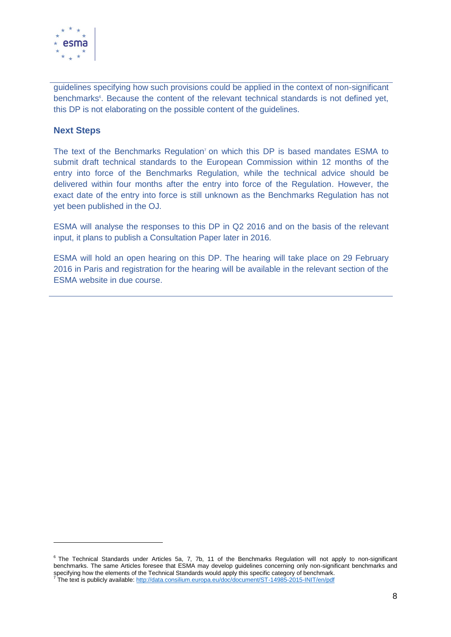

guidelines specifying how such provisions could be applied in the context of non-significant benchmarks<sup>6</sup>. Because the content of the relevant technical standards is not defined yet, this DP is not elaborating on the possible content of the guidelines.

#### **Next Steps**

1

The text of the Benchmarks Regulation<sup>7</sup> on which this DP is based mandates ESMA to submit draft technical standards to the European Commission within 12 months of the entry into force of the Benchmarks Regulation, while the technical advice should be delivered within four months after the entry into force of the Regulation. However, the exact date of the entry into force is still unknown as the Benchmarks Regulation has not yet been published in the OJ.

ESMA will analyse the responses to this DP in Q2 2016 and on the basis of the relevant input, it plans to publish a Consultation Paper later in 2016.

ESMA will hold an open hearing on this DP. The hearing will take place on 29 February 2016 in Paris and registration for the hearing will be available in the relevant section of the ESMA website in due course.

<sup>&</sup>lt;sup>6</sup> The Technical Standards under Articles 5a, 7, 7b, 11 of the Benchmarks Regulation will not apply to non-significant benchmarks. The same Articles foresee that ESMA may develop guidelines concerning only non-significant benchmarks and specifying how the elements of the Technical Standards would apply this specific category of benchmark.<br><sup>7</sup> The text is publicly available: <u>http://data.consilium.europa.eu/doc/document/ST-14985-2015-INIT/en/pdf</u>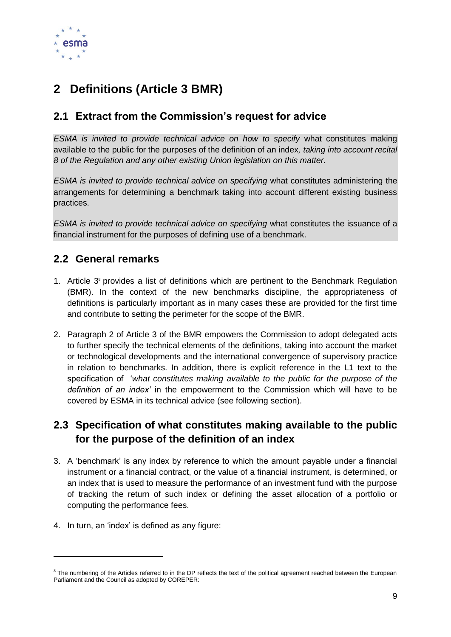

# <span id="page-8-0"></span>**2 Definitions (Article 3 BMR)**

### <span id="page-8-1"></span>**2.1 Extract from the Commission's request for advice**

*ESMA is invited to provide technical advice on how to specify what constitutes making* available to the public for the purposes of the definition of an index*, taking into account recital 8 of the Regulation and any other existing Union legislation on this matter.*

*ESMA is invited to provide technical advice on specifying* what constitutes administering the arrangements for determining a benchmark taking into account different existing business practices.

*ESMA is invited to provide technical advice on specifying* what constitutes the issuance of a financial instrument for the purposes of defining use of a benchmark.

### <span id="page-8-2"></span>**2.2 General remarks**

- 1. Article 3 <sup>8</sup> provides a list of definitions which are pertinent to the Benchmark Regulation (BMR). In the context of the new benchmarks discipline, the appropriateness of definitions is particularly important as in many cases these are provided for the first time and contribute to setting the perimeter for the scope of the BMR.
- 2. Paragraph 2 of Article 3 of the BMR empowers the Commission to adopt delegated acts to further specify the technical elements of the definitions, taking into account the market or technological developments and the international convergence of supervisory practice in relation to benchmarks. In addition, there is explicit reference in the L1 text to the specification of '*what constitutes making available to the public for the purpose of the definition of an index'* in the empowerment to the Commission which will have to be covered by ESMA in its technical advice (see following section).

### <span id="page-8-3"></span>**2.3 Specification of what constitutes making available to the public for the purpose of the definition of an index**

- 3. A 'benchmark' is any index by reference to which the amount payable under a financial instrument or a financial contract, or the value of a financial instrument, is determined, or an index that is used to measure the performance of an investment fund with the purpose of tracking the return of such index or defining the asset allocation of a portfolio or computing the performance fees.
- 4. In turn, an 'index' is defined as any figure:

-

 $8$  The numbering of the Articles referred to in the DP reflects the text of the political agreement reached between the European Parliament and the Council as adopted by COREPER: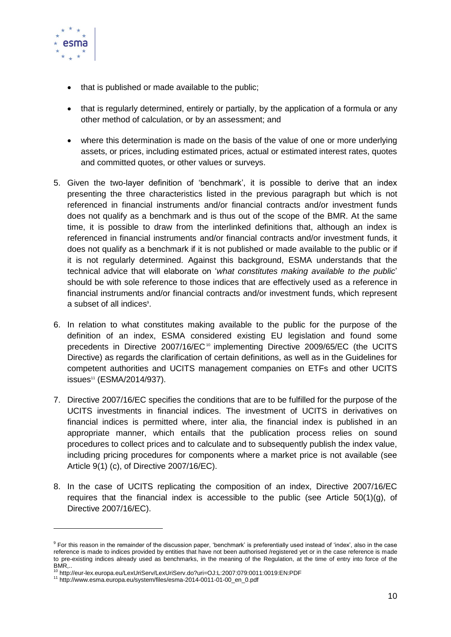

- that is published or made available to the public;
- that is regularly determined, entirely or partially, by the application of a formula or any other method of calculation, or by an assessment; and
- where this determination is made on the basis of the value of one or more underlying assets, or prices, including estimated prices, actual or estimated interest rates, quotes and committed quotes, or other values or surveys.
- 5. Given the two-layer definition of 'benchmark', it is possible to derive that an index presenting the three characteristics listed in the previous paragraph but which is not referenced in financial instruments and/or financial contracts and/or investment funds does not qualify as a benchmark and is thus out of the scope of the BMR. At the same time, it is possible to draw from the interlinked definitions that, although an index is referenced in financial instruments and/or financial contracts and/or investment funds, it does not qualify as a benchmark if it is not published or made available to the public or if it is not regularly determined. Against this background, ESMA understands that the technical advice that will elaborate on '*what constitutes making available to the public*' should be with sole reference to those indices that are effectively used as a reference in financial instruments and/or financial contracts and/or investment funds, which represent a subset of all indices<sup>9</sup>.
- 6. In relation to what constitutes making available to the public for the purpose of the definition of an index, ESMA considered existing EU legislation and found some precedents in Directive  $2007/16$ / $EC^{10}$  implementing Directive 2009/65/EC (the UCITS Directive) as regards the clarification of certain definitions, as well as in the Guidelines for competent authorities and UCITS management companies on ETFs and other UCITS issues<sup>11</sup> (ESMA/2014/937).
- 7. Directive 2007/16/EC specifies the conditions that are to be fulfilled for the purpose of the UCITS investments in financial indices. The investment of UCITS in derivatives on financial indices is permitted where, inter alia, the financial index is published in an appropriate manner, which entails that the publication process relies on sound procedures to collect prices and to calculate and to subsequently publish the index value, including pricing procedures for components where a market price is not available (see Article 9(1) (c), of Directive 2007/16/EC).
- 8. In the case of UCITS replicating the composition of an index, Directive 2007/16/EC requires that the financial index is accessible to the public (see Article  $50(1)(q)$ , of Directive 2007/16/EC).

1

<sup>&</sup>lt;sup>9</sup> For this reason in the remainder of the discussion paper, 'benchmark' is preferentially used instead of 'index', also in the case reference is made to indices provided by entities that have not been authorised /registered yet or in the case reference is made to pre-existing indices already used as benchmarks, in the meaning of the Regulation, at the time of entry into force of the BMR,.. <sup>10</sup> http://eur-lex.europa.eu/LexUriServ/LexUriServ.do?uri=OJ:L:2007:079:0011:0019:EN:PDF

<sup>11</sup> http://www.esma.europa.eu/system/files/esma-2014-0011-01-00\_en\_0.pdf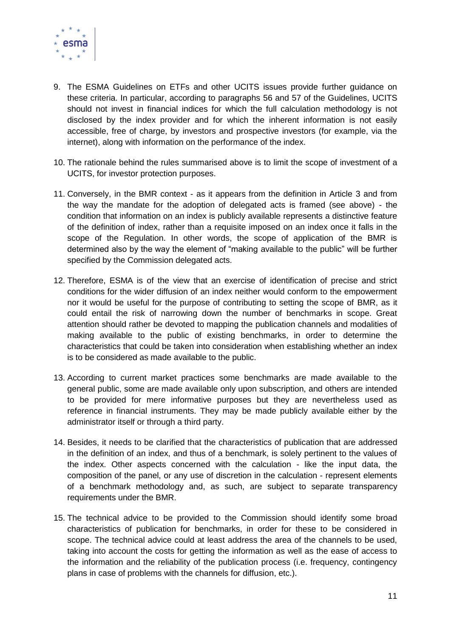

- 9. The ESMA Guidelines on ETFs and other UCITS issues provide further guidance on these criteria. In particular, according to paragraphs 56 and 57 of the Guidelines, UCITS should not invest in financial indices for which the full calculation methodology is not disclosed by the index provider and for which the inherent information is not easily accessible, free of charge, by investors and prospective investors (for example, via the internet), along with information on the performance of the index.
- 10. The rationale behind the rules summarised above is to limit the scope of investment of a UCITS, for investor protection purposes.
- 11. Conversely, in the BMR context as it appears from the definition in Article 3 and from the way the mandate for the adoption of delegated acts is framed (see above) - the condition that information on an index is publicly available represents a distinctive feature of the definition of index, rather than a requisite imposed on an index once it falls in the scope of the Regulation. In other words, the scope of application of the BMR is determined also by the way the element of "making available to the public" will be further specified by the Commission delegated acts.
- 12. Therefore, ESMA is of the view that an exercise of identification of precise and strict conditions for the wider diffusion of an index neither would conform to the empowerment nor it would be useful for the purpose of contributing to setting the scope of BMR, as it could entail the risk of narrowing down the number of benchmarks in scope. Great attention should rather be devoted to mapping the publication channels and modalities of making available to the public of existing benchmarks, in order to determine the characteristics that could be taken into consideration when establishing whether an index is to be considered as made available to the public.
- 13. According to current market practices some benchmarks are made available to the general public, some are made available only upon subscription, and others are intended to be provided for mere informative purposes but they are nevertheless used as reference in financial instruments. They may be made publicly available either by the administrator itself or through a third party.
- 14. Besides, it needs to be clarified that the characteristics of publication that are addressed in the definition of an index, and thus of a benchmark, is solely pertinent to the values of the index. Other aspects concerned with the calculation - like the input data, the composition of the panel, or any use of discretion in the calculation - represent elements of a benchmark methodology and, as such, are subject to separate transparency requirements under the BMR.
- 15. The technical advice to be provided to the Commission should identify some broad characteristics of publication for benchmarks, in order for these to be considered in scope. The technical advice could at least address the area of the channels to be used, taking into account the costs for getting the information as well as the ease of access to the information and the reliability of the publication process (i.e. frequency, contingency plans in case of problems with the channels for diffusion, etc.).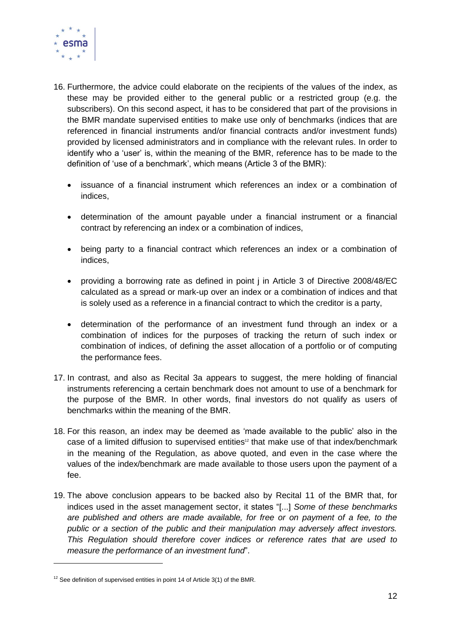

- 16. Furthermore, the advice could elaborate on the recipients of the values of the index, as these may be provided either to the general public or a restricted group (e.g. the subscribers). On this second aspect, it has to be considered that part of the provisions in the BMR mandate supervised entities to make use only of benchmarks (indices that are referenced in financial instruments and/or financial contracts and/or investment funds) provided by licensed administrators and in compliance with the relevant rules. In order to identify who a 'user' is, within the meaning of the BMR, reference has to be made to the definition of 'use of a benchmark', which means (Article 3 of the BMR):
	- issuance of a financial instrument which references an index or a combination of indices,
	- determination of the amount payable under a financial instrument or a financial contract by referencing an index or a combination of indices,
	- being party to a financial contract which references an index or a combination of indices,
	- providing a borrowing rate as defined in point j in Article 3 of Directive 2008/48/EC calculated as a spread or mark-up over an index or a combination of indices and that is solely used as a reference in a financial contract to which the creditor is a party,
	- determination of the performance of an investment fund through an index or a combination of indices for the purposes of tracking the return of such index or combination of indices, of defining the asset allocation of a portfolio or of computing the performance fees.
- 17. In contrast, and also as Recital 3a appears to suggest, the mere holding of financial instruments referencing a certain benchmark does not amount to use of a benchmark for the purpose of the BMR. In other words, final investors do not qualify as users of benchmarks within the meaning of the BMR.
- 18. For this reason, an index may be deemed as 'made available to the public' also in the case of a limited diffusion to supervised entities<sup>12</sup> that make use of that index/benchmark in the meaning of the Regulation, as above quoted, and even in the case where the values of the index/benchmark are made available to those users upon the payment of a fee.
- 19. The above conclusion appears to be backed also by Recital 11 of the BMR that, for indices used in the asset management sector, it states "[...] *Some of these benchmarks are published and others are made available, for free or on payment of a fee, to the public or a section of the public and their manipulation may adversely affect investors. This Regulation should therefore cover indices or reference rates that are used to measure the performance of an investment fund*".

-

 $12$  See definition of supervised entities in point 14 of Article 3(1) of the BMR.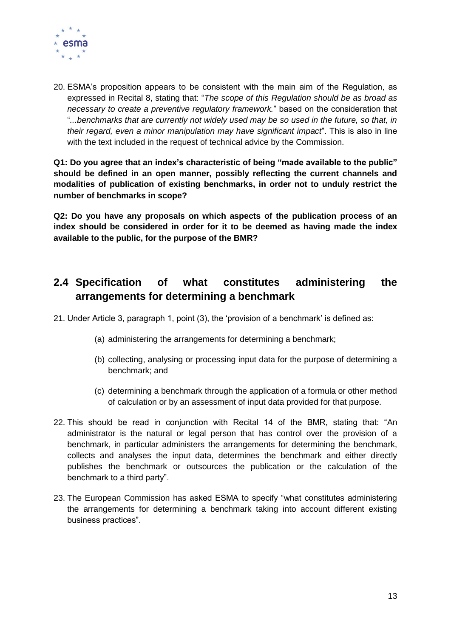

20. ESMA's proposition appears to be consistent with the main aim of the Regulation, as expressed in Recital 8, stating that: "*The scope of this Regulation should be as broad as necessary to create a preventive regulatory framework.*" based on the consideration that "*...benchmarks that are currently not widely used may be so used in the future, so that, in their regard, even a minor manipulation may have significant impact*". This is also in line with the text included in the request of technical advice by the Commission.

**Q1: Do you agree that an index's characteristic of being "made available to the public" should be defined in an open manner, possibly reflecting the current channels and modalities of publication of existing benchmarks, in order not to unduly restrict the number of benchmarks in scope?**

**Q2: Do you have any proposals on which aspects of the publication process of an index should be considered in order for it to be deemed as having made the index available to the public, for the purpose of the BMR?**

### <span id="page-12-0"></span>**2.4 Specification of what constitutes administering the arrangements for determining a benchmark**

21. Under Article 3, paragraph 1, point (3), the 'provision of a benchmark' is defined as:

- (a) administering the arrangements for determining a benchmark;
- (b) collecting, analysing or processing input data for the purpose of determining a benchmark; and
- (c) determining a benchmark through the application of a formula or other method of calculation or by an assessment of input data provided for that purpose.
- 22. This should be read in conjunction with Recital 14 of the BMR, stating that: "An administrator is the natural or legal person that has control over the provision of a benchmark, in particular administers the arrangements for determining the benchmark, collects and analyses the input data, determines the benchmark and either directly publishes the benchmark or outsources the publication or the calculation of the benchmark to a third party".
- 23. The European Commission has asked ESMA to specify "what constitutes administering the arrangements for determining a benchmark taking into account different existing business practices".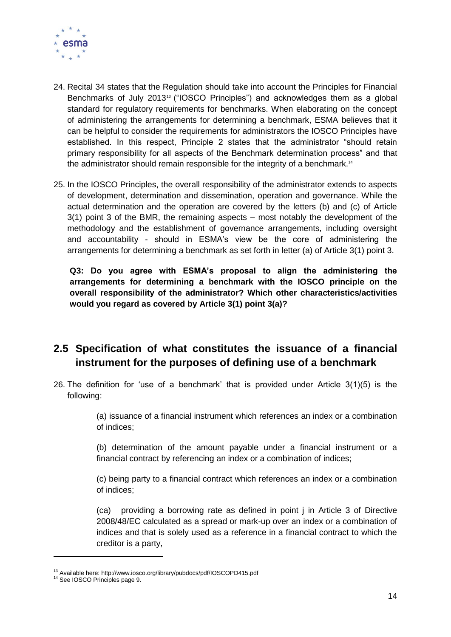

- 24. Recital 34 states that the Regulation should take into account the Principles for Financial Benchmarks of July 2013<sup>13</sup> ("IOSCO Principles") and acknowledges them as a global standard for regulatory requirements for benchmarks. When elaborating on the concept of administering the arrangements for determining a benchmark, ESMA believes that it can be helpful to consider the requirements for administrators the IOSCO Principles have established. In this respect, Principle 2 states that the administrator "should retain primary responsibility for all aspects of the Benchmark determination process" and that the administrator should remain responsible for the integrity of a benchmark.<sup>14</sup>
- 25. In the IOSCO Principles, the overall responsibility of the administrator extends to aspects of development, determination and dissemination, operation and governance. While the actual determination and the operation are covered by the letters (b) and (c) of Article 3(1) point 3 of the BMR, the remaining aspects – most notably the development of the methodology and the establishment of governance arrangements, including oversight and accountability - should in ESMA's view be the core of administering the arrangements for determining a benchmark as set forth in letter (a) of Article 3(1) point 3.

**Q3: Do you agree with ESMA's proposal to align the administering the arrangements for determining a benchmark with the IOSCO principle on the overall responsibility of the administrator? Which other characteristics/activities would you regard as covered by Article 3(1) point 3(a)?**

### <span id="page-13-0"></span>**2.5 Specification of what constitutes the issuance of a financial instrument for the purposes of defining use of a benchmark**

26. The definition for 'use of a benchmark' that is provided under Article 3(1)(5) is the following:

> (a) issuance of a financial instrument which references an index or a combination of indices;

> (b) determination of the amount payable under a financial instrument or a financial contract by referencing an index or a combination of indices;

> (c) being party to a financial contract which references an index or a combination of indices;

> (ca) providing a borrowing rate as defined in point j in Article 3 of Directive 2008/48/EC calculated as a spread or mark-up over an index or a combination of indices and that is solely used as a reference in a financial contract to which the creditor is a party,

-

<sup>&</sup>lt;sup>13</sup> Available here: http://www.iosco.org/library/pubdocs/pdf/IOSCOPD415.pdf

<sup>&</sup>lt;sup>14</sup> See IOSCO Principles page 9.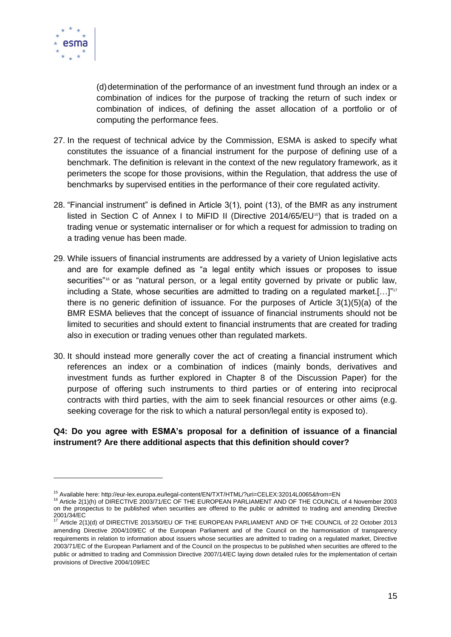

-

(d)determination of the performance of an investment fund through an index or a combination of indices for the purpose of tracking the return of such index or combination of indices, of defining the asset allocation of a portfolio or of computing the performance fees.

- 27. In the request of technical advice by the Commission, ESMA is asked to specify what constitutes the issuance of a financial instrument for the purpose of defining use of a benchmark. The definition is relevant in the context of the new regulatory framework, as it perimeters the scope for those provisions, within the Regulation, that address the use of benchmarks by supervised entities in the performance of their core regulated activity.
- 28. "Financial instrument" is defined in Article 3(1), point (13), of the BMR as any instrument listed in Section C of Annex I to MiFID II (Directive 2014/65/EU15) that is traded on a trading venue or systematic internaliser or for which a request for admission to trading on a trading venue has been made.
- 29. While issuers of financial instruments are addressed by a variety of Union legislative acts and are for example defined as "a legal entity which issues or proposes to issue securities"<sup>16</sup> or as "natural person, or a legal entity governed by private or public law, including a State, whose securities are admitted to trading on a regulated market.[...]"<sup>17</sup> there is no generic definition of issuance. For the purposes of Article 3(1)(5)(a) of the BMR ESMA believes that the concept of issuance of financial instruments should not be limited to securities and should extent to financial instruments that are created for trading also in execution or trading venues other than regulated markets.
- 30. It should instead more generally cover the act of creating a financial instrument which references an index or a combination of indices (mainly bonds, derivatives and investment funds as further explored in Chapter 8 of the Discussion Paper) for the purpose of offering such instruments to third parties or of entering into reciprocal contracts with third parties, with the aim to seek financial resources or other aims (e.g. seeking coverage for the risk to which a natural person/legal entity is exposed to).

#### **Q4: Do you agree with ESMA's proposal for a definition of issuance of a financial instrument? Are there additional aspects that this definition should cover?**

<sup>15</sup> Available here: http://eur-lex.europa.eu/legal-content/EN/TXT/HTML/?uri=CELEX:32014L0065&from=EN

<sup>16</sup> Article 2(1)(h) of DIRECTIVE 2003/71/EC OF THE EUROPEAN PARLIAMENT AND OF THE COUNCIL of 4 November 2003 on the prospectus to be published when securities are offered to the public or admitted to trading and amending Directive 2001/34/EC<br><sup>17</sup> Article 2(1)(d) of DIRECTIVE 2013/50/EU OF THE EUROPEAN PARLIAMENT AND OF THE COUNCIL of 22 October 2013

amending Directive 2004/109/EC of the European Parliament and of the Council on the harmonisation of transparency requirements in relation to information about issuers whose securities are admitted to trading on a regulated market, Directive 2003/71/EC of the European Parliament and of the Council on the prospectus to be published when securities are offered to the public or admitted to trading and Commission Directive 2007/14/EC laying down detailed rules for the implementation of certain provisions of Directive 2004/109/EC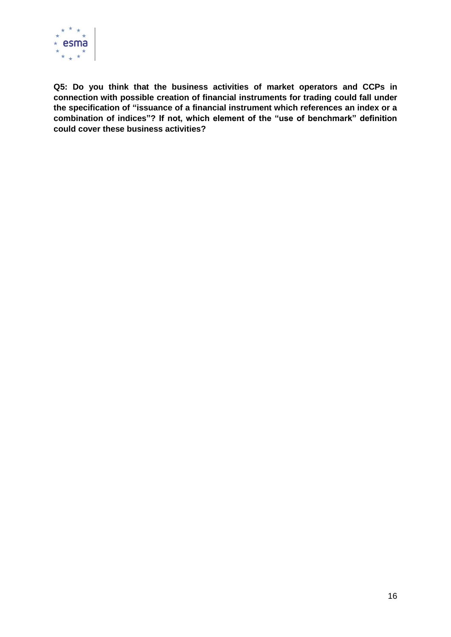

**Q5: Do you think that the business activities of market operators and CCPs in connection with possible creation of financial instruments for trading could fall under the specification of "issuance of a financial instrument which references an index or a combination of indices"? If not, which element of the "use of benchmark" definition could cover these business activities?**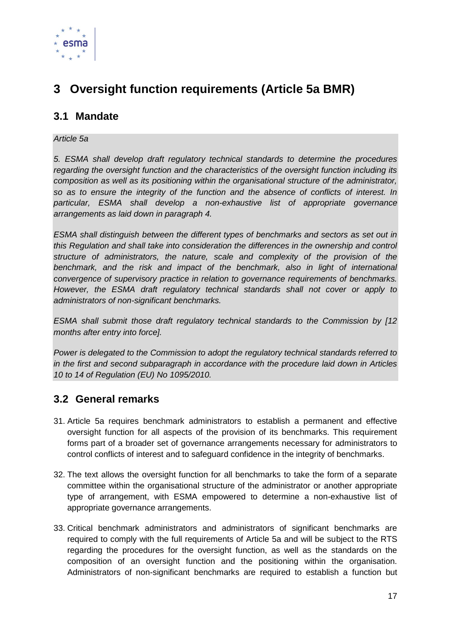

# <span id="page-16-0"></span>**3 Oversight function requirements (Article 5a BMR)**

### <span id="page-16-1"></span>**3.1 Mandate**

#### *Article 5a*

*5. ESMA shall develop draft regulatory technical standards to determine the procedures regarding the oversight function and the characteristics of the oversight function including its composition as well as its positioning within the organisational structure of the administrator, so as to ensure the integrity of the function and the absence of conflicts of interest. In particular, ESMA shall develop a non-exhaustive list of appropriate governance arrangements as laid down in paragraph 4.*

*ESMA shall distinguish between the different types of benchmarks and sectors as set out in this Regulation and shall take into consideration the differences in the ownership and control structure of administrators, the nature, scale and complexity of the provision of the*  benchmark, and the risk and impact of the benchmark, also in light of international *convergence of supervisory practice in relation to governance requirements of benchmarks. However, the ESMA draft regulatory technical standards shall not cover or apply to administrators of non-significant benchmarks.*

*ESMA shall submit those draft regulatory technical standards to the Commission by [12 months after entry into force].* 

*Power is delegated to the Commission to adopt the regulatory technical standards referred to in the first and second subparagraph in accordance with the procedure laid down in Articles 10 to 14 of Regulation (EU) No 1095/2010.*

### <span id="page-16-2"></span>**3.2 General remarks**

- 31. Article 5a requires benchmark administrators to establish a permanent and effective oversight function for all aspects of the provision of its benchmarks. This requirement forms part of a broader set of governance arrangements necessary for administrators to control conflicts of interest and to safeguard confidence in the integrity of benchmarks.
- 32. The text allows the oversight function for all benchmarks to take the form of a separate committee within the organisational structure of the administrator or another appropriate type of arrangement, with ESMA empowered to determine a non-exhaustive list of appropriate governance arrangements.
- 33. Critical benchmark administrators and administrators of significant benchmarks are required to comply with the full requirements of Article 5a and will be subject to the RTS regarding the procedures for the oversight function, as well as the standards on the composition of an oversight function and the positioning within the organisation. Administrators of non-significant benchmarks are required to establish a function but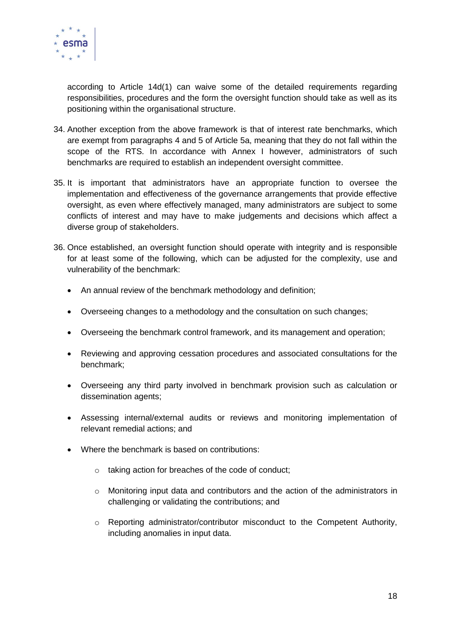

according to Article 14d(1) can waive some of the detailed requirements regarding responsibilities, procedures and the form the oversight function should take as well as its positioning within the organisational structure.

- 34. Another exception from the above framework is that of interest rate benchmarks, which are exempt from paragraphs 4 and 5 of Article 5a, meaning that they do not fall within the scope of the RTS. In accordance with Annex I however, administrators of such benchmarks are required to establish an independent oversight committee.
- 35. It is important that administrators have an appropriate function to oversee the implementation and effectiveness of the governance arrangements that provide effective oversight, as even where effectively managed, many administrators are subject to some conflicts of interest and may have to make judgements and decisions which affect a diverse group of stakeholders.
- 36. Once established, an oversight function should operate with integrity and is responsible for at least some of the following, which can be adjusted for the complexity, use and vulnerability of the benchmark:
	- An annual review of the benchmark methodology and definition;
	- Overseeing changes to a methodology and the consultation on such changes;
	- Overseeing the benchmark control framework, and its management and operation;
	- Reviewing and approving cessation procedures and associated consultations for the benchmark;
	- Overseeing any third party involved in benchmark provision such as calculation or dissemination agents;
	- Assessing internal/external audits or reviews and monitoring implementation of relevant remedial actions; and
	- Where the benchmark is based on contributions:
		- o taking action for breaches of the code of conduct;
		- o Monitoring input data and contributors and the action of the administrators in challenging or validating the contributions; and
		- $\circ$  Reporting administrator/contributor misconduct to the Competent Authority, including anomalies in input data.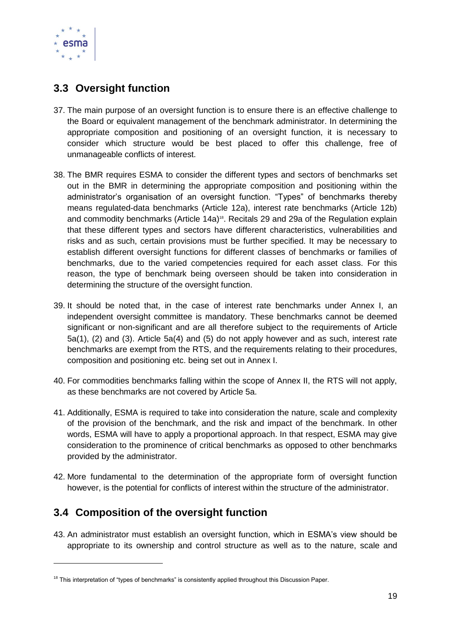

### <span id="page-18-0"></span>**3.3 Oversight function**

- 37. The main purpose of an oversight function is to ensure there is an effective challenge to the Board or equivalent management of the benchmark administrator. In determining the appropriate composition and positioning of an oversight function, it is necessary to consider which structure would be best placed to offer this challenge, free of unmanageable conflicts of interest.
- 38. The BMR requires ESMA to consider the different types and sectors of benchmarks set out in the BMR in determining the appropriate composition and positioning within the administrator's organisation of an oversight function. "Types" of benchmarks thereby means regulated-data benchmarks (Article 12a), interest rate benchmarks (Article 12b) and commodity benchmarks (Article 14a)<sup>18</sup>. Recitals 29 and 29a of the Regulation explain that these different types and sectors have different characteristics, vulnerabilities and risks and as such, certain provisions must be further specified. It may be necessary to establish different oversight functions for different classes of benchmarks or families of benchmarks, due to the varied competencies required for each asset class. For this reason, the type of benchmark being overseen should be taken into consideration in determining the structure of the oversight function.
- 39. It should be noted that, in the case of interest rate benchmarks under Annex I, an independent oversight committee is mandatory. These benchmarks cannot be deemed significant or non-significant and are all therefore subject to the requirements of Article 5a(1), (2) and (3). Article 5a(4) and (5) do not apply however and as such, interest rate benchmarks are exempt from the RTS, and the requirements relating to their procedures, composition and positioning etc. being set out in Annex I.
- 40. For commodities benchmarks falling within the scope of Annex II, the RTS will not apply, as these benchmarks are not covered by Article 5a.
- 41. Additionally, ESMA is required to take into consideration the nature, scale and complexity of the provision of the benchmark, and the risk and impact of the benchmark. In other words, ESMA will have to apply a proportional approach. In that respect, ESMA may give consideration to the prominence of critical benchmarks as opposed to other benchmarks provided by the administrator.
- 42. More fundamental to the determination of the appropriate form of oversight function however, is the potential for conflicts of interest within the structure of the administrator.

### <span id="page-18-1"></span>**3.4 Composition of the oversight function**

-

43. An administrator must establish an oversight function, which in ESMA's view should be appropriate to its ownership and control structure as well as to the nature, scale and

<sup>&</sup>lt;sup>18</sup> This interpretation of "types of benchmarks" is consistently applied throughout this Discussion Paper.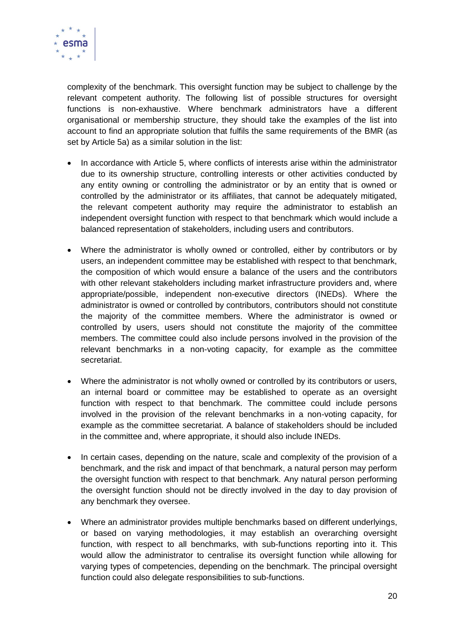

complexity of the benchmark. This oversight function may be subject to challenge by the relevant competent authority. The following list of possible structures for oversight functions is non-exhaustive. Where benchmark administrators have a different organisational or membership structure, they should take the examples of the list into account to find an appropriate solution that fulfils the same requirements of the BMR (as set by Article 5a) as a similar solution in the list:

- In accordance with Article 5, where conflicts of interests arise within the administrator due to its ownership structure, controlling interests or other activities conducted by any entity owning or controlling the administrator or by an entity that is owned or controlled by the administrator or its affiliates, that cannot be adequately mitigated, the relevant competent authority may require the administrator to establish an independent oversight function with respect to that benchmark which would include a balanced representation of stakeholders, including users and contributors.
- Where the administrator is wholly owned or controlled, either by contributors or by users, an independent committee may be established with respect to that benchmark, the composition of which would ensure a balance of the users and the contributors with other relevant stakeholders including market infrastructure providers and, where appropriate/possible, independent non-executive directors (INEDs). Where the administrator is owned or controlled by contributors, contributors should not constitute the majority of the committee members. Where the administrator is owned or controlled by users, users should not constitute the majority of the committee members. The committee could also include persons involved in the provision of the relevant benchmarks in a non-voting capacity, for example as the committee secretariat.
- Where the administrator is not wholly owned or controlled by its contributors or users, an internal board or committee may be established to operate as an oversight function with respect to that benchmark. The committee could include persons involved in the provision of the relevant benchmarks in a non-voting capacity, for example as the committee secretariat. A balance of stakeholders should be included in the committee and, where appropriate, it should also include INEDs.
- In certain cases, depending on the nature, scale and complexity of the provision of a benchmark, and the risk and impact of that benchmark, a natural person may perform the oversight function with respect to that benchmark. Any natural person performing the oversight function should not be directly involved in the day to day provision of any benchmark they oversee.
- Where an administrator provides multiple benchmarks based on different underlyings, or based on varying methodologies, it may establish an overarching oversight function, with respect to all benchmarks, with sub-functions reporting into it. This would allow the administrator to centralise its oversight function while allowing for varying types of competencies, depending on the benchmark. The principal oversight function could also delegate responsibilities to sub-functions.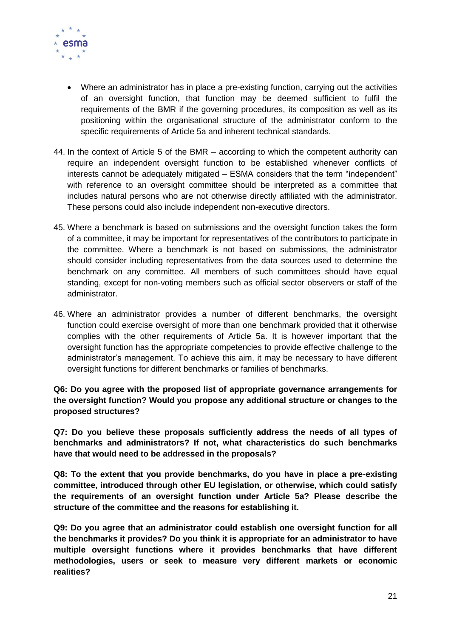

- Where an administrator has in place a pre-existing function, carrying out the activities of an oversight function, that function may be deemed sufficient to fulfil the requirements of the BMR if the governing procedures, its composition as well as its positioning within the organisational structure of the administrator conform to the specific requirements of Article 5a and inherent technical standards.
- 44. In the context of Article 5 of the BMR according to which the competent authority can require an independent oversight function to be established whenever conflicts of interests cannot be adequately mitigated – ESMA considers that the term "independent" with reference to an oversight committee should be interpreted as a committee that includes natural persons who are not otherwise directly affiliated with the administrator. These persons could also include independent non-executive directors.
- 45. Where a benchmark is based on submissions and the oversight function takes the form of a committee, it may be important for representatives of the contributors to participate in the committee. Where a benchmark is not based on submissions, the administrator should consider including representatives from the data sources used to determine the benchmark on any committee. All members of such committees should have equal standing, except for non-voting members such as official sector observers or staff of the administrator.
- 46. Where an administrator provides a number of different benchmarks, the oversight function could exercise oversight of more than one benchmark provided that it otherwise complies with the other requirements of Article 5a. It is however important that the oversight function has the appropriate competencies to provide effective challenge to the administrator's management. To achieve this aim, it may be necessary to have different oversight functions for different benchmarks or families of benchmarks.

**Q6: Do you agree with the proposed list of appropriate governance arrangements for the oversight function? Would you propose any additional structure or changes to the proposed structures?**

**Q7: Do you believe these proposals sufficiently address the needs of all types of benchmarks and administrators? If not, what characteristics do such benchmarks have that would need to be addressed in the proposals?**

**Q8: To the extent that you provide benchmarks, do you have in place a pre-existing committee, introduced through other EU legislation, or otherwise, which could satisfy the requirements of an oversight function under Article 5a? Please describe the structure of the committee and the reasons for establishing it.** 

**Q9: Do you agree that an administrator could establish one oversight function for all the benchmarks it provides? Do you think it is appropriate for an administrator to have multiple oversight functions where it provides benchmarks that have different methodologies, users or seek to measure very different markets or economic realities?**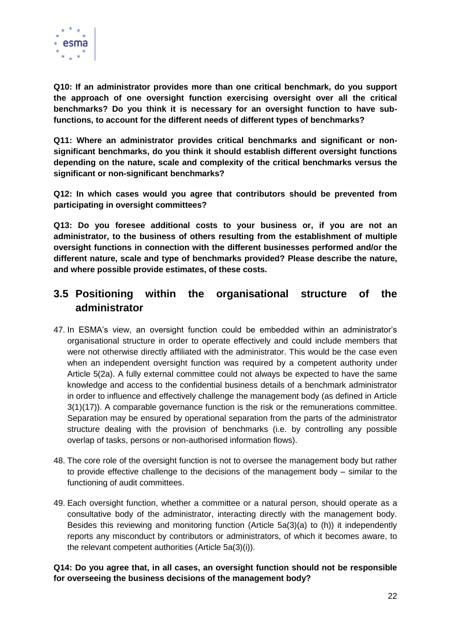

**Q10: If an administrator provides more than one critical benchmark, do you support the approach of one oversight function exercising oversight over all the critical benchmarks? Do you think it is necessary for an oversight function to have subfunctions, to account for the different needs of different types of benchmarks?** 

**Q11: Where an administrator provides critical benchmarks and significant or nonsignificant benchmarks, do you think it should establish different oversight functions depending on the nature, scale and complexity of the critical benchmarks versus the significant or non-significant benchmarks?** 

**Q12: In which cases would you agree that contributors should be prevented from participating in oversight committees?** 

**Q13: Do you foresee additional costs to your business or, if you are not an administrator, to the business of others resulting from the establishment of multiple oversight functions in connection with the different businesses performed and/or the different nature, scale and type of benchmarks provided? Please describe the nature, and where possible provide estimates, of these costs.**

### <span id="page-21-0"></span>**3.5 Positioning within the organisational structure of the administrator**

- 47. In ESMA's view, an oversight function could be embedded within an administrator's organisational structure in order to operate effectively and could include members that were not otherwise directly affiliated with the administrator. This would be the case even when an independent oversight function was required by a competent authority under Article 5(2a). A fully external committee could not always be expected to have the same knowledge and access to the confidential business details of a benchmark administrator in order to influence and effectively challenge the management body (as defined in Article 3(1)(17)). A comparable governance function is the risk or the remunerations committee. Separation may be ensured by operational separation from the parts of the administrator structure dealing with the provision of benchmarks (i.e. by controlling any possible overlap of tasks, persons or non-authorised information flows).
- 48. The core role of the oversight function is not to oversee the management body but rather to provide effective challenge to the decisions of the management body – similar to the functioning of audit committees.
- 49. Each oversight function, whether a committee or a natural person, should operate as a consultative body of the administrator, interacting directly with the management body. Besides this reviewing and monitoring function (Article 5a(3)(a) to (h)) it independently reports any misconduct by contributors or administrators, of which it becomes aware, to the relevant competent authorities (Article 5a(3)(i)).

#### **Q14: Do you agree that, in all cases, an oversight function should not be responsible for overseeing the business decisions of the management body?**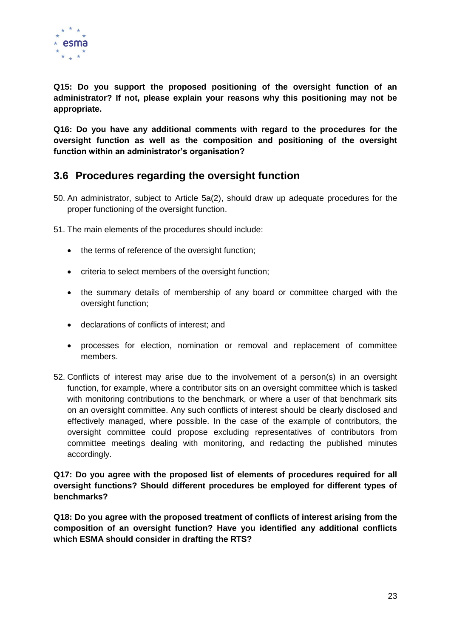

**Q15: Do you support the proposed positioning of the oversight function of an administrator? If not, please explain your reasons why this positioning may not be appropriate.**

**Q16: Do you have any additional comments with regard to the procedures for the oversight function as well as the composition and positioning of the oversight function within an administrator's organisation?**

### <span id="page-22-0"></span>**3.6 Procedures regarding the oversight function**

- 50. An administrator, subject to Article 5a(2), should draw up adequate procedures for the proper functioning of the oversight function.
- 51. The main elements of the procedures should include:
	- the terms of reference of the oversight function;
	- criteria to select members of the oversight function;
	- the summary details of membership of any board or committee charged with the oversight function:
	- declarations of conflicts of interest; and
	- processes for election, nomination or removal and replacement of committee members.
- 52. Conflicts of interest may arise due to the involvement of a person(s) in an oversight function, for example, where a contributor sits on an oversight committee which is tasked with monitoring contributions to the benchmark, or where a user of that benchmark sits on an oversight committee. Any such conflicts of interest should be clearly disclosed and effectively managed, where possible. In the case of the example of contributors, the oversight committee could propose excluding representatives of contributors from committee meetings dealing with monitoring, and redacting the published minutes accordingly.

**Q17: Do you agree with the proposed list of elements of procedures required for all oversight functions? Should different procedures be employed for different types of benchmarks?**

**Q18: Do you agree with the proposed treatment of conflicts of interest arising from the composition of an oversight function? Have you identified any additional conflicts which ESMA should consider in drafting the RTS?**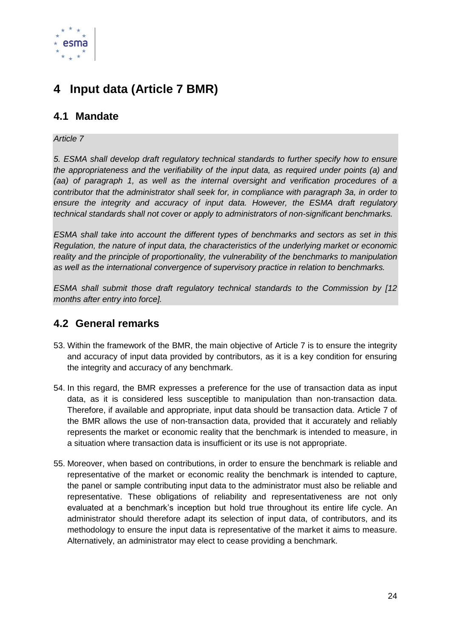

## <span id="page-23-0"></span>**4 Input data (Article 7 BMR)**

### <span id="page-23-1"></span>**4.1 Mandate**

#### *Article 7*

*5. ESMA shall develop draft regulatory technical standards to further specify how to ensure the appropriateness and the verifiability of the input data, as required under points (a) and (aa) of paragraph 1, as well as the internal oversight and verification procedures of a contributor that the administrator shall seek for, in compliance with paragraph 3a, in order to ensure the integrity and accuracy of input data. However, the ESMA draft regulatory technical standards shall not cover or apply to administrators of non-significant benchmarks.*

*ESMA shall take into account the different types of benchmarks and sectors as set in this Regulation, the nature of input data, the characteristics of the underlying market or economic reality and the principle of proportionality, the vulnerability of the benchmarks to manipulation as well as the international convergence of supervisory practice in relation to benchmarks.*

*ESMA shall submit those draft regulatory technical standards to the Commission by [12 months after entry into force].* 

### <span id="page-23-2"></span>**4.2 General remarks**

- 53. Within the framework of the BMR, the main objective of Article 7 is to ensure the integrity and accuracy of input data provided by contributors, as it is a key condition for ensuring the integrity and accuracy of any benchmark.
- 54. In this regard, the BMR expresses a preference for the use of transaction data as input data, as it is considered less susceptible to manipulation than non-transaction data. Therefore, if available and appropriate, input data should be transaction data. Article 7 of the BMR allows the use of non-transaction data, provided that it accurately and reliably represents the market or economic reality that the benchmark is intended to measure, in a situation where transaction data is insufficient or its use is not appropriate.
- 55. Moreover, when based on contributions, in order to ensure the benchmark is reliable and representative of the market or economic reality the benchmark is intended to capture, the panel or sample contributing input data to the administrator must also be reliable and representative. These obligations of reliability and representativeness are not only evaluated at a benchmark's inception but hold true throughout its entire life cycle. An administrator should therefore adapt its selection of input data, of contributors, and its methodology to ensure the input data is representative of the market it aims to measure. Alternatively, an administrator may elect to cease providing a benchmark.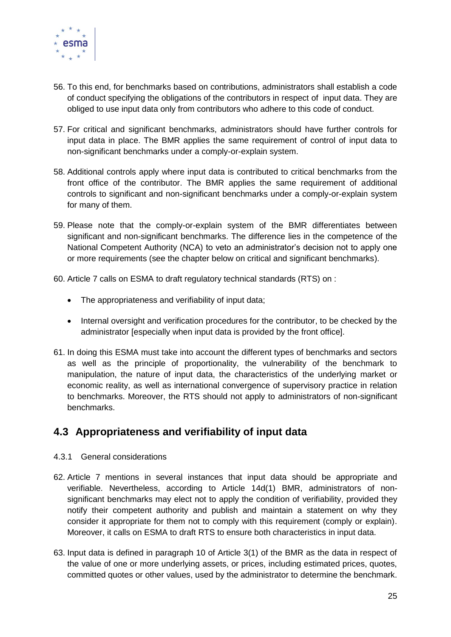

- 56. To this end, for benchmarks based on contributions, administrators shall establish a code of conduct specifying the obligations of the contributors in respect of input data. They are obliged to use input data only from contributors who adhere to this code of conduct.
- 57. For critical and significant benchmarks, administrators should have further controls for input data in place. The BMR applies the same requirement of control of input data to non-significant benchmarks under a comply-or-explain system.
- 58. Additional controls apply where input data is contributed to critical benchmarks from the front office of the contributor. The BMR applies the same requirement of additional controls to significant and non-significant benchmarks under a comply-or-explain system for many of them.
- 59. Please note that the comply-or-explain system of the BMR differentiates between significant and non-significant benchmarks. The difference lies in the competence of the National Competent Authority (NCA) to veto an administrator's decision not to apply one or more requirements (see the chapter below on critical and significant benchmarks).
- 60. Article 7 calls on ESMA to draft regulatory technical standards (RTS) on :
	- The appropriateness and verifiability of input data;
	- Internal oversight and verification procedures for the contributor, to be checked by the administrator [especially when input data is provided by the front office].
- 61. In doing this ESMA must take into account the different types of benchmarks and sectors as well as the principle of proportionality, the vulnerability of the benchmark to manipulation, the nature of input data, the characteristics of the underlying market or economic reality, as well as international convergence of supervisory practice in relation to benchmarks. Moreover, the RTS should not apply to administrators of non-significant benchmarks.

### <span id="page-24-0"></span>**4.3 Appropriateness and verifiability of input data**

- <span id="page-24-1"></span>4.3.1 General considerations
- 62. Article 7 mentions in several instances that input data should be appropriate and verifiable. Nevertheless, according to Article 14d(1) BMR, administrators of nonsignificant benchmarks may elect not to apply the condition of verifiability, provided they notify their competent authority and publish and maintain a statement on why they consider it appropriate for them not to comply with this requirement (comply or explain). Moreover, it calls on ESMA to draft RTS to ensure both characteristics in input data.
- 63. Input data is defined in paragraph 10 of Article 3(1) of the BMR as the data in respect of the value of one or more underlying assets, or prices, including estimated prices, quotes, committed quotes or other values, used by the administrator to determine the benchmark.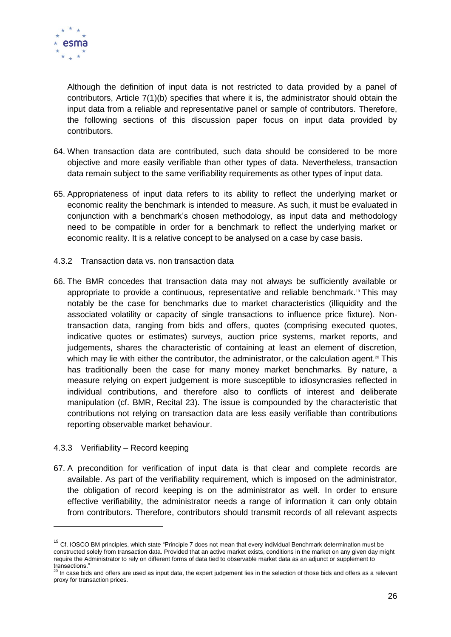

Although the definition of input data is not restricted to data provided by a panel of contributors, Article 7(1)(b) specifies that where it is, the administrator should obtain the input data from a reliable and representative panel or sample of contributors. Therefore, the following sections of this discussion paper focus on input data provided by contributors.

- 64. When transaction data are contributed, such data should be considered to be more objective and more easily verifiable than other types of data. Nevertheless, transaction data remain subject to the same verifiability requirements as other types of input data.
- 65. Appropriateness of input data refers to its ability to reflect the underlying market or economic reality the benchmark is intended to measure. As such, it must be evaluated in conjunction with a benchmark's chosen methodology, as input data and methodology need to be compatible in order for a benchmark to reflect the underlying market or economic reality. It is a relative concept to be analysed on a case by case basis.
- <span id="page-25-0"></span>4.3.2 Transaction data vs. non transaction data
- 66. The BMR concedes that transaction data may not always be sufficiently available or appropriate to provide a continuous, representative and reliable benchmark.<sup>19</sup> This may notably be the case for benchmarks due to market characteristics (illiquidity and the associated volatility or capacity of single transactions to influence price fixture). Nontransaction data, ranging from bids and offers, quotes (comprising executed quotes, indicative quotes or estimates) surveys, auction price systems, market reports, and judgements, shares the characteristic of containing at least an element of discretion, which may lie with either the contributor, the administrator, or the calculation agent. $20$  This has traditionally been the case for many money market benchmarks. By nature, a measure relying on expert judgement is more susceptible to idiosyncrasies reflected in individual contributions, and therefore also to conflicts of interest and deliberate manipulation (cf. BMR, Recital 23). The issue is compounded by the characteristic that contributions not relying on transaction data are less easily verifiable than contributions reporting observable market behaviour.

#### <span id="page-25-1"></span>4.3.3 Verifiability – Record keeping

1

67. A precondition for verification of input data is that clear and complete records are available. As part of the verifiability requirement, which is imposed on the administrator, the obligation of record keeping is on the administrator as well. In order to ensure effective verifiability, the administrator needs a range of information it can only obtain from contributors. Therefore, contributors should transmit records of all relevant aspects

 $19$  Cf. IOSCO BM principles, which state "Principle 7 does not mean that every individual Benchmark determination must be constructed solely from transaction data. Provided that an active market exists, conditions in the market on any given day might require the Administrator to rely on different forms of data tied to observable market data as an adjunct or supplement to

transactions."<br><sup>20</sup> In case bids and offers are used as input data, the expert judgement lies in the selection of those bids and offers as a relevant proxy for transaction prices.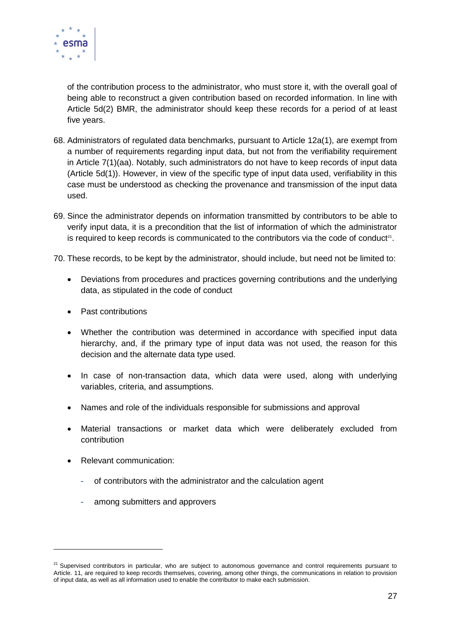

of the contribution process to the administrator, who must store it, with the overall goal of being able to reconstruct a given contribution based on recorded information. In line with Article 5d(2) BMR, the administrator should keep these records for a period of at least five years.

- 68. Administrators of regulated data benchmarks, pursuant to Article 12a(1), are exempt from a number of requirements regarding input data, but not from the verifiability requirement in Article 7(1)(aa). Notably, such administrators do not have to keep records of input data (Article 5d(1)). However, in view of the specific type of input data used, verifiability in this case must be understood as checking the provenance and transmission of the input data used.
- 69. Since the administrator depends on information transmitted by contributors to be able to verify input data, it is a precondition that the list of information of which the administrator is required to keep records is communicated to the contributors via the code of conduct<sup>21</sup>.
- 70. These records, to be kept by the administrator, should include, but need not be limited to:
	- Deviations from procedures and practices governing contributions and the underlying data, as stipulated in the code of conduct
	- Past contributions
	- Whether the contribution was determined in accordance with specified input data hierarchy, and, if the primary type of input data was not used, the reason for this decision and the alternate data type used.
	- In case of non-transaction data, which data were used, along with underlying variables, criteria, and assumptions.
	- Names and role of the individuals responsible for submissions and approval
	- Material transactions or market data which were deliberately excluded from contribution
	- Relevant communication:

-

- of contributors with the administrator and the calculation agent
- among submitters and approvers

<sup>&</sup>lt;sup>21</sup> Supervised contributors in particular, who are subject to autonomous governance and control requirements pursuant to Article. 11, are required to keep records themselves, covering, among other things, the communications in relation to provision of input data, as well as all information used to enable the contributor to make each submission.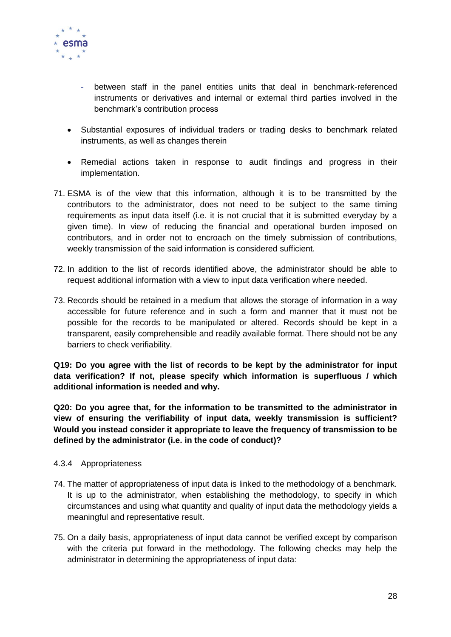

- between staff in the panel entities units that deal in benchmark-referenced instruments or derivatives and internal or external third parties involved in the benchmark's contribution process
- Substantial exposures of individual traders or trading desks to benchmark related instruments, as well as changes therein
- Remedial actions taken in response to audit findings and progress in their implementation.
- 71. ESMA is of the view that this information, although it is to be transmitted by the contributors to the administrator, does not need to be subject to the same timing requirements as input data itself (i.e. it is not crucial that it is submitted everyday by a given time). In view of reducing the financial and operational burden imposed on contributors, and in order not to encroach on the timely submission of contributions, weekly transmission of the said information is considered sufficient.
- 72. In addition to the list of records identified above, the administrator should be able to request additional information with a view to input data verification where needed.
- 73. Records should be retained in a medium that allows the storage of information in a way accessible for future reference and in such a form and manner that it must not be possible for the records to be manipulated or altered. Records should be kept in a transparent, easily comprehensible and readily available format. There should not be any barriers to check verifiability.

**Q19: Do you agree with the list of records to be kept by the administrator for input data verification? If not, please specify which information is superfluous / which additional information is needed and why.**

**Q20: Do you agree that, for the information to be transmitted to the administrator in view of ensuring the verifiability of input data, weekly transmission is sufficient? Would you instead consider it appropriate to leave the frequency of transmission to be defined by the administrator (i.e. in the code of conduct)?**

#### <span id="page-27-0"></span>4.3.4 Appropriateness

- 74. The matter of appropriateness of input data is linked to the methodology of a benchmark. It is up to the administrator, when establishing the methodology, to specify in which circumstances and using what quantity and quality of input data the methodology yields a meaningful and representative result.
- 75. On a daily basis, appropriateness of input data cannot be verified except by comparison with the criteria put forward in the methodology. The following checks may help the administrator in determining the appropriateness of input data: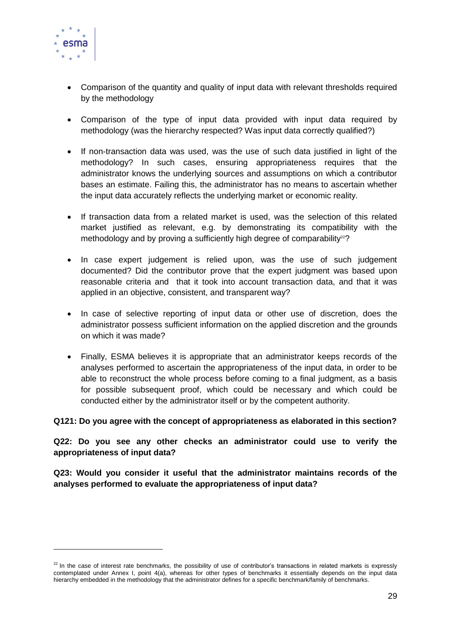

-

- Comparison of the quantity and quality of input data with relevant thresholds required by the methodology
- Comparison of the type of input data provided with input data required by methodology (was the hierarchy respected? Was input data correctly qualified?)
- If non-transaction data was used, was the use of such data justified in light of the methodology? In such cases, ensuring appropriateness requires that the administrator knows the underlying sources and assumptions on which a contributor bases an estimate. Failing this, the administrator has no means to ascertain whether the input data accurately reflects the underlying market or economic reality.
- If transaction data from a related market is used, was the selection of this related market justified as relevant, e.g. by demonstrating its compatibility with the methodology and by proving a sufficiently high degree of comparability $22$ ?
- In case expert judgement is relied upon, was the use of such judgement documented? Did the contributor prove that the expert judgment was based upon reasonable criteria and that it took into account transaction data, and that it was applied in an objective, consistent, and transparent way?
- In case of selective reporting of input data or other use of discretion, does the administrator possess sufficient information on the applied discretion and the grounds on which it was made?
- Finally, ESMA believes it is appropriate that an administrator keeps records of the analyses performed to ascertain the appropriateness of the input data, in order to be able to reconstruct the whole process before coming to a final judgment, as a basis for possible subsequent proof, which could be necessary and which could be conducted either by the administrator itself or by the competent authority.

#### **Q121: Do you agree with the concept of appropriateness as elaborated in this section?**

**Q22: Do you see any other checks an administrator could use to verify the appropriateness of input data?**

**Q23: Would you consider it useful that the administrator maintains records of the analyses performed to evaluate the appropriateness of input data?**

 $22$  In the case of interest rate benchmarks, the possibility of use of contributor's transactions in related markets is expressly contemplated under Annex I, point 4(a), whereas for other types of benchmarks it essentially depends on the input data hierarchy embedded in the methodology that the administrator defines for a specific benchmark/family of benchmarks.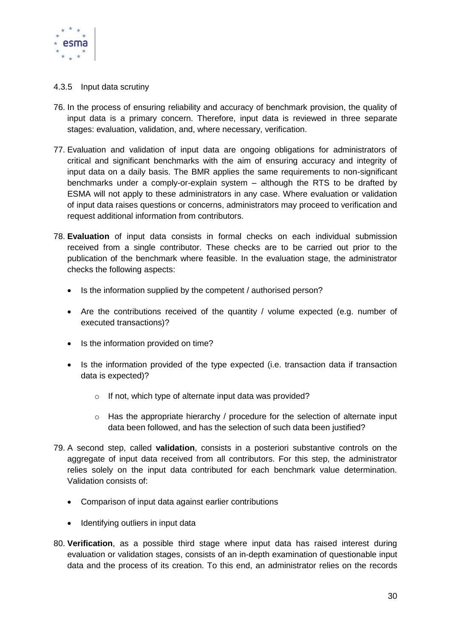

#### <span id="page-29-0"></span>4.3.5 Input data scrutiny

- 76. In the process of ensuring reliability and accuracy of benchmark provision, the quality of input data is a primary concern. Therefore, input data is reviewed in three separate stages: evaluation, validation, and, where necessary, verification.
- 77. Evaluation and validation of input data are ongoing obligations for administrators of critical and significant benchmarks with the aim of ensuring accuracy and integrity of input data on a daily basis. The BMR applies the same requirements to non-significant benchmarks under a comply-or-explain system – although the RTS to be drafted by ESMA will not apply to these administrators in any case. Where evaluation or validation of input data raises questions or concerns, administrators may proceed to verification and request additional information from contributors.
- 78. **Evaluation** of input data consists in formal checks on each individual submission received from a single contributor. These checks are to be carried out prior to the publication of the benchmark where feasible. In the evaluation stage, the administrator checks the following aspects:
	- Is the information supplied by the competent / authorised person?
	- Are the contributions received of the quantity / volume expected (e.g. number of executed transactions)?
	- Is the information provided on time?
	- Is the information provided of the type expected (i.e. transaction data if transaction data is expected)?
		- o If not, which type of alternate input data was provided?
		- $\circ$  Has the appropriate hierarchy / procedure for the selection of alternate input data been followed, and has the selection of such data been justified?
- 79. A second step, called **validation**, consists in a posteriori substantive controls on the aggregate of input data received from all contributors. For this step, the administrator relies solely on the input data contributed for each benchmark value determination. Validation consists of:
	- Comparison of input data against earlier contributions
	- Identifying outliers in input data
- 80. **Verification**, as a possible third stage where input data has raised interest during evaluation or validation stages, consists of an in-depth examination of questionable input data and the process of its creation. To this end, an administrator relies on the records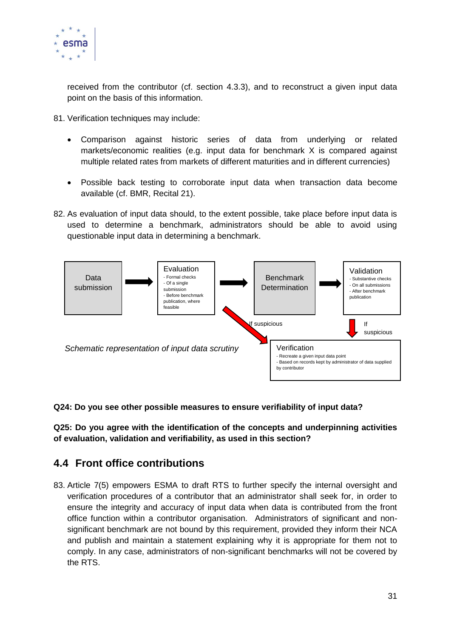

received from the contributor (cf. section 4.3.3), and to reconstruct a given input data point on the basis of this information.

- 81. Verification techniques may include:
	- Comparison against historic series of data from underlying or related markets/economic realities (e.g. input data for benchmark X is compared against multiple related rates from markets of different maturities and in different currencies)
	- Possible back testing to corroborate input data when transaction data become available (cf. BMR, Recital 21).
- 82. As evaluation of input data should, to the extent possible, take place before input data is used to determine a benchmark, administrators should be able to avoid using questionable input data in determining a benchmark.



**Q24: Do you see other possible measures to ensure verifiability of input data?**

**Q25: Do you agree with the identification of the concepts and underpinning activities of evaluation, validation and verifiability, as used in this section?**

### <span id="page-30-0"></span>**4.4 Front office contributions**

83. Article 7(5) empowers ESMA to draft RTS to further specify the internal oversight and verification procedures of a contributor that an administrator shall seek for, in order to ensure the integrity and accuracy of input data when data is contributed from the front office function within a contributor organisation. Administrators of significant and nonsignificant benchmark are not bound by this requirement, provided they inform their NCA and publish and maintain a statement explaining why it is appropriate for them not to comply. In any case, administrators of non-significant benchmarks will not be covered by the RTS.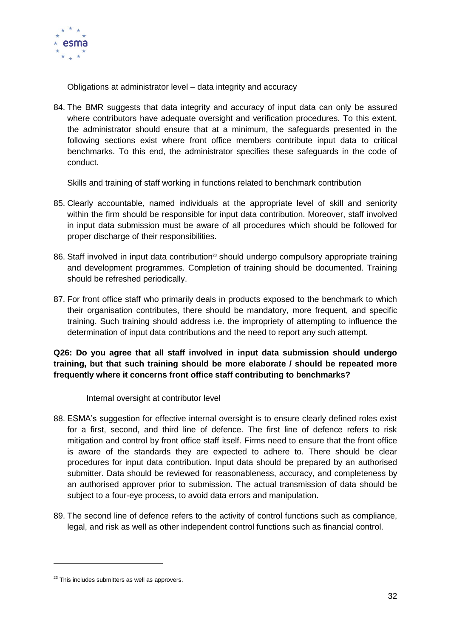

Obligations at administrator level – data integrity and accuracy

84. The BMR suggests that data integrity and accuracy of input data can only be assured where contributors have adequate oversight and verification procedures. To this extent, the administrator should ensure that at a minimum, the safeguards presented in the following sections exist where front office members contribute input data to critical benchmarks. To this end, the administrator specifies these safeguards in the code of conduct.

Skills and training of staff working in functions related to benchmark contribution

- 85. Clearly accountable, named individuals at the appropriate level of skill and seniority within the firm should be responsible for input data contribution. Moreover, staff involved in input data submission must be aware of all procedures which should be followed for proper discharge of their responsibilities.
- 86. Staff involved in input data contribution<sup>23</sup> should undergo compulsory appropriate training and development programmes. Completion of training should be documented. Training should be refreshed periodically.
- 87. For front office staff who primarily deals in products exposed to the benchmark to which their organisation contributes, there should be mandatory, more frequent, and specific training. Such training should address i.e. the impropriety of attempting to influence the determination of input data contributions and the need to report any such attempt.

#### **Q26: Do you agree that all staff involved in input data submission should undergo training, but that such training should be more elaborate / should be repeated more frequently where it concerns front office staff contributing to benchmarks?**

Internal oversight at contributor level

- 88. ESMA's suggestion for effective internal oversight is to ensure clearly defined roles exist for a first, second, and third line of defence. The first line of defence refers to risk mitigation and control by front office staff itself. Firms need to ensure that the front office is aware of the standards they are expected to adhere to. There should be clear procedures for input data contribution. Input data should be prepared by an authorised submitter. Data should be reviewed for reasonableness, accuracy, and completeness by an authorised approver prior to submission. The actual transmission of data should be subject to a four-eye process, to avoid data errors and manipulation.
- 89. The second line of defence refers to the activity of control functions such as compliance, legal, and risk as well as other independent control functions such as financial control.

-

 $23$  This includes submitters as well as approvers.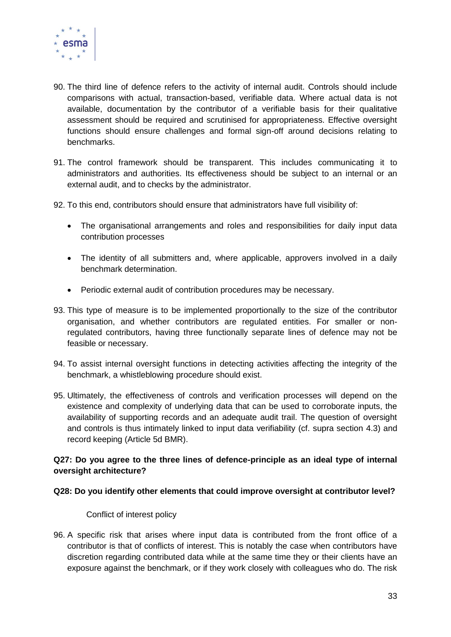

- 90. The third line of defence refers to the activity of internal audit. Controls should include comparisons with actual, transaction-based, verifiable data. Where actual data is not available, documentation by the contributor of a verifiable basis for their qualitative assessment should be required and scrutinised for appropriateness. Effective oversight functions should ensure challenges and formal sign-off around decisions relating to benchmarks.
- 91. The control framework should be transparent. This includes communicating it to administrators and authorities. Its effectiveness should be subject to an internal or an external audit, and to checks by the administrator.
- 92. To this end, contributors should ensure that administrators have full visibility of:
	- The organisational arrangements and roles and responsibilities for daily input data contribution processes
	- The identity of all submitters and, where applicable, approvers involved in a daily benchmark determination.
	- Periodic external audit of contribution procedures may be necessary.
- 93. This type of measure is to be implemented proportionally to the size of the contributor organisation, and whether contributors are regulated entities. For smaller or nonregulated contributors, having three functionally separate lines of defence may not be feasible or necessary.
- 94. To assist internal oversight functions in detecting activities affecting the integrity of the benchmark, a whistleblowing procedure should exist.
- 95. Ultimately, the effectiveness of controls and verification processes will depend on the existence and complexity of underlying data that can be used to corroborate inputs, the availability of supporting records and an adequate audit trail. The question of oversight and controls is thus intimately linked to input data verifiability (cf. supra section 4.3) and record keeping (Article 5d BMR).

#### **Q27: Do you agree to the three lines of defence-principle as an ideal type of internal oversight architecture?**

#### **Q28: Do you identify other elements that could improve oversight at contributor level?**

Conflict of interest policy

96. A specific risk that arises where input data is contributed from the front office of a contributor is that of conflicts of interest. This is notably the case when contributors have discretion regarding contributed data while at the same time they or their clients have an exposure against the benchmark, or if they work closely with colleagues who do. The risk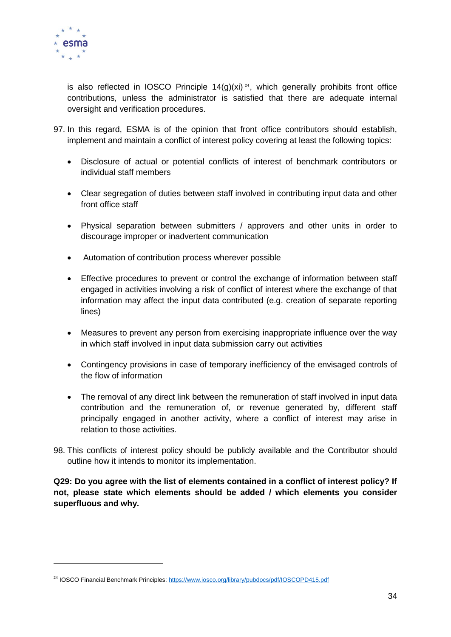

-

is also reflected in IOSCO Principle  $14(q)(xi)^{24}$ , which generally prohibits front office contributions, unless the administrator is satisfied that there are adequate internal oversight and verification procedures.

- 97. In this regard, ESMA is of the opinion that front office contributors should establish, implement and maintain a conflict of interest policy covering at least the following topics:
	- Disclosure of actual or potential conflicts of interest of benchmark contributors or individual staff members
	- Clear segregation of duties between staff involved in contributing input data and other front office staff
	- Physical separation between submitters / approvers and other units in order to discourage improper or inadvertent communication
	- Automation of contribution process wherever possible
	- Effective procedures to prevent or control the exchange of information between staff engaged in activities involving a risk of conflict of interest where the exchange of that information may affect the input data contributed (e.g. creation of separate reporting lines)
	- Measures to prevent any person from exercising inappropriate influence over the way in which staff involved in input data submission carry out activities
	- Contingency provisions in case of temporary inefficiency of the envisaged controls of the flow of information
	- The removal of any direct link between the remuneration of staff involved in input data contribution and the remuneration of, or revenue generated by, different staff principally engaged in another activity, where a conflict of interest may arise in relation to those activities.
- 98. This conflicts of interest policy should be publicly available and the Contributor should outline how it intends to monitor its implementation.

**Q29: Do you agree with the list of elements contained in a conflict of interest policy? If not, please state which elements should be added / which elements you consider superfluous and why.**

<sup>24</sup> IOSCO Financial Benchmark Principles[: https://www.iosco.org/library/pubdocs/pdf/IOSCOPD415.pdf](https://www.iosco.org/library/pubdocs/pdf/IOSCOPD415.pdf)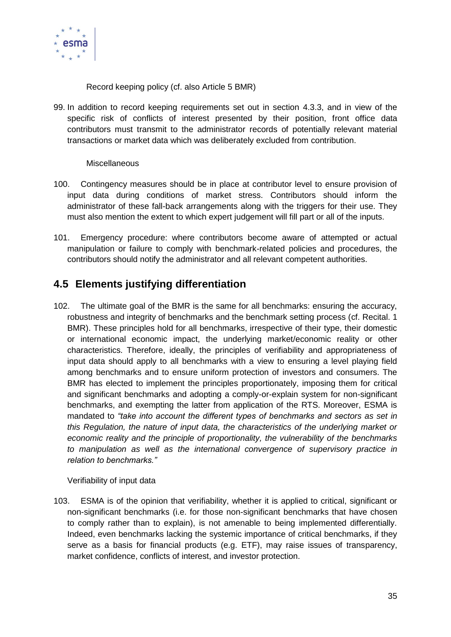

Record keeping policy (cf. also Article 5 BMR)

99. In addition to record keeping requirements set out in section [4.3.3,](#page-25-1) and in view of the specific risk of conflicts of interest presented by their position, front office data contributors must transmit to the administrator records of potentially relevant material transactions or market data which was deliberately excluded from contribution.

#### Miscellaneous

- 100. Contingency measures should be in place at contributor level to ensure provision of input data during conditions of market stress. Contributors should inform the administrator of these fall-back arrangements along with the triggers for their use. They must also mention the extent to which expert judgement will fill part or all of the inputs.
- 101. Emergency procedure: where contributors become aware of attempted or actual manipulation or failure to comply with benchmark-related policies and procedures, the contributors should notify the administrator and all relevant competent authorities.

### <span id="page-34-0"></span>**4.5 Elements justifying differentiation**

102. The ultimate goal of the BMR is the same for all benchmarks: ensuring the accuracy, robustness and integrity of benchmarks and the benchmark setting process (cf. Recital. 1 BMR). These principles hold for all benchmarks, irrespective of their type, their domestic or international economic impact, the underlying market/economic reality or other characteristics. Therefore, ideally, the principles of verifiability and appropriateness of input data should apply to all benchmarks with a view to ensuring a level playing field among benchmarks and to ensure uniform protection of investors and consumers. The BMR has elected to implement the principles proportionately, imposing them for critical and significant benchmarks and adopting a comply-or-explain system for non-significant benchmarks, and exempting the latter from application of the RTS. Moreover, ESMA is mandated to *"take into account the different types of benchmarks and sectors as set in this Regulation, the nature of input data, the characteristics of the underlying market or economic reality and the principle of proportionality, the vulnerability of the benchmarks to manipulation as well as the international convergence of supervisory practice in relation to benchmarks."*

Verifiability of input data

103. ESMA is of the opinion that verifiability, whether it is applied to critical, significant or non-significant benchmarks (i.e. for those non-significant benchmarks that have chosen to comply rather than to explain), is not amenable to being implemented differentially. Indeed, even benchmarks lacking the systemic importance of critical benchmarks, if they serve as a basis for financial products (e.g. ETF), may raise issues of transparency, market confidence, conflicts of interest, and investor protection.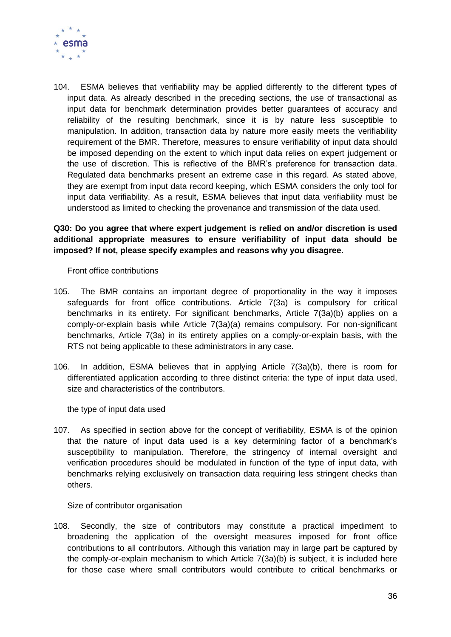

104. ESMA believes that verifiability may be applied differently to the different types of input data. As already described in the preceding sections, the use of transactional as input data for benchmark determination provides better guarantees of accuracy and reliability of the resulting benchmark, since it is by nature less susceptible to manipulation. In addition, transaction data by nature more easily meets the verifiability requirement of the BMR. Therefore, measures to ensure verifiability of input data should be imposed depending on the extent to which input data relies on expert judgement or the use of discretion. This is reflective of the BMR's preference for transaction data. Regulated data benchmarks present an extreme case in this regard. As stated above, they are exempt from input data record keeping, which ESMA considers the only tool for input data verifiability. As a result, ESMA believes that input data verifiability must be understood as limited to checking the provenance and transmission of the data used.

### **Q30: Do you agree that where expert judgement is relied on and/or discretion is used additional appropriate measures to ensure verifiability of input data should be imposed? If not, please specify examples and reasons why you disagree.**

Front office contributions

- 105. The BMR contains an important degree of proportionality in the way it imposes safeguards for front office contributions. Article 7(3a) is compulsory for critical benchmarks in its entirety. For significant benchmarks, Article 7(3a)(b) applies on a comply-or-explain basis while Article 7(3a)(a) remains compulsory. For non-significant benchmarks, Article 7(3a) in its entirety applies on a comply-or-explain basis, with the RTS not being applicable to these administrators in any case.
- 106. In addition, ESMA believes that in applying Article 7(3a)(b), there is room for differentiated application according to three distinct criteria: the type of input data used, size and characteristics of the contributors.

the type of input data used

107. As specified in section above for the concept of verifiability, ESMA is of the opinion that the nature of input data used is a key determining factor of a benchmark's susceptibility to manipulation. Therefore, the stringency of internal oversight and verification procedures should be modulated in function of the type of input data, with benchmarks relying exclusively on transaction data requiring less stringent checks than others.

Size of contributor organisation

108. Secondly, the size of contributors may constitute a practical impediment to broadening the application of the oversight measures imposed for front office contributions to all contributors. Although this variation may in large part be captured by the comply-or-explain mechanism to which Article 7(3a)(b) is subject, it is included here for those case where small contributors would contribute to critical benchmarks or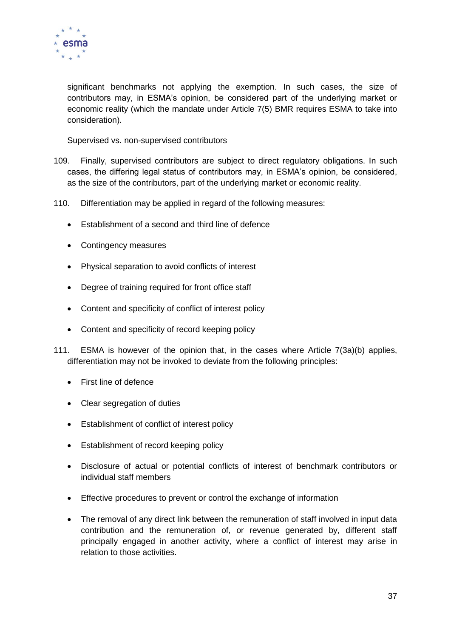

significant benchmarks not applying the exemption. In such cases, the size of contributors may, in ESMA's opinion, be considered part of the underlying market or economic reality (which the mandate under Article 7(5) BMR requires ESMA to take into consideration).

Supervised vs. non-supervised contributors

- 109. Finally, supervised contributors are subject to direct regulatory obligations. In such cases, the differing legal status of contributors may, in ESMA's opinion, be considered, as the size of the contributors, part of the underlying market or economic reality.
- 110. Differentiation may be applied in regard of the following measures:
	- Establishment of a second and third line of defence
	- Contingency measures
	- Physical separation to avoid conflicts of interest
	- Degree of training required for front office staff
	- Content and specificity of conflict of interest policy
	- Content and specificity of record keeping policy
- 111. ESMA is however of the opinion that, in the cases where Article 7(3a)(b) applies, differentiation may not be invoked to deviate from the following principles:
	- First line of defence
	- Clear segregation of duties
	- Establishment of conflict of interest policy
	- **Establishment of record keeping policy**
	- Disclosure of actual or potential conflicts of interest of benchmark contributors or individual staff members
	- Effective procedures to prevent or control the exchange of information
	- The removal of any direct link between the remuneration of staff involved in input data contribution and the remuneration of, or revenue generated by, different staff principally engaged in another activity, where a conflict of interest may arise in relation to those activities.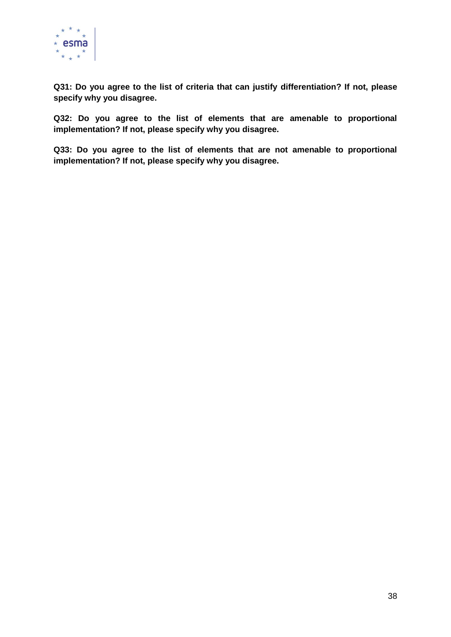

**Q31: Do you agree to the list of criteria that can justify differentiation? If not, please specify why you disagree.** 

**Q32: Do you agree to the list of elements that are amenable to proportional implementation? If not, please specify why you disagree.**

**Q33: Do you agree to the list of elements that are not amenable to proportional implementation? If not, please specify why you disagree.**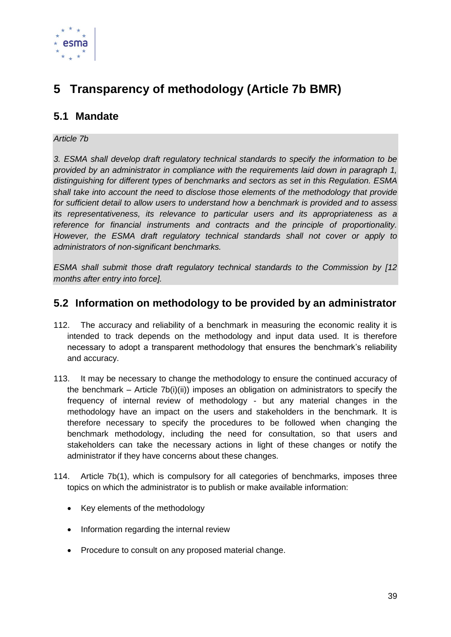

# **5 Transparency of methodology (Article 7b BMR)**

## **5.1 Mandate**

#### *Article 7b*

*3. ESMA shall develop draft regulatory technical standards to specify the information to be provided by an administrator in compliance with the requirements laid down in paragraph 1, distinguishing for different types of benchmarks and sectors as set in this Regulation. ESMA shall take into account the need to disclose those elements of the methodology that provide for sufficient detail to allow users to understand how a benchmark is provided and to assess its representativeness, its relevance to particular users and its appropriateness as a reference for financial instruments and contracts and the principle of proportionality. However, the ESMA draft regulatory technical standards shall not cover or apply to administrators of non-significant benchmarks.*

*ESMA shall submit those draft regulatory technical standards to the Commission by [12 months after entry into force].* 

### **5.2 Information on methodology to be provided by an administrator**

- 112. The accuracy and reliability of a benchmark in measuring the economic reality it is intended to track depends on the methodology and input data used. It is therefore necessary to adopt a transparent methodology that ensures the benchmark's reliability and accuracy.
- 113. It may be necessary to change the methodology to ensure the continued accuracy of the benchmark – Article 7b(i)(ii)) imposes an obligation on administrators to specify the frequency of internal review of methodology - but any material changes in the methodology have an impact on the users and stakeholders in the benchmark. It is therefore necessary to specify the procedures to be followed when changing the benchmark methodology, including the need for consultation, so that users and stakeholders can take the necessary actions in light of these changes or notify the administrator if they have concerns about these changes.
- 114. Article 7b(1), which is compulsory for all categories of benchmarks, imposes three topics on which the administrator is to publish or make available information:
	- Key elements of the methodology
	- Information regarding the internal review
	- Procedure to consult on any proposed material change.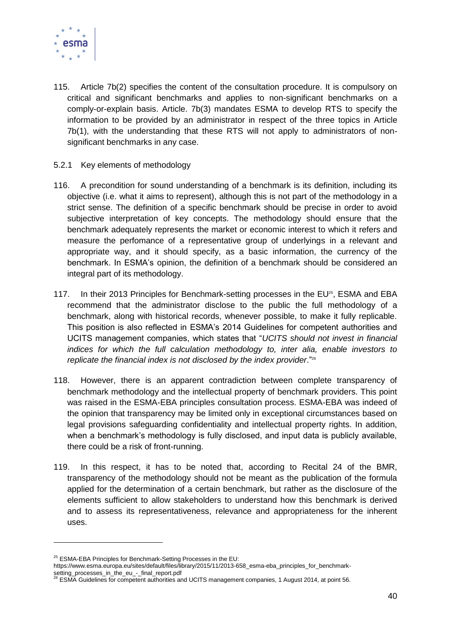

- 115. Article 7b(2) specifies the content of the consultation procedure. It is compulsory on critical and significant benchmarks and applies to non-significant benchmarks on a comply-or-explain basis. Article. 7b(3) mandates ESMA to develop RTS to specify the information to be provided by an administrator in respect of the three topics in Article 7b(1), with the understanding that these RTS will not apply to administrators of nonsignificant benchmarks in any case.
- 5.2.1 Key elements of methodology
- 116. A precondition for sound understanding of a benchmark is its definition, including its objective (i.e. what it aims to represent), although this is not part of the methodology in a strict sense. The definition of a specific benchmark should be precise in order to avoid subjective interpretation of key concepts. The methodology should ensure that the benchmark adequately represents the market or economic interest to which it refers and measure the perfomance of a representative group of underlyings in a relevant and appropriate way, and it should specify, as a basic information, the currency of the benchmark. In ESMA's opinion, the definition of a benchmark should be considered an integral part of its methodology.
- 117. In their 2013 Principles for Benchmark-setting processes in the EU<sup>25</sup>, ESMA and EBA recommend that the administrator disclose to the public the full methodology of a benchmark, along with historical records, whenever possible, to make it fully replicable. This position is also reflected in ESMA's 2014 Guidelines for competent authorities and UCITS management companies, which states that "*UCITS should not invest in financial indices for which the full calculation methodology to, inter alia, enable investors to replicate the financial index is not disclosed by the index provider*."<sup>26</sup>
- 118. However, there is an apparent contradiction between complete transparency of benchmark methodology and the intellectual property of benchmark providers. This point was raised in the ESMA-EBA principles consultation process. ESMA-EBA was indeed of the opinion that transparency may be limited only in exceptional circumstances based on legal provisions safeguarding confidentiality and intellectual property rights. In addition, when a benchmark's methodology is fully disclosed, and input data is publicly available, there could be a risk of front-running.
- 119. In this respect, it has to be noted that, according to Recital 24 of the BMR, transparency of the methodology should not be meant as the publication of the formula applied for the determination of a certain benchmark, but rather as the disclosure of the elements sufficient to allow stakeholders to understand how this benchmark is derived and to assess its representativeness, relevance and appropriateness for the inherent uses.

https://www.esma.europa.eu/sites/default/files/library/2015/11/2013-658\_esma-eba\_principles\_for\_benchmark-

1

 $25$  ESMA-EBA Principles for Benchmark-Setting Processes in the EU:

setting\_processes\_in\_the\_eu\_-\_final\_report.pdf<br><sup>26</sup> ESMA Guidelines for competent authorities and UCITS management companies, 1 August 2014, at point 56.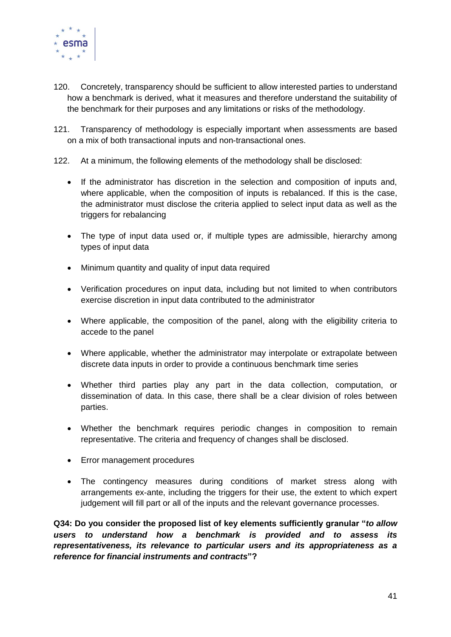

- 120. Concretely, transparency should be sufficient to allow interested parties to understand how a benchmark is derived, what it measures and therefore understand the suitability of the benchmark for their purposes and any limitations or risks of the methodology.
- 121. Transparency of methodology is especially important when assessments are based on a mix of both transactional inputs and non-transactional ones.
- 122. At a minimum, the following elements of the methodology shall be disclosed:
	- If the administrator has discretion in the selection and composition of inputs and, where applicable, when the composition of inputs is rebalanced. If this is the case, the administrator must disclose the criteria applied to select input data as well as the triggers for rebalancing
	- The type of input data used or, if multiple types are admissible, hierarchy among types of input data
	- Minimum quantity and quality of input data required
	- Verification procedures on input data, including but not limited to when contributors exercise discretion in input data contributed to the administrator
	- Where applicable, the composition of the panel, along with the eligibility criteria to accede to the panel
	- Where applicable, whether the administrator may interpolate or extrapolate between discrete data inputs in order to provide a continuous benchmark time series
	- Whether third parties play any part in the data collection, computation, or dissemination of data. In this case, there shall be a clear division of roles between parties.
	- Whether the benchmark requires periodic changes in composition to remain representative. The criteria and frequency of changes shall be disclosed.
	- Error management procedures
	- The contingency measures during conditions of market stress along with arrangements ex-ante, including the triggers for their use, the extent to which expert judgement will fill part or all of the inputs and the relevant governance processes.

**Q34: Do you consider the proposed list of key elements sufficiently granular "***to allow users to understand how a benchmark is provided and to assess its representativeness, its relevance to particular users and its appropriateness as a reference for financial instruments and contracts***"?**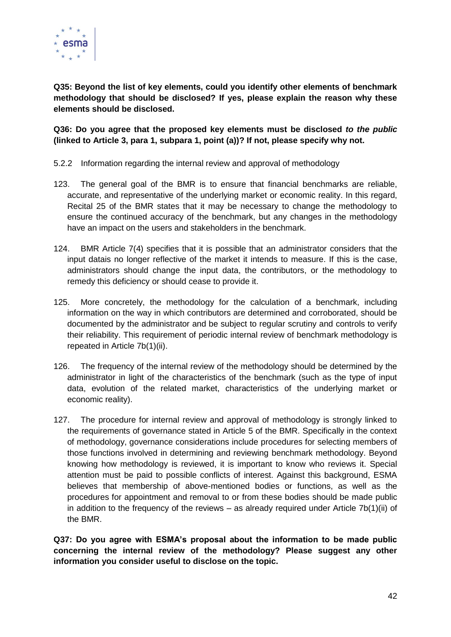

**Q35: Beyond the list of key elements, could you identify other elements of benchmark methodology that should be disclosed? If yes, please explain the reason why these elements should be disclosed.**

**Q36: Do you agree that the proposed key elements must be disclosed** *to the public* **(linked to Article 3, para 1, subpara 1, point (a))? If not, please specify why not.**

- 5.2.2 Information regarding the internal review and approval of methodology
- 123. The general goal of the BMR is to ensure that financial benchmarks are reliable, accurate, and representative of the underlying market or economic reality. In this regard, Recital 25 of the BMR states that it may be necessary to change the methodology to ensure the continued accuracy of the benchmark, but any changes in the methodology have an impact on the users and stakeholders in the benchmark.
- 124. BMR Article 7(4) specifies that it is possible that an administrator considers that the input datais no longer reflective of the market it intends to measure. If this is the case, administrators should change the input data, the contributors, or the methodology to remedy this deficiency or should cease to provide it.
- 125. More concretely, the methodology for the calculation of a benchmark, including information on the way in which contributors are determined and corroborated, should be documented by the administrator and be subject to regular scrutiny and controls to verify their reliability. This requirement of periodic internal review of benchmark methodology is repeated in Article 7b(1)(ii).
- 126. The frequency of the internal review of the methodology should be determined by the administrator in light of the characteristics of the benchmark (such as the type of input data, evolution of the related market, characteristics of the underlying market or economic reality).
- 127. The procedure for internal review and approval of methodology is strongly linked to the requirements of governance stated in Article 5 of the BMR. Specifically in the context of methodology, governance considerations include procedures for selecting members of those functions involved in determining and reviewing benchmark methodology. Beyond knowing how methodology is reviewed, it is important to know who reviews it. Special attention must be paid to possible conflicts of interest. Against this background, ESMA believes that membership of above-mentioned bodies or functions, as well as the procedures for appointment and removal to or from these bodies should be made public in addition to the frequency of the reviews – as already required under Article 7b(1)(ii) of the BMR.

**Q37: Do you agree with ESMA's proposal about the information to be made public concerning the internal review of the methodology? Please suggest any other information you consider useful to disclose on the topic.**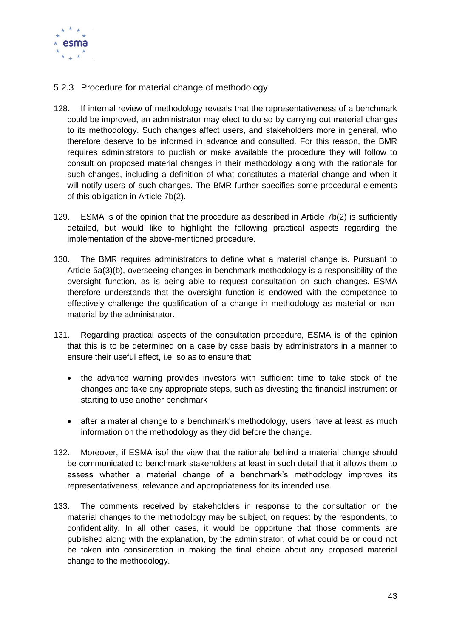

#### 5.2.3 Procedure for material change of methodology

- 128. If internal review of methodology reveals that the representativeness of a benchmark could be improved, an administrator may elect to do so by carrying out material changes to its methodology. Such changes affect users, and stakeholders more in general, who therefore deserve to be informed in advance and consulted. For this reason, the BMR requires administrators to publish or make available the procedure they will follow to consult on proposed material changes in their methodology along with the rationale for such changes, including a definition of what constitutes a material change and when it will notify users of such changes. The BMR further specifies some procedural elements of this obligation in Article 7b(2).
- 129. ESMA is of the opinion that the procedure as described in Article 7b(2) is sufficiently detailed, but would like to highlight the following practical aspects regarding the implementation of the above-mentioned procedure.
- 130. The BMR requires administrators to define what a material change is. Pursuant to Article 5a(3)(b), overseeing changes in benchmark methodology is a responsibility of the oversight function, as is being able to request consultation on such changes. ESMA therefore understands that the oversight function is endowed with the competence to effectively challenge the qualification of a change in methodology as material or nonmaterial by the administrator.
- 131. Regarding practical aspects of the consultation procedure, ESMA is of the opinion that this is to be determined on a case by case basis by administrators in a manner to ensure their useful effect, i.e. so as to ensure that:
	- the advance warning provides investors with sufficient time to take stock of the changes and take any appropriate steps, such as divesting the financial instrument or starting to use another benchmark
	- after a material change to a benchmark's methodology, users have at least as much information on the methodology as they did before the change.
- 132. Moreover, if ESMA isof the view that the rationale behind a material change should be communicated to benchmark stakeholders at least in such detail that it allows them to assess whether a material change of a benchmark's methodology improves its representativeness, relevance and appropriateness for its intended use.
- 133. The comments received by stakeholders in response to the consultation on the material changes to the methodology may be subject, on request by the respondents, to confidentiality. In all other cases, it would be opportune that those comments are published along with the explanation, by the administrator, of what could be or could not be taken into consideration in making the final choice about any proposed material change to the methodology.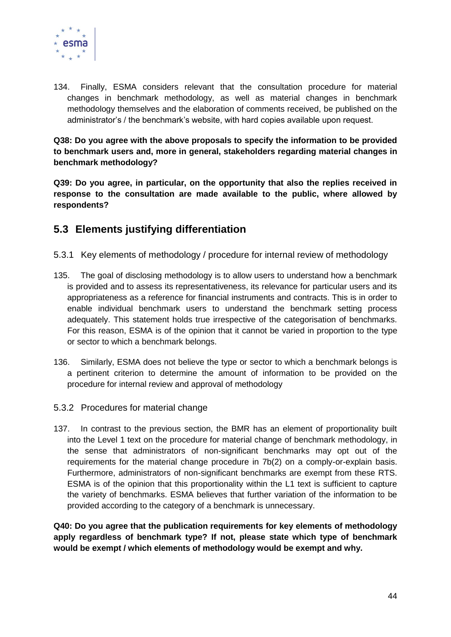

134. Finally, ESMA considers relevant that the consultation procedure for material changes in benchmark methodology, as well as material changes in benchmark methodology themselves and the elaboration of comments received, be published on the administrator's / the benchmark's website, with hard copies available upon request.

**Q38: Do you agree with the above proposals to specify the information to be provided to benchmark users and, more in general, stakeholders regarding material changes in benchmark methodology?**

**Q39: Do you agree, in particular, on the opportunity that also the replies received in response to the consultation are made available to the public, where allowed by respondents?**

## **5.3 Elements justifying differentiation**

- 5.3.1 Key elements of methodology / procedure for internal review of methodology
- 135. The goal of disclosing methodology is to allow users to understand how a benchmark is provided and to assess its representativeness, its relevance for particular users and its appropriateness as a reference for financial instruments and contracts. This is in order to enable individual benchmark users to understand the benchmark setting process adequately. This statement holds true irrespective of the categorisation of benchmarks. For this reason, ESMA is of the opinion that it cannot be varied in proportion to the type or sector to which a benchmark belongs.
- 136. Similarly, ESMA does not believe the type or sector to which a benchmark belongs is a pertinent criterion to determine the amount of information to be provided on the procedure for internal review and approval of methodology
- 5.3.2 Procedures for material change
- 137. In contrast to the previous section, the BMR has an element of proportionality built into the Level 1 text on the procedure for material change of benchmark methodology, in the sense that administrators of non-significant benchmarks may opt out of the requirements for the material change procedure in 7b(2) on a comply-or-explain basis. Furthermore, administrators of non-significant benchmarks are exempt from these RTS. ESMA is of the opinion that this proportionality within the L1 text is sufficient to capture the variety of benchmarks. ESMA believes that further variation of the information to be provided according to the category of a benchmark is unnecessary.

**Q40: Do you agree that the publication requirements for key elements of methodology apply regardless of benchmark type? If not, please state which type of benchmark would be exempt / which elements of methodology would be exempt and why.**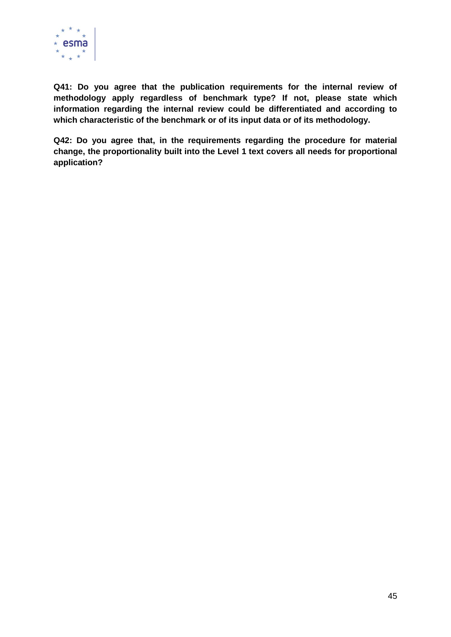

**Q41: Do you agree that the publication requirements for the internal review of methodology apply regardless of benchmark type? If not, please state which information regarding the internal review could be differentiated and according to which characteristic of the benchmark or of its input data or of its methodology.**

**Q42: Do you agree that, in the requirements regarding the procedure for material change, the proportionality built into the Level 1 text covers all needs for proportional application?**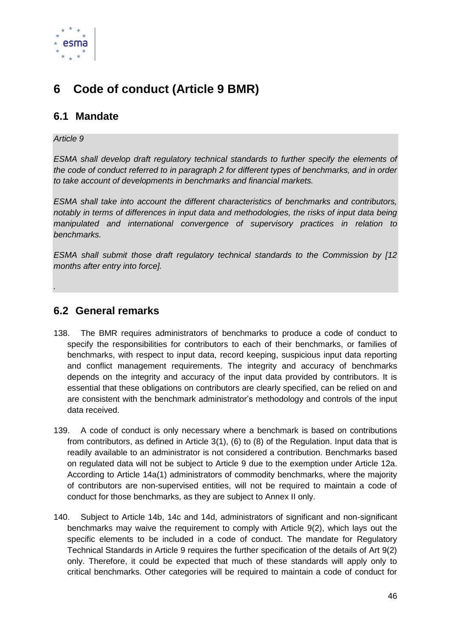

# **6 Code of conduct (Article 9 BMR)**

## **6.1 Mandate**

#### *Article 9*

*.*

*ESMA shall develop draft regulatory technical standards to further specify the elements of the code of conduct referred to in paragraph 2 for different types of benchmarks, and in order to take account of developments in benchmarks and financial markets.*

*ESMA shall take into account the different characteristics of benchmarks and contributors, notably in terms of differences in input data and methodologies, the risks of input data being manipulated and international convergence of supervisory practices in relation to benchmarks.*

*ESMA shall submit those draft regulatory technical standards to the Commission by [12 months after entry into force].*

**6.2 General remarks**

- 138. The BMR requires administrators of benchmarks to produce a code of conduct to specify the responsibilities for contributors to each of their benchmarks, or families of benchmarks, with respect to input data, record keeping, suspicious input data reporting and conflict management requirements. The integrity and accuracy of benchmarks depends on the integrity and accuracy of the input data provided by contributors. It is essential that these obligations on contributors are clearly specified, can be relied on and are consistent with the benchmark administrator's methodology and controls of the input data received.
- 139. A code of conduct is only necessary where a benchmark is based on contributions from contributors, as defined in Article 3(1), (6) to (8) of the Regulation. Input data that is readily available to an administrator is not considered a contribution. Benchmarks based on regulated data will not be subject to Article 9 due to the exemption under Article 12a. According to Article 14a(1) administrators of commodity benchmarks, where the majority of contributors are non-supervised entities, will not be required to maintain a code of conduct for those benchmarks, as they are subject to Annex II only.
- 140. Subject to Article 14b, 14c and 14d, administrators of significant and non-significant benchmarks may waive the requirement to comply with Article 9(2), which lays out the specific elements to be included in a code of conduct. The mandate for Regulatory Technical Standards in Article 9 requires the further specification of the details of Art 9(2) only. Therefore, it could be expected that much of these standards will apply only to critical benchmarks. Other categories will be required to maintain a code of conduct for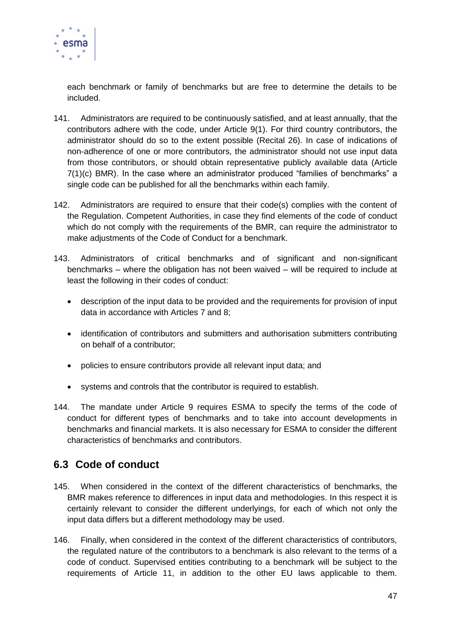

each benchmark or family of benchmarks but are free to determine the details to be included.

- 141. Administrators are required to be continuously satisfied, and at least annually, that the contributors adhere with the code, under Article 9(1). For third country contributors, the administrator should do so to the extent possible (Recital 26). In case of indications of non-adherence of one or more contributors, the administrator should not use input data from those contributors, or should obtain representative publicly available data (Article 7(1)(c) BMR). In the case where an administrator produced "families of benchmarks" a single code can be published for all the benchmarks within each family.
- 142. Administrators are required to ensure that their code(s) complies with the content of the Regulation. Competent Authorities, in case they find elements of the code of conduct which do not comply with the requirements of the BMR, can require the administrator to make adjustments of the Code of Conduct for a benchmark.
- 143. Administrators of critical benchmarks and of significant and non-significant benchmarks – where the obligation has not been waived – will be required to include at least the following in their codes of conduct:
	- description of the input data to be provided and the requirements for provision of input data in accordance with Articles 7 and 8;
	- identification of contributors and submitters and authorisation submitters contributing on behalf of a contributor;
	- policies to ensure contributors provide all relevant input data; and
	- systems and controls that the contributor is required to establish.
- 144. The mandate under Article 9 requires ESMA to specify the terms of the code of conduct for different types of benchmarks and to take into account developments in benchmarks and financial markets. It is also necessary for ESMA to consider the different characteristics of benchmarks and contributors.

## **6.3 Code of conduct**

- 145. When considered in the context of the different characteristics of benchmarks, the BMR makes reference to differences in input data and methodologies. In this respect it is certainly relevant to consider the different underlyings, for each of which not only the input data differs but a different methodology may be used.
- 146. Finally, when considered in the context of the different characteristics of contributors, the regulated nature of the contributors to a benchmark is also relevant to the terms of a code of conduct. Supervised entities contributing to a benchmark will be subject to the requirements of Article 11, in addition to the other EU laws applicable to them.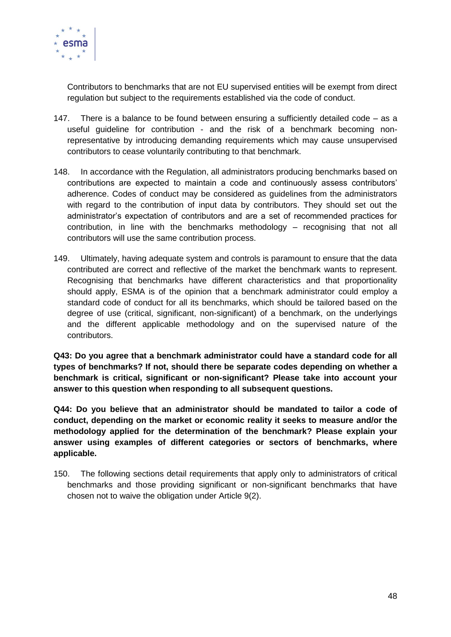

Contributors to benchmarks that are not EU supervised entities will be exempt from direct regulation but subject to the requirements established via the code of conduct.

- 147. There is a balance to be found between ensuring a sufficiently detailed code as a useful guideline for contribution - and the risk of a benchmark becoming nonrepresentative by introducing demanding requirements which may cause unsupervised contributors to cease voluntarily contributing to that benchmark.
- 148. In accordance with the Regulation, all administrators producing benchmarks based on contributions are expected to maintain a code and continuously assess contributors' adherence. Codes of conduct may be considered as guidelines from the administrators with regard to the contribution of input data by contributors. They should set out the administrator's expectation of contributors and are a set of recommended practices for contribution, in line with the benchmarks methodology – recognising that not all contributors will use the same contribution process.
- 149. Ultimately, having adequate system and controls is paramount to ensure that the data contributed are correct and reflective of the market the benchmark wants to represent. Recognising that benchmarks have different characteristics and that proportionality should apply, ESMA is of the opinion that a benchmark administrator could employ a standard code of conduct for all its benchmarks, which should be tailored based on the degree of use (critical, significant, non-significant) of a benchmark, on the underlyings and the different applicable methodology and on the supervised nature of the contributors.

**Q43: Do you agree that a benchmark administrator could have a standard code for all types of benchmarks? If not, should there be separate codes depending on whether a benchmark is critical, significant or non-significant? Please take into account your answer to this question when responding to all subsequent questions.**

**Q44: Do you believe that an administrator should be mandated to tailor a code of conduct, depending on the market or economic reality it seeks to measure and/or the methodology applied for the determination of the benchmark? Please explain your answer using examples of different categories or sectors of benchmarks, where applicable.**

150. The following sections detail requirements that apply only to administrators of critical benchmarks and those providing significant or non-significant benchmarks that have chosen not to waive the obligation under Article 9(2).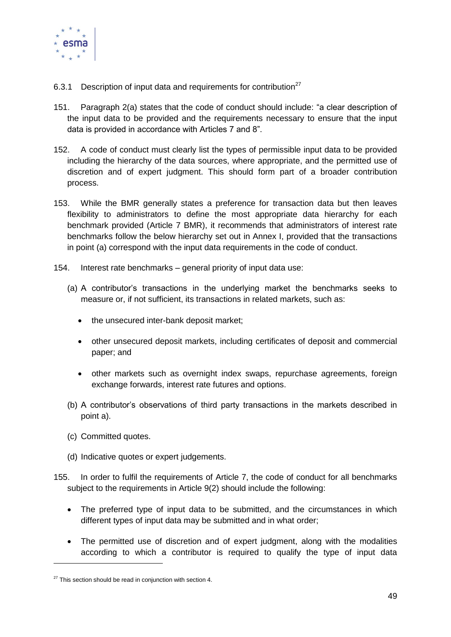

- 6.3.1 Description of input data and requirements for contribution $27$
- 151. Paragraph 2(a) states that the code of conduct should include: "a clear description of the input data to be provided and the requirements necessary to ensure that the input data is provided in accordance with Articles 7 and 8".
- 152. A code of conduct must clearly list the types of permissible input data to be provided including the hierarchy of the data sources, where appropriate, and the permitted use of discretion and of expert judgment. This should form part of a broader contribution process.
- 153. While the BMR generally states a preference for transaction data but then leaves flexibility to administrators to define the most appropriate data hierarchy for each benchmark provided (Article 7 BMR), it recommends that administrators of interest rate benchmarks follow the below hierarchy set out in Annex I, provided that the transactions in point (a) correspond with the input data requirements in the code of conduct.
- 154. Interest rate benchmarks general priority of input data use:
	- (a) A contributor's transactions in the underlying market the benchmarks seeks to measure or, if not sufficient, its transactions in related markets, such as:
		- the unsecured inter-bank deposit market;
		- other unsecured deposit markets, including certificates of deposit and commercial paper; and
		- other markets such as overnight index swaps, repurchase agreements, foreign exchange forwards, interest rate futures and options.
	- (b) A contributor's observations of third party transactions in the markets described in point a).
	- (c) Committed quotes.

-

- (d) Indicative quotes or expert judgements.
- 155. In order to fulfil the requirements of Article 7, the code of conduct for all benchmarks subject to the requirements in Article 9(2) should include the following:
	- The preferred type of input data to be submitted, and the circumstances in which different types of input data may be submitted and in what order;
	- The permitted use of discretion and of expert judgment, along with the modalities according to which a contributor is required to qualify the type of input data

 $27$  This section should be read in conjunction with section 4.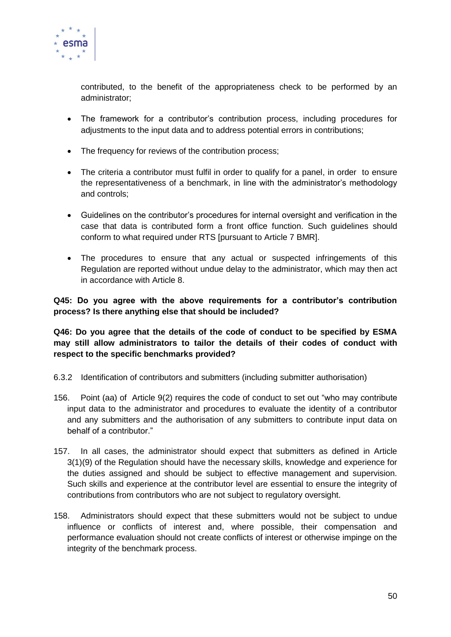

contributed, to the benefit of the appropriateness check to be performed by an administrator;

- The framework for a contributor's contribution process, including procedures for adjustments to the input data and to address potential errors in contributions;
- The frequency for reviews of the contribution process;
- The criteria a contributor must fulfil in order to qualify for a panel, in order to ensure the representativeness of a benchmark, in line with the administrator's methodology and controls;
- Guidelines on the contributor's procedures for internal oversight and verification in the case that data is contributed form a front office function. Such guidelines should conform to what required under RTS [pursuant to Article 7 BMR].
- The procedures to ensure that any actual or suspected infringements of this Regulation are reported without undue delay to the administrator, which may then act in accordance with Article 8.

#### **Q45: Do you agree with the above requirements for a contributor's contribution process? Is there anything else that should be included?**

**Q46: Do you agree that the details of the code of conduct to be specified by ESMA may still allow administrators to tailor the details of their codes of conduct with respect to the specific benchmarks provided?**

- 6.3.2 Identification of contributors and submitters (including submitter authorisation)
- 156. Point (aa) of Article 9(2) requires the code of conduct to set out "who may contribute input data to the administrator and procedures to evaluate the identity of a contributor and any submitters and the authorisation of any submitters to contribute input data on behalf of a contributor."
- 157. In all cases, the administrator should expect that submitters as defined in Article 3(1)(9) of the Regulation should have the necessary skills, knowledge and experience for the duties assigned and should be subject to effective management and supervision. Such skills and experience at the contributor level are essential to ensure the integrity of contributions from contributors who are not subject to regulatory oversight.
- 158. Administrators should expect that these submitters would not be subject to undue influence or conflicts of interest and, where possible, their compensation and performance evaluation should not create conflicts of interest or otherwise impinge on the integrity of the benchmark process.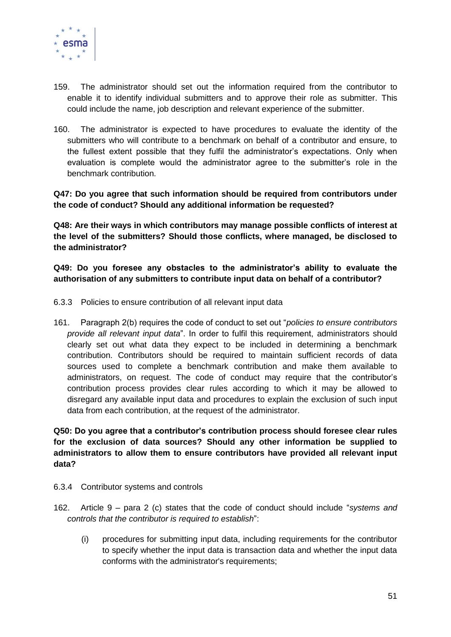

- 159. The administrator should set out the information required from the contributor to enable it to identify individual submitters and to approve their role as submitter. This could include the name, job description and relevant experience of the submitter.
- 160. The administrator is expected to have procedures to evaluate the identity of the submitters who will contribute to a benchmark on behalf of a contributor and ensure, to the fullest extent possible that they fulfil the administrator's expectations. Only when evaluation is complete would the administrator agree to the submitter's role in the benchmark contribution.

**Q47: Do you agree that such information should be required from contributors under the code of conduct? Should any additional information be requested?**

**Q48: Are their ways in which contributors may manage possible conflicts of interest at the level of the submitters? Should those conflicts, where managed, be disclosed to the administrator?**

**Q49: Do you foresee any obstacles to the administrator's ability to evaluate the authorisation of any submitters to contribute input data on behalf of a contributor?**

- 6.3.3 Policies to ensure contribution of all relevant input data
- 161. Paragraph 2(b) requires the code of conduct to set out "*policies to ensure contributors provide all relevant input data*". In order to fulfil this requirement, administrators should clearly set out what data they expect to be included in determining a benchmark contribution. Contributors should be required to maintain sufficient records of data sources used to complete a benchmark contribution and make them available to administrators, on request. The code of conduct may require that the contributor's contribution process provides clear rules according to which it may be allowed to disregard any available input data and procedures to explain the exclusion of such input data from each contribution, at the request of the administrator.

**Q50: Do you agree that a contributor's contribution process should foresee clear rules for the exclusion of data sources? Should any other information be supplied to administrators to allow them to ensure contributors have provided all relevant input data?**

- 6.3.4 Contributor systems and controls
- 162. Article 9 para 2 (c) states that the code of conduct should include "*systems and controls that the contributor is required to establish*":
	- (i) procedures for submitting input data, including requirements for the contributor to specify whether the input data is transaction data and whether the input data conforms with the administrator's requirements;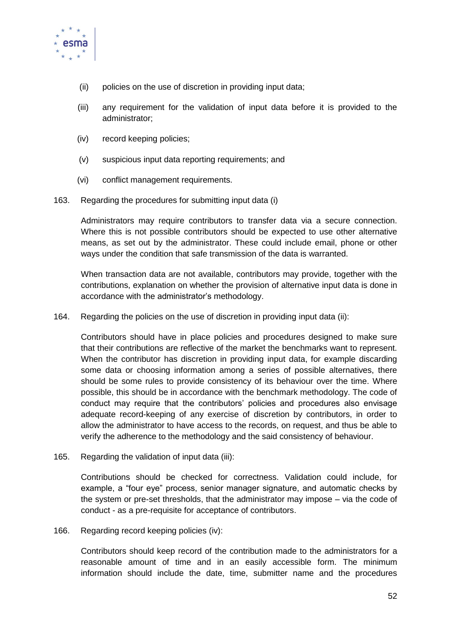

- (ii) policies on the use of discretion in providing input data;
- (iii) any requirement for the validation of input data before it is provided to the administrator;
- (iv) record keeping policies;
- (v) suspicious input data reporting requirements; and
- (vi) conflict management requirements.
- 163. Regarding the procedures for submitting input data (i)

Administrators may require contributors to transfer data via a secure connection. Where this is not possible contributors should be expected to use other alternative means, as set out by the administrator. These could include email, phone or other ways under the condition that safe transmission of the data is warranted.

When transaction data are not available, contributors may provide, together with the contributions, explanation on whether the provision of alternative input data is done in accordance with the administrator's methodology.

164. Regarding the policies on the use of discretion in providing input data (ii):

Contributors should have in place policies and procedures designed to make sure that their contributions are reflective of the market the benchmarks want to represent. When the contributor has discretion in providing input data, for example discarding some data or choosing information among a series of possible alternatives, there should be some rules to provide consistency of its behaviour over the time. Where possible, this should be in accordance with the benchmark methodology. The code of conduct may require that the contributors' policies and procedures also envisage adequate record-keeping of any exercise of discretion by contributors, in order to allow the administrator to have access to the records, on request, and thus be able to verify the adherence to the methodology and the said consistency of behaviour.

165. Regarding the validation of input data (iii):

Contributions should be checked for correctness. Validation could include, for example, a "four eye" process, senior manager signature, and automatic checks by the system or pre-set thresholds, that the administrator may impose – via the code of conduct - as a pre-requisite for acceptance of contributors.

166. Regarding record keeping policies (iv):

Contributors should keep record of the contribution made to the administrators for a reasonable amount of time and in an easily accessible form. The minimum information should include the date, time, submitter name and the procedures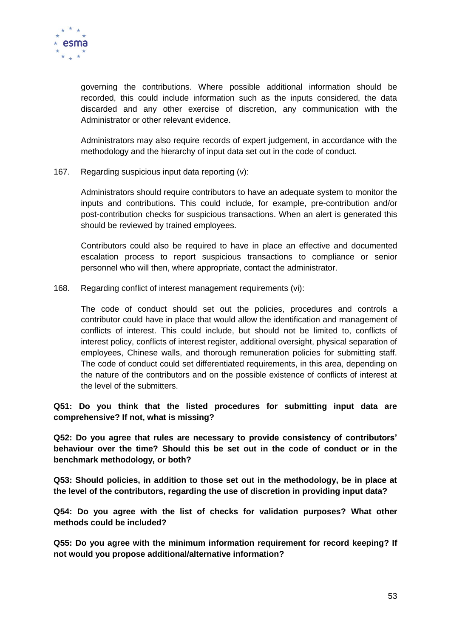

governing the contributions. Where possible additional information should be recorded, this could include information such as the inputs considered, the data discarded and any other exercise of discretion, any communication with the Administrator or other relevant evidence.

Administrators may also require records of expert judgement, in accordance with the methodology and the hierarchy of input data set out in the code of conduct.

167. Regarding suspicious input data reporting (v):

Administrators should require contributors to have an adequate system to monitor the inputs and contributions. This could include, for example, pre-contribution and/or post-contribution checks for suspicious transactions. When an alert is generated this should be reviewed by trained employees.

Contributors could also be required to have in place an effective and documented escalation process to report suspicious transactions to compliance or senior personnel who will then, where appropriate, contact the administrator.

168. Regarding conflict of interest management requirements (vi):

The code of conduct should set out the policies, procedures and controls a contributor could have in place that would allow the identification and management of conflicts of interest. This could include, but should not be limited to, conflicts of interest policy, conflicts of interest register, additional oversight, physical separation of employees, Chinese walls, and thorough remuneration policies for submitting staff. The code of conduct could set differentiated requirements, in this area, depending on the nature of the contributors and on the possible existence of conflicts of interest at the level of the submitters.

#### **Q51: Do you think that the listed procedures for submitting input data are comprehensive? If not, what is missing?**

**Q52: Do you agree that rules are necessary to provide consistency of contributors' behaviour over the time? Should this be set out in the code of conduct or in the benchmark methodology, or both?**

**Q53: Should policies, in addition to those set out in the methodology, be in place at the level of the contributors, regarding the use of discretion in providing input data?**

**Q54: Do you agree with the list of checks for validation purposes? What other methods could be included?**

**Q55: Do you agree with the minimum information requirement for record keeping? If not would you propose additional/alternative information?**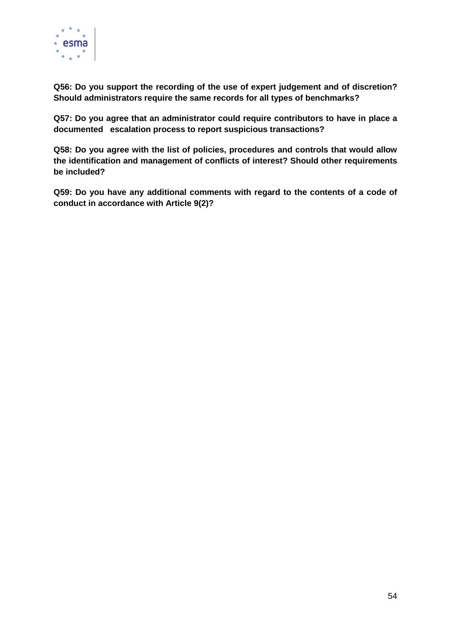

**Q56: Do you support the recording of the use of expert judgement and of discretion? Should administrators require the same records for all types of benchmarks?**

**Q57: Do you agree that an administrator could require contributors to have in place a documented escalation process to report suspicious transactions?** 

**Q58: Do you agree with the list of policies, procedures and controls that would allow the identification and management of conflicts of interest? Should other requirements be included?**

**Q59: Do you have any additional comments with regard to the contents of a code of conduct in accordance with Article 9(2)?**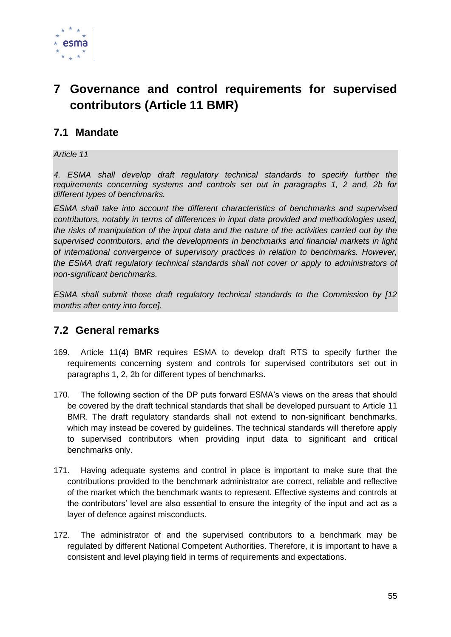

# **7 Governance and control requirements for supervised contributors (Article 11 BMR)**

### **7.1 Mandate**

#### *Article 11*

*4. ESMA shall develop draft regulatory technical standards to specify further the requirements concerning systems and controls set out in paragraphs 1, 2 and, 2b for different types of benchmarks.* 

*ESMA shall take into account the different characteristics of benchmarks and supervised contributors, notably in terms of differences in input data provided and methodologies used, the risks of manipulation of the input data and the nature of the activities carried out by the supervised contributors, and the developments in benchmarks and financial markets in light of international convergence of supervisory practices in relation to benchmarks. However, the ESMA draft regulatory technical standards shall not cover or apply to administrators of non-significant benchmarks.*

*ESMA shall submit those draft regulatory technical standards to the Commission by [12 months after entry into force].*

### **7.2 General remarks**

- 169. Article 11(4) BMR requires ESMA to develop draft RTS to specify further the requirements concerning system and controls for supervised contributors set out in paragraphs 1, 2, 2b for different types of benchmarks.
- 170. The following section of the DP puts forward ESMA's views on the areas that should be covered by the draft technical standards that shall be developed pursuant to Article 11 BMR. The draft regulatory standards shall not extend to non-significant benchmarks, which may instead be covered by guidelines. The technical standards will therefore apply to supervised contributors when providing input data to significant and critical benchmarks only.
- 171. Having adequate systems and control in place is important to make sure that the contributions provided to the benchmark administrator are correct, reliable and reflective of the market which the benchmark wants to represent. Effective systems and controls at the contributors' level are also essential to ensure the integrity of the input and act as a layer of defence against misconducts.
- 172. The administrator of and the supervised contributors to a benchmark may be regulated by different National Competent Authorities. Therefore, it is important to have a consistent and level playing field in terms of requirements and expectations.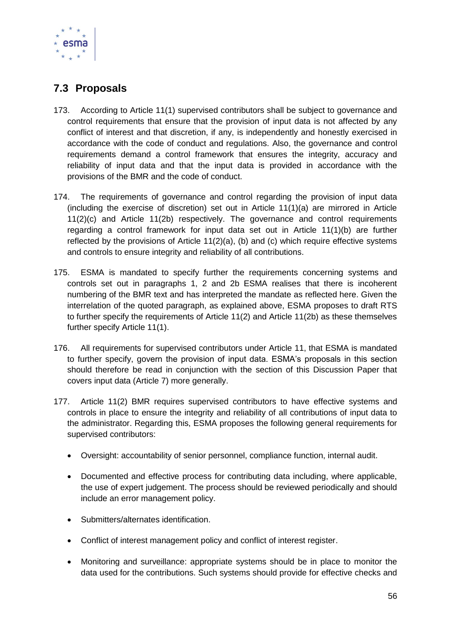

## **7.3 Proposals**

- 173. According to Article 11(1) supervised contributors shall be subject to governance and control requirements that ensure that the provision of input data is not affected by any conflict of interest and that discretion, if any, is independently and honestly exercised in accordance with the code of conduct and regulations. Also, the governance and control requirements demand a control framework that ensures the integrity, accuracy and reliability of input data and that the input data is provided in accordance with the provisions of the BMR and the code of conduct.
- 174. The requirements of governance and control regarding the provision of input data (including the exercise of discretion) set out in Article 11(1)(a) are mirrored in Article 11(2)(c) and Article 11(2b) respectively. The governance and control requirements regarding a control framework for input data set out in Article 11(1)(b) are further reflected by the provisions of Article 11(2)(a), (b) and (c) which require effective systems and controls to ensure integrity and reliability of all contributions.
- 175. ESMA is mandated to specify further the requirements concerning systems and controls set out in paragraphs 1, 2 and 2b ESMA realises that there is incoherent numbering of the BMR text and has interpreted the mandate as reflected here. Given the interrelation of the quoted paragraph, as explained above, ESMA proposes to draft RTS to further specify the requirements of Article 11(2) and Article 11(2b) as these themselves further specify Article 11(1).
- 176. All requirements for supervised contributors under Article 11, that ESMA is mandated to further specify, govern the provision of input data. ESMA's proposals in this section should therefore be read in conjunction with the section of this Discussion Paper that covers input data (Article 7) more generally.
- 177. Article 11(2) BMR requires supervised contributors to have effective systems and controls in place to ensure the integrity and reliability of all contributions of input data to the administrator. Regarding this, ESMA proposes the following general requirements for supervised contributors:
	- Oversight: accountability of senior personnel, compliance function, internal audit.
	- Documented and effective process for contributing data including, where applicable, the use of expert judgement. The process should be reviewed periodically and should include an error management policy.
	- Submitters/alternates identification.
	- Conflict of interest management policy and conflict of interest register.
	- Monitoring and surveillance: appropriate systems should be in place to monitor the data used for the contributions. Such systems should provide for effective checks and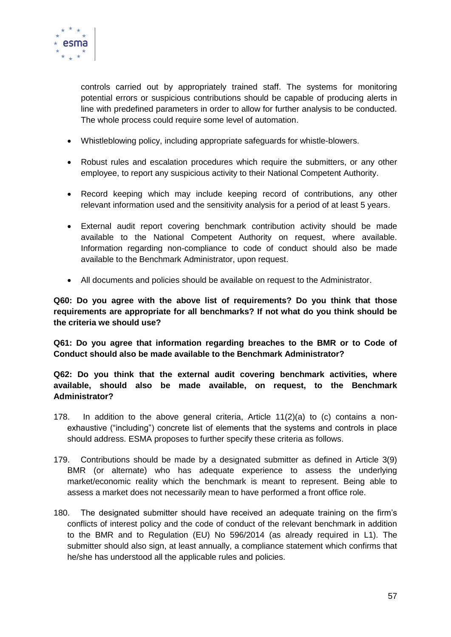

controls carried out by appropriately trained staff. The systems for monitoring potential errors or suspicious contributions should be capable of producing alerts in line with predefined parameters in order to allow for further analysis to be conducted. The whole process could require some level of automation.

- Whistleblowing policy, including appropriate safeguards for whistle-blowers.
- Robust rules and escalation procedures which require the submitters, or any other employee, to report any suspicious activity to their National Competent Authority.
- Record keeping which may include keeping record of contributions, any other relevant information used and the sensitivity analysis for a period of at least 5 years.
- External audit report covering benchmark contribution activity should be made available to the National Competent Authority on request, where available. Information regarding non-compliance to code of conduct should also be made available to the Benchmark Administrator, upon request.
- All documents and policies should be available on request to the Administrator.

**Q60: Do you agree with the above list of requirements? Do you think that those requirements are appropriate for all benchmarks? If not what do you think should be the criteria we should use?**

**Q61: Do you agree that information regarding breaches to the BMR or to Code of Conduct should also be made available to the Benchmark Administrator?** 

#### **Q62: Do you think that the external audit covering benchmark activities, where available, should also be made available, on request, to the Benchmark Administrator?**

- 178. In addition to the above general criteria, Article 11(2)(a) to (c) contains a nonexhaustive ("including") concrete list of elements that the systems and controls in place should address. ESMA proposes to further specify these criteria as follows.
- 179. Contributions should be made by a designated submitter as defined in Article 3(9) BMR (or alternate) who has adequate experience to assess the underlying market/economic reality which the benchmark is meant to represent. Being able to assess a market does not necessarily mean to have performed a front office role.
- 180. The designated submitter should have received an adequate training on the firm's conflicts of interest policy and the code of conduct of the relevant benchmark in addition to the BMR and to Regulation (EU) No 596/2014 (as already required in L1). The submitter should also sign, at least annually, a compliance statement which confirms that he/she has understood all the applicable rules and policies.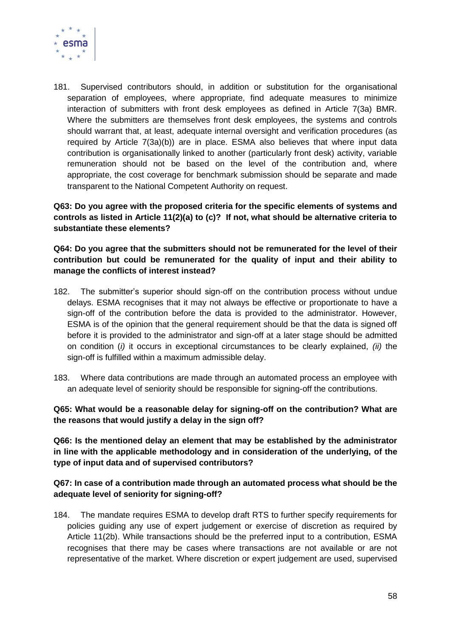

181. Supervised contributors should, in addition or substitution for the organisational separation of employees, where appropriate, find adequate measures to minimize interaction of submitters with front desk employees as defined in Article 7(3a) BMR. Where the submitters are themselves front desk employees, the systems and controls should warrant that, at least, adequate internal oversight and verification procedures (as required by Article 7(3a)(b)) are in place. ESMA also believes that where input data contribution is organisationally linked to another (particularly front desk) activity, variable remuneration should not be based on the level of the contribution and, where appropriate, the cost coverage for benchmark submission should be separate and made transparent to the National Competent Authority on request.

**Q63: Do you agree with the proposed criteria for the specific elements of systems and controls as listed in Article 11(2)(a) to (c)? If not, what should be alternative criteria to substantiate these elements?** 

**Q64: Do you agree that the submitters should not be remunerated for the level of their contribution but could be remunerated for the quality of input and their ability to manage the conflicts of interest instead?**

- 182. The submitter's superior should sign-off on the contribution process without undue delays. ESMA recognises that it may not always be effective or proportionate to have a sign-off of the contribution before the data is provided to the administrator. However, ESMA is of the opinion that the general requirement should be that the data is signed off before it is provided to the administrator and sign-off at a later stage should be admitted on condition (*i)* it occurs in exceptional circumstances to be clearly explained, *(ii)* the sign-off is fulfilled within a maximum admissible delay.
- 183. Where data contributions are made through an automated process an employee with an adequate level of seniority should be responsible for signing-off the contributions.

**Q65: What would be a reasonable delay for signing-off on the contribution? What are the reasons that would justify a delay in the sign off?**

**Q66: Is the mentioned delay an element that may be established by the administrator in line with the applicable methodology and in consideration of the underlying, of the type of input data and of supervised contributors?**

#### **Q67: In case of a contribution made through an automated process what should be the adequate level of seniority for signing-off?**

184. The mandate requires ESMA to develop draft RTS to further specify requirements for policies guiding any use of expert judgement or exercise of discretion as required by Article 11(2b). While transactions should be the preferred input to a contribution, ESMA recognises that there may be cases where transactions are not available or are not representative of the market. Where discretion or expert judgement are used, supervised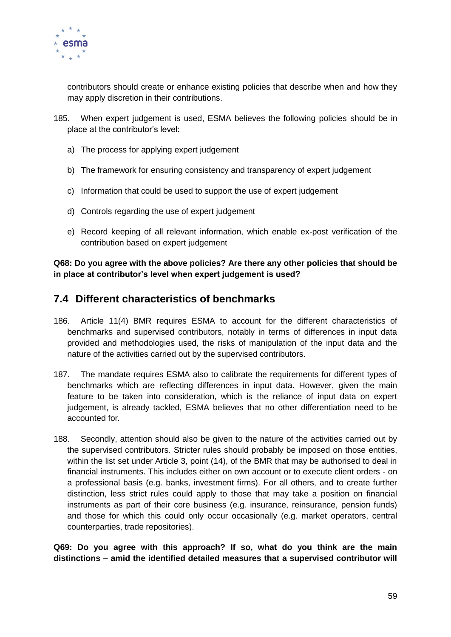

contributors should create or enhance existing policies that describe when and how they may apply discretion in their contributions.

- 185. When expert judgement is used, ESMA believes the following policies should be in place at the contributor's level:
	- a) The process for applying expert judgement
	- b) The framework for ensuring consistency and transparency of expert judgement
	- c) Information that could be used to support the use of expert judgement
	- d) Controls regarding the use of expert judgement
	- e) Record keeping of all relevant information, which enable ex-post verification of the contribution based on expert judgement

**Q68: Do you agree with the above policies? Are there any other policies that should be in place at contributor's level when expert judgement is used?** 

### **7.4 Different characteristics of benchmarks**

- 186. Article 11(4) BMR requires ESMA to account for the different characteristics of benchmarks and supervised contributors, notably in terms of differences in input data provided and methodologies used, the risks of manipulation of the input data and the nature of the activities carried out by the supervised contributors.
- 187. The mandate requires ESMA also to calibrate the requirements for different types of benchmarks which are reflecting differences in input data. However, given the main feature to be taken into consideration, which is the reliance of input data on expert judgement, is already tackled, ESMA believes that no other differentiation need to be accounted for*.*
- 188. Secondly, attention should also be given to the nature of the activities carried out by the supervised contributors. Stricter rules should probably be imposed on those entities, within the list set under Article 3, point (14), of the BMR that may be authorised to deal in financial instruments. This includes either on own account or to execute client orders - on a professional basis (e.g. banks, investment firms). For all others, and to create further distinction, less strict rules could apply to those that may take a position on financial instruments as part of their core business (e.g. insurance, reinsurance, pension funds) and those for which this could only occur occasionally (e.g. market operators, central counterparties, trade repositories).

**Q69: Do you agree with this approach? If so, what do you think are the main distinctions – amid the identified detailed measures that a supervised contributor will**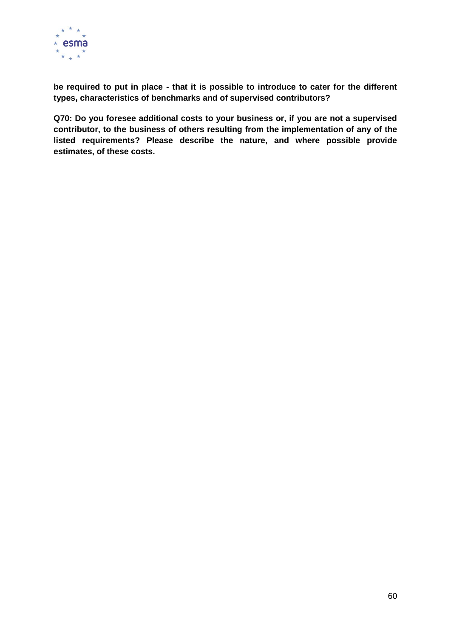

**be required to put in place - that it is possible to introduce to cater for the different types, characteristics of benchmarks and of supervised contributors?**

**Q70: Do you foresee additional costs to your business or, if you are not a supervised contributor, to the business of others resulting from the implementation of any of the listed requirements? Please describe the nature, and where possible provide estimates, of these costs.**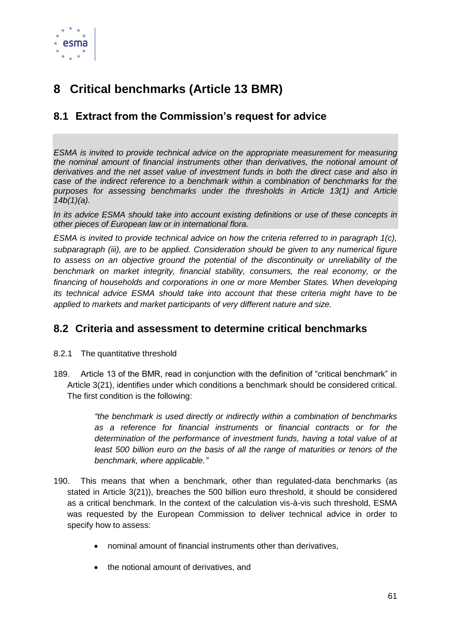

# **8 Critical benchmarks (Article 13 BMR)**

## **8.1 Extract from the Commission's request for advice**

*ESMA is invited to provide technical advice on the appropriate measurement for measuring the nominal amount of financial instruments other than derivatives, the notional amount of derivatives and the net asset value of investment funds in both the direct case and also in case of the indirect reference to a benchmark within a combination of benchmarks for the purposes for assessing benchmarks under the thresholds in Article 13(1) and Article 14b(1)(a).*

*In its advice ESMA should take into account existing definitions or use of these concepts in other pieces of European law or in international flora.*

*ESMA is invited to provide technical advice on how the criteria referred to in paragraph 1(c), subparagraph (iii), are to be applied. Consideration should be given to any numerical figure to assess on an objective ground the potential of the discontinuity or unreliability of the benchmark on market integrity, financial stability, consumers, the real economy, or the financing of households and corporations in one or more Member States. When developing its technical advice ESMA should take into account that these criteria might have to be applied to markets and market participants of very different nature and size.*

## **8.2 Criteria and assessment to determine critical benchmarks**

- 8.2.1 The quantitative threshold
- 189. Article 13 of the BMR, read in conjunction with the definition of "critical benchmark" in Article 3(21), identifies under which conditions a benchmark should be considered critical. The first condition is the following:

*"the benchmark is used directly or indirectly within a combination of benchmarks as a reference for financial instruments or financial contracts or for the determination of the performance of investment funds, having a total value of at least 500 billion euro on the basis of all the range of maturities or tenors of the benchmark, where applicable."*

- 190. This means that when a benchmark, other than regulated-data benchmarks (as stated in Article 3(21)), breaches the 500 billion euro threshold, it should be considered as a critical benchmark. In the context of the calculation vis-à-vis such threshold, ESMA was requested by the European Commission to deliver technical advice in order to specify how to assess:
	- nominal amount of financial instruments other than derivatives,
	- the notional amount of derivatives, and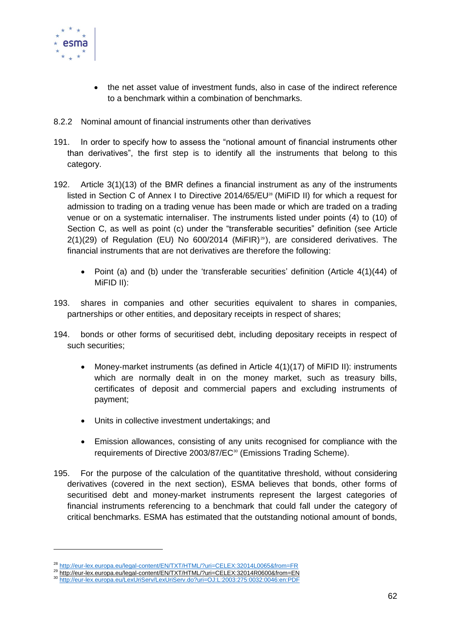

-

- the net asset value of investment funds, also in case of the indirect reference to a benchmark within a combination of benchmarks.
- 8.2.2 Nominal amount of financial instruments other than derivatives
- 191. In order to specify how to assess the "notional amount of financial instruments other than derivatives", the first step is to identify all the instruments that belong to this category.
- 192. Article 3(1)(13) of the BMR defines a financial instrument as any of the instruments listed in Section C of Annex I to Directive 2014/65/EU<sup>28</sup> (MiFID II) for which a request for admission to trading on a trading venue has been made or which are traded on a trading venue or on a systematic internaliser. The instruments listed under points (4) to (10) of Section C, as well as point (c) under the "transferable securities" definition (see Article  $2(1)(29)$  of Regulation (EU) No 600/2014 (MiFIR)<sup>29</sup>), are considered derivatives. The financial instruments that are not derivatives are therefore the following:
	- Point (a) and (b) under the 'transferable securities' definition (Article 4(1)(44) of MiFID II):
- 193. shares in companies and other securities equivalent to shares in companies, partnerships or other entities, and depositary receipts in respect of shares;
- 194. bonds or other forms of securitised debt, including depositary receipts in respect of such securities;
	- Money-market instruments (as defined in Article 4(1)(17) of MiFID II): instruments which are normally dealt in on the money market, such as treasury bills, certificates of deposit and commercial papers and excluding instruments of payment;
	- Units in collective investment undertakings; and
	- Emission allowances, consisting of any units recognised for compliance with the requirements of Directive 2003/87/EC<sup>30</sup> (Emissions Trading Scheme).
- 195. For the purpose of the calculation of the quantitative threshold, without considering derivatives (covered in the next section), ESMA believes that bonds, other forms of securitised debt and money-market instruments represent the largest categories of financial instruments referencing to a benchmark that could fall under the category of critical benchmarks. ESMA has estimated that the outstanding notional amount of bonds,

<sup>&</sup>lt;sup>28</sup> <http://eur-lex.europa.eu/legal-content/EN/TXT/HTML/?uri=CELEX:32014L0065&from=FR>

<sup>&</sup>lt;sup>29</sup> <http://eur-lex.europa.eu/legal-content/EN/TXT/HTML/?uri=CELEX:32014R0600&from=EN>

<sup>30</sup> <http://eur-lex.europa.eu/LexUriServ/LexUriServ.do?uri=OJ:L:2003:275:0032:0046:en:PDF>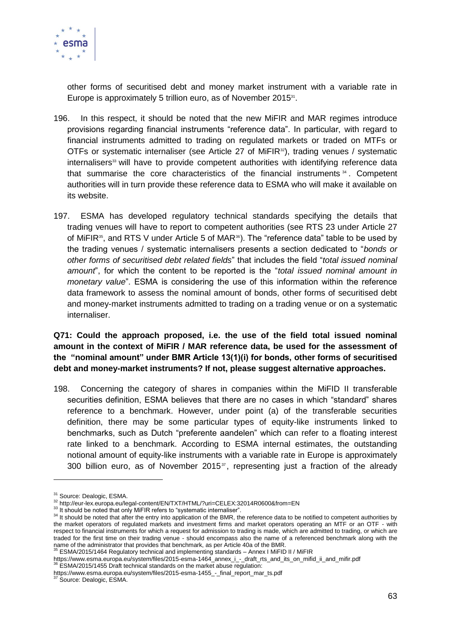

other forms of securitised debt and money market instrument with a variable rate in Europe is approximately 5 trillion euro, as of November 2015<sup>31</sup>.

- 196. In this respect, it should be noted that the new MiFIR and MAR regimes introduce provisions regarding financial instruments "reference data". In particular, with regard to financial instruments admitted to trading on regulated markets or traded on MTFs or OTFs or systematic internaliser (see Article 27 of MiFIR<sup>32</sup>), trading venues / systematic internalisers<sup>33</sup> will have to provide competent authorities with identifying reference data that summarise the core characteristics of the financial instruments  $34$ . Competent authorities will in turn provide these reference data to ESMA who will make it available on its website.
- 197. ESMA has developed regulatory technical standards specifying the details that trading venues will have to report to competent authorities (see RTS 23 under Article 27 of MiFIR<sup>35</sup>, and RTS V under Article 5 of MAR<sup>36</sup>). The "reference data" table to be used by the trading venues / systematic internalisers presents a section dedicated to "*bonds or other forms of securitised debt related fields*" that includes the field "*total issued nominal amount*", for which the content to be reported is the "*total issued nominal amount in monetary value*". ESMA is considering the use of this information within the reference data framework to assess the nominal amount of bonds, other forms of securitised debt and money-market instruments admitted to trading on a trading venue or on a systematic internaliser.

#### **Q71: Could the approach proposed, i.e. the use of the field total issued nominal amount in the context of MiFIR / MAR reference data, be used for the assessment of the "nominal amount" under BMR Article 13(1)(i) for bonds, other forms of securitised debt and money-market instruments? If not, please suggest alternative approaches.**

198. Concerning the category of shares in companies within the MiFID II transferable securities definition, ESMA believes that there are no cases in which "standard" shares reference to a benchmark. However, under point (a) of the transferable securities definition, there may be some particular types of equity-like instruments linked to benchmarks, such as Dutch "preferente aandelen" which can refer to a floating interest rate linked to a benchmark. According to ESMA internal estimates, the outstanding notional amount of equity-like instruments with a variable rate in Europe is approximately 300 billion euro, as of November 2015 $^{\circ}$ , representing just a fraction of the already

1

<sup>&</sup>lt;sup>31</sup> Source: Dealogic, ESMA.

<sup>32</sup> http://eur-lex.europa.eu/legal-content/EN/TXT/HTML/?uri=CELEX:32014R0600&from=EN

<sup>&</sup>lt;sup>33</sup> It should be noted that only MiFIR refers to "systematic internaliser".

<sup>&</sup>lt;sup>34</sup> It should be noted that after the entry into application of the BMR, the reference data to be notified to competent authorities by the market operators of regulated markets and investment firms and market operators operating an MTF or an OTF - with respect to financial instruments for which a request for admission to trading is made, which are admitted to trading, or which are traded for the first time on their trading venue - should encompass also the name of a referenced benchmark along with the name of the administrator that provides that benchmark, as per Article 40a of the BMR.

 $5$  ESMA/2015/1464 Regulatory technical and implementing standards – Annex I MiFID II / MiFIR

https://www.esma.europa.eu/system/files/2015-esma-1464\_annex\_i\_-\_draft\_rts\_and\_its\_on\_mifid\_ii\_and\_mifir.pdf

<sup>36</sup> ESMA/2015/1455 Draft technical standards on the market abuse regulation:

https://www.esma.europa.eu/system/files/2015-esma-1455\_-\_final\_report\_mar\_ts.pdf<br><sup>37</sup> Source: Dealogic, ESMA.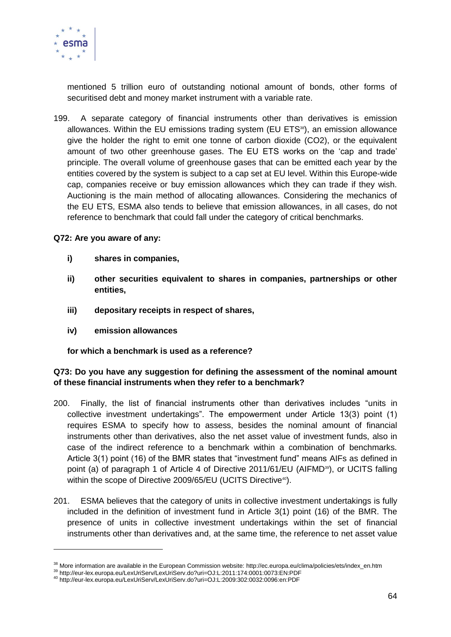

mentioned 5 trillion euro of outstanding notional amount of bonds, other forms of securitised debt and money market instrument with a variable rate.

199. A separate category of financial instruments other than derivatives is emission allowances. Within the EU emissions trading system (EU ETS<sup>38</sup>), an emission allowance give the holder the right to emit one tonne of carbon dioxide (CO2), or the equivalent amount of two other greenhouse gases. The EU ETS works on the 'cap and trade' principle. The overall volume of greenhouse gases that can be emitted each year by the entities covered by the system is subject to a cap set at EU level. Within this Europe-wide cap, companies receive or buy emission allowances which they can trade if they wish. Auctioning is the main method of allocating allowances. Considering the mechanics of the EU ETS, ESMA also tends to believe that emission allowances, in all cases, do not reference to benchmark that could fall under the category of critical benchmarks.

#### **Q72: Are you aware of any:**

- **i) shares in companies,**
- **ii) other securities equivalent to shares in companies, partnerships or other entities,**
- **iii) depositary receipts in respect of shares,**
- **iv) emission allowances**

-

#### **for which a benchmark is used as a reference?**

#### **Q73: Do you have any suggestion for defining the assessment of the nominal amount of these financial instruments when they refer to a benchmark?**

- 200. Finally, the list of financial instruments other than derivatives includes "units in collective investment undertakings". The empowerment under Article 13(3) point (1) requires ESMA to specify how to assess, besides the nominal amount of financial instruments other than derivatives, also the net asset value of investment funds, also in case of the indirect reference to a benchmark within a combination of benchmarks. Article 3(1) point (16) of the BMR states that "investment fund" means AIFs as defined in point (a) of paragraph 1 of Article 4 of Directive 2011/61/EU (AIFMD<sup>39</sup>), or UCITS falling within the scope of Directive 2009/65/EU (UCITS Directive<sup>40</sup>).
- 201. ESMA believes that the category of units in collective investment undertakings is fully included in the definition of investment fund in Article 3(1) point (16) of the BMR. The presence of units in collective investment undertakings within the set of financial instruments other than derivatives and, at the same time, the reference to net asset value

<sup>38</sup> More information are available in the European Commission website: http://ec.europa.eu/clima/policies/ets/index\_en.htm

<sup>39</sup> http://eur-lex.europa.eu/LexUriServ/LexUriServ.do?uri=OJ:L:2011:174:0001:0073:EN:PDF

<sup>40</sup> http://eur-lex.europa.eu/LexUriServ/LexUriServ.do?uri=OJ:L:2009:302:0032:0096:en:PDF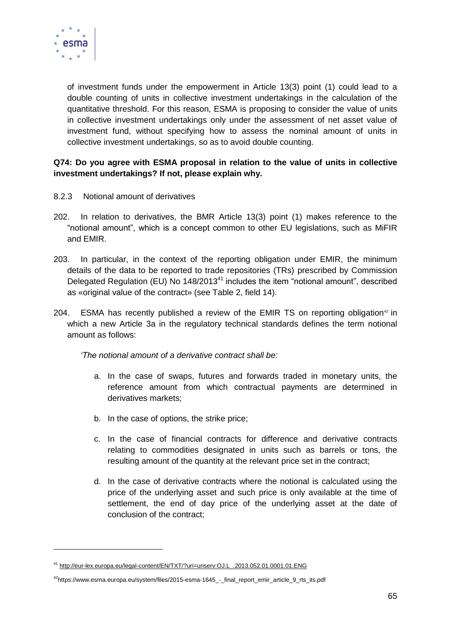

-

of investment funds under the empowerment in Article 13(3) point (1) could lead to a double counting of units in collective investment undertakings in the calculation of the quantitative threshold. For this reason, ESMA is proposing to consider the value of units in collective investment undertakings only under the assessment of net asset value of investment fund, without specifying how to assess the nominal amount of units in collective investment undertakings, so as to avoid double counting.

#### **Q74: Do you agree with ESMA proposal in relation to the value of units in collective investment undertakings? If not, please explain why.**

- 8.2.3 Notional amount of derivatives
- 202. In relation to derivatives, the BMR Article 13(3) point (1) makes reference to the "notional amount", which is a concept common to other EU legislations, such as MiFIR and EMIR.
- 203. In particular, in the context of the reporting obligation under EMIR, the minimum details of the data to be reported to trade repositories (TRs) prescribed by Commission Delegated Regulation (EU) No  $148/2013^{41}$  includes the item "notional amount", described as «original value of the contract» (see Table 2, field 14).
- 204. ESMA has recently published a review of the EMIR TS on reporting obligation<sup>42</sup> in which a new Article 3a in the regulatory technical standards defines the term notional amount as follows:

*'The notional amount of a derivative contract shall be:*

- a. In the case of swaps, futures and forwards traded in monetary units, the reference amount from which contractual payments are determined in derivatives markets;
- b. In the case of options, the strike price;
- c. In the case of financial contracts for difference and derivative contracts relating to commodities designated in units such as barrels or tons, the resulting amount of the quantity at the relevant price set in the contract;
- d. In the case of derivative contracts where the notional is calculated using the price of the underlying asset and such price is only available at the time of settlement, the end of day price of the underlying asset at the date of conclusion of the contract;

<sup>41</sup> [http://eur-lex.europa.eu/legal-content/EN/TXT/?uri=uriserv:OJ.L\\_.2013.052.01.0001.01.ENG](http://eur-lex.europa.eu/legal-content/EN/TXT/?uri=uriserv:OJ.L_.2013.052.01.0001.01.ENG)

<sup>&</sup>lt;sup>42</sup>https://www.esma.europa.eu/system/files/2015-esma-1645\_-\_final\_report\_emir\_article\_9\_rts\_its.pdf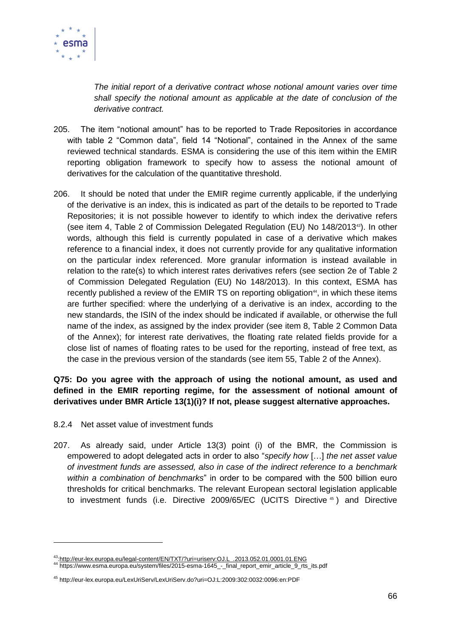

*The initial report of a derivative contract whose notional amount varies over time shall specify the notional amount as applicable at the date of conclusion of the derivative contract.*

- 205. The item "notional amount" has to be reported to Trade Repositories in accordance with table 2 "Common data", field 14 "Notional", contained in the Annex of the same reviewed technical standards. ESMA is considering the use of this item within the EMIR reporting obligation framework to specify how to assess the notional amount of derivatives for the calculation of the quantitative threshold.
- 206. It should be noted that under the EMIR regime currently applicable, if the underlying of the derivative is an index, this is indicated as part of the details to be reported to Trade Repositories; it is not possible however to identify to which index the derivative refers (see item 4, Table 2 of Commission Delegated Regulation (EU) No 148/201343). In other words, although this field is currently populated in case of a derivative which makes reference to a financial index, it does not currently provide for any qualitative information on the particular index referenced. More granular information is instead available in relation to the rate(s) to which interest rates derivatives refers (see section 2e of Table 2 of Commission Delegated Regulation (EU) No 148/2013). In this context, ESMA has recently published a review of the EMIR TS on reporting obligation<sup>44</sup>, in which these items are further specified: where the underlying of a derivative is an index, according to the new standards, the ISIN of the index should be indicated if available, or otherwise the full name of the index, as assigned by the index provider (see item 8, Table 2 Common Data of the Annex); for interest rate derivatives, the floating rate related fields provide for a close list of names of floating rates to be used for the reporting, instead of free text, as the case in the previous version of the standards (see item 55, Table 2 of the Annex).

#### **Q75: Do you agree with the approach of using the notional amount, as used and defined in the EMIR reporting regime, for the assessment of notional amount of derivatives under BMR Article 13(1)(i)? If not, please suggest alternative approaches.**

8.2.4 Net asset value of investment funds

1

207. As already said, under Article 13(3) point (i) of the BMR, the Commission is empowered to adopt delegated acts in order to also "*specify how* […] *the net asset value of investment funds are assessed, also in case of the indirect reference to a benchmark within a combination of benchmarks*" in order to be compared with the 500 billion euro thresholds for critical benchmarks. The relevant European sectoral legislation applicable to investment funds (i.e. Directive 2009/65/EC (UCITS Directive <sup>45</sup> ) and Directive

<sup>43</sup>[:http://eur-lex.europa.eu/legal-content/EN/TXT/?uri=uriserv:OJ.L\\_.2013.052.01.0001.01.ENG](http://eur-lex.europa.eu/legal-content/EN/TXT/?uri=uriserv:OJ.L_.2013.052.01.0001.01.ENG)

<sup>44</sup> https://www.esma.europa.eu/system/files/2015-esma-1645\_-\_final\_report\_emir\_article\_9\_rts\_its.pdf

<sup>45</sup> http://eur-lex.europa.eu/LexUriServ/LexUriServ.do?uri=OJ:L:2009:302:0032:0096:en:PDF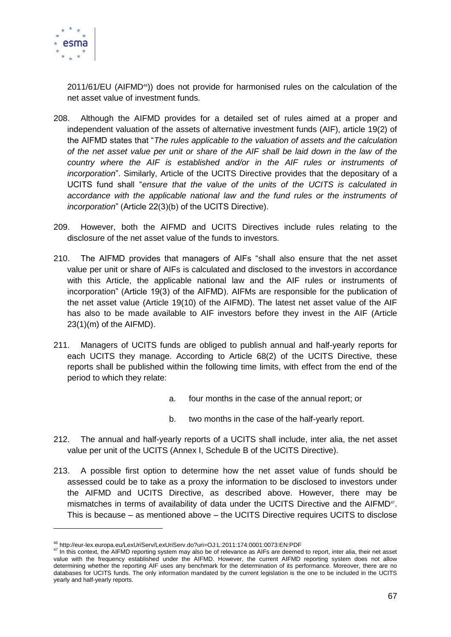

1

 $2011/61/EU$  (AIFMD<sup>46</sup>)) does not provide for harmonised rules on the calculation of the net asset value of investment funds.

- 208. Although the AIFMD provides for a detailed set of rules aimed at a proper and independent valuation of the assets of alternative investment funds (AIF), article 19(2) of the AIFMD states that "*The rules applicable to the valuation of assets and the calculation of the net asset value per unit or share of the AIF shall be laid down in the law of the*  country where the AIF is established and/or in the AIF rules or instruments of *incorporation*". Similarly, Article of the UCITS Directive provides that the depositary of a UCITS fund shall "*ensure that the value of the units of the UCITS is calculated in accordance with the applicable national law and the fund rules or the instruments of incorporation*" (Article 22(3)(b) of the UCITS Directive).
- 209. However, both the AIFMD and UCITS Directives include rules relating to the disclosure of the net asset value of the funds to investors.
- 210. The AIFMD provides that managers of AIFs "shall also ensure that the net asset value per unit or share of AIFs is calculated and disclosed to the investors in accordance with this Article, the applicable national law and the AIF rules or instruments of incorporation" (Article 19(3) of the AIFMD). AIFMs are responsible for the publication of the net asset value (Article 19(10) of the AIFMD). The latest net asset value of the AIF has also to be made available to AIF investors before they invest in the AIF (Article 23(1)(m) of the AIFMD).
- 211. Managers of UCITS funds are obliged to publish annual and half-yearly reports for each UCITS they manage. According to Article 68(2) of the UCITS Directive, these reports shall be published within the following time limits, with effect from the end of the period to which they relate:
	- a. four months in the case of the annual report; or
	- b. two months in the case of the half-yearly report.
- 212. The annual and half-yearly reports of a UCITS shall include, inter alia, the net asset value per unit of the UCITS (Annex I, Schedule B of the UCITS Directive).
- 213. A possible first option to determine how the net asset value of funds should be assessed could be to take as a proxy the information to be disclosed to investors under the AIFMD and UCITS Directive, as described above. However, there may be mismatches in terms of availability of data under the UCITS Directive and the AIFMD<sup>47</sup>. This is because – as mentioned above – the UCITS Directive requires UCITS to disclose

<sup>46</sup> http://eur-lex.europa.eu/LexUriServ/LexUriServ.do?uri=OJ:L:2011:174:0001:0073:EN:PDF

<sup>47</sup> In this context, the AIFMD reporting system may also be of relevance as AIFs are deemed to report, inter alia, their net asset value with the frequency established under the AIFMD. However, the current AIFMD reporting system does not allow determining whether the reporting AIF uses any benchmark for the determination of its performance. Moreover, there are no databases for UCITS funds. The only information mandated by the current legislation is the one to be included in the UCITS yearly and half-yearly reports.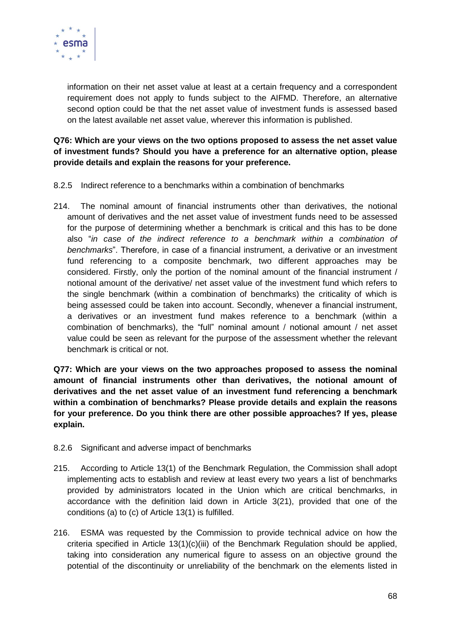

information on their net asset value at least at a certain frequency and a correspondent requirement does not apply to funds subject to the AIFMD. Therefore, an alternative second option could be that the net asset value of investment funds is assessed based on the latest available net asset value, wherever this information is published.

**Q76: Which are your views on the two options proposed to assess the net asset value of investment funds? Should you have a preference for an alternative option, please provide details and explain the reasons for your preference.**

- 8.2.5 Indirect reference to a benchmarks within a combination of benchmarks
- 214. The nominal amount of financial instruments other than derivatives, the notional amount of derivatives and the net asset value of investment funds need to be assessed for the purpose of determining whether a benchmark is critical and this has to be done also "*in case of the indirect reference to a benchmark within a combination of benchmarks*". Therefore, in case of a financial instrument, a derivative or an investment fund referencing to a composite benchmark, two different approaches may be considered. Firstly, only the portion of the nominal amount of the financial instrument / notional amount of the derivative/ net asset value of the investment fund which refers to the single benchmark (within a combination of benchmarks) the criticality of which is being assessed could be taken into account. Secondly, whenever a financial instrument, a derivatives or an investment fund makes reference to a benchmark (within a combination of benchmarks), the "full" nominal amount / notional amount / net asset value could be seen as relevant for the purpose of the assessment whether the relevant benchmark is critical or not.

**Q77: Which are your views on the two approaches proposed to assess the nominal amount of financial instruments other than derivatives, the notional amount of derivatives and the net asset value of an investment fund referencing a benchmark within a combination of benchmarks? Please provide details and explain the reasons for your preference. Do you think there are other possible approaches? If yes, please explain.**

- 8.2.6 Significant and adverse impact of benchmarks
- 215. According to Article 13(1) of the Benchmark Regulation, the Commission shall adopt implementing acts to establish and review at least every two years a list of benchmarks provided by administrators located in the Union which are critical benchmarks, in accordance with the definition laid down in Article 3(21), provided that one of the conditions (a) to (c) of Article 13(1) is fulfilled.
- 216. ESMA was requested by the Commission to provide technical advice on how the criteria specified in Article  $13(1)(c)(iii)$  of the Benchmark Regulation should be applied, taking into consideration any numerical figure to assess on an objective ground the potential of the discontinuity or unreliability of the benchmark on the elements listed in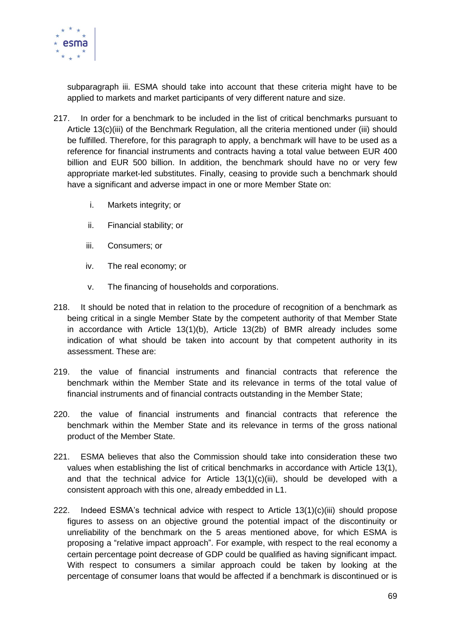

subparagraph iii. ESMA should take into account that these criteria might have to be applied to markets and market participants of very different nature and size.

- 217. In order for a benchmark to be included in the list of critical benchmarks pursuant to Article 13(c)(iii) of the Benchmark Regulation, all the criteria mentioned under (iii) should be fulfilled. Therefore, for this paragraph to apply, a benchmark will have to be used as a reference for financial instruments and contracts having a total value between EUR 400 billion and EUR 500 billion. In addition, the benchmark should have no or very few appropriate market-led substitutes. Finally, ceasing to provide such a benchmark should have a significant and adverse impact in one or more Member State on:
	- i. Markets integrity; or
	- ii. Financial stability; or
	- iii. Consumers; or
	- iv. The real economy; or
	- v. The financing of households and corporations.
- 218. It should be noted that in relation to the procedure of recognition of a benchmark as being critical in a single Member State by the competent authority of that Member State in accordance with Article 13(1)(b), Article 13(2b) of BMR already includes some indication of what should be taken into account by that competent authority in its assessment. These are:
- 219. the value of financial instruments and financial contracts that reference the benchmark within the Member State and its relevance in terms of the total value of financial instruments and of financial contracts outstanding in the Member State;
- 220. the value of financial instruments and financial contracts that reference the benchmark within the Member State and its relevance in terms of the gross national product of the Member State.
- 221. ESMA believes that also the Commission should take into consideration these two values when establishing the list of critical benchmarks in accordance with Article 13(1), and that the technical advice for Article  $13(1)(c)(iii)$ , should be developed with a consistent approach with this one, already embedded in L1.
- 222. Indeed ESMA's technical advice with respect to Article 13(1)(c)(iii) should propose figures to assess on an objective ground the potential impact of the discontinuity or unreliability of the benchmark on the 5 areas mentioned above, for which ESMA is proposing a "relative impact approach". For example, with respect to the real economy a certain percentage point decrease of GDP could be qualified as having significant impact. With respect to consumers a similar approach could be taken by looking at the percentage of consumer loans that would be affected if a benchmark is discontinued or is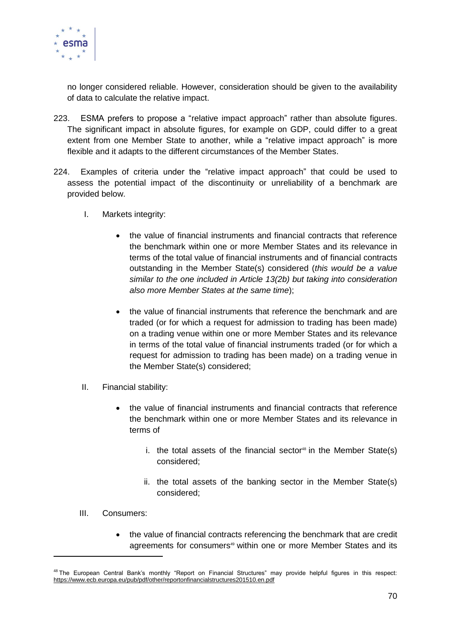

no longer considered reliable. However, consideration should be given to the availability of data to calculate the relative impact.

- 223. ESMA prefers to propose a "relative impact approach" rather than absolute figures. The significant impact in absolute figures, for example on GDP, could differ to a great extent from one Member State to another, while a "relative impact approach" is more flexible and it adapts to the different circumstances of the Member States.
- 224. Examples of criteria under the "relative impact approach" that could be used to assess the potential impact of the discontinuity or unreliability of a benchmark are provided below.
	- I. Markets integrity:
		- the value of financial instruments and financial contracts that reference the benchmark within one or more Member States and its relevance in terms of the total value of financial instruments and of financial contracts outstanding in the Member State(s) considered (*this would be a value similar to the one included in Article 13(2b) but taking into consideration also more Member States at the same time*);
		- the value of financial instruments that reference the benchmark and are traded (or for which a request for admission to trading has been made) on a trading venue within one or more Member States and its relevance in terms of the total value of financial instruments traded (or for which a request for admission to trading has been made) on a trading venue in the Member State(s) considered;
	- II. Financial stability:
		- the value of financial instruments and financial contracts that reference the benchmark within one or more Member States and its relevance in terms of
			- i. the total assets of the financial sector<sup>48</sup> in the Member State(s) considered;
			- ii. the total assets of the banking sector in the Member State(s) considered;
	- III. Consumers:

-

 the value of financial contracts referencing the benchmark that are credit agreements for consumers<sup>49</sup> within one or more Member States and its

<sup>&</sup>lt;sup>48</sup> The European Central Bank's monthly "Report on Financial Structures" may provide helpful figures in this respect: <https://www.ecb.europa.eu/pub/pdf/other/reportonfinancialstructures201510.en.pdf>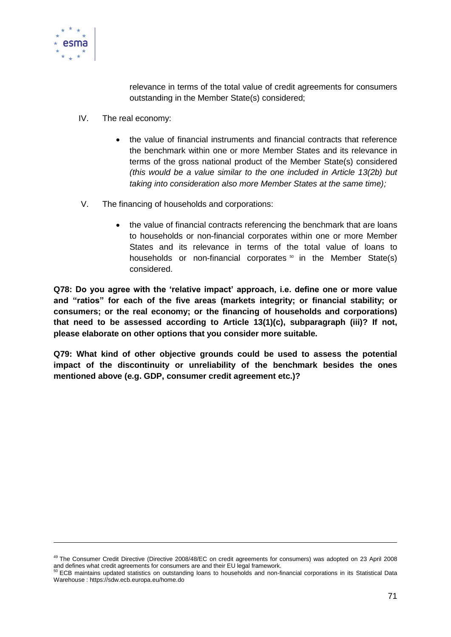

relevance in terms of the total value of credit agreements for consumers outstanding in the Member State(s) considered;

- IV. The real economy:
	- the value of financial instruments and financial contracts that reference the benchmark within one or more Member States and its relevance in terms of the gross national product of the Member State(s) considered *(this would be a value similar to the one included in Article 13(2b) but taking into consideration also more Member States at the same time);*
- V. The financing of households and corporations:
	- the value of financial contracts referencing the benchmark that are loans to households or non-financial corporates within one or more Member States and its relevance in terms of the total value of loans to households or non-financial corporates  $50$  in the Member State(s) considered.

**Q78: Do you agree with the 'relative impact' approach, i.e. define one or more value and "ratios" for each of the five areas (markets integrity; or financial stability; or consumers; or the real economy; or the financing of households and corporations) that need to be assessed according to Article 13(1)(c), subparagraph (iii)? If not, please elaborate on other options that you consider more suitable.**

**Q79: What kind of other objective grounds could be used to assess the potential impact of the discontinuity or unreliability of the benchmark besides the ones mentioned above (e.g. GDP, consumer credit agreement etc.)?** 

<sup>&</sup>lt;sup>49</sup> The Consumer Credit Directive (Directive 2008/48/EC on credit agreements for consumers) was adopted on 23 April 2008 and defines what credit agreements for consumers are and their EU legal framework.<br><sup>50</sup> ECB maintains updated statistics on outstanding loans to households and non-financial corporations in its Statistical Data

Warehouse : https://sdw.ecb.europa.eu/home.do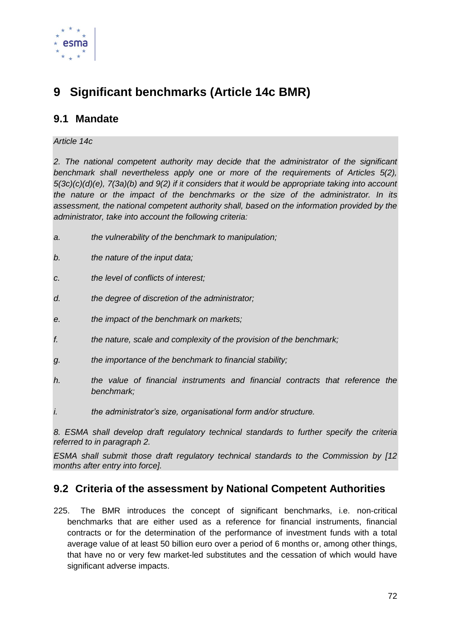

# **9 Significant benchmarks (Article 14c BMR)**

## **9.1 Mandate**

#### *Article 14c*

*2. The national competent authority may decide that the administrator of the significant benchmark shall nevertheless apply one or more of the requirements of Articles 5(2), 5(3c)(c)(d)(e), 7(3a)(b) and 9(2) if it considers that it would be appropriate taking into account the nature or the impact of the benchmarks or the size of the administrator. In its assessment, the national competent authority shall, based on the information provided by the administrator, take into account the following criteria:*

- *a. the vulnerability of the benchmark to manipulation;*
- *b. the nature of the input data;*
- *c. the level of conflicts of interest;*
- *d. the degree of discretion of the administrator;*
- *e. the impact of the benchmark on markets;*
- *f. the nature, scale and complexity of the provision of the benchmark;*
- *g. the importance of the benchmark to financial stability;*
- *h. the value of financial instruments and financial contracts that reference the benchmark;*
- *i. the administrator's size, organisational form and/or structure.*

*8. ESMA shall develop draft regulatory technical standards to further specify the criteria referred to in paragraph 2.*

*ESMA shall submit those draft regulatory technical standards to the Commission by [12 months after entry into force].* 

## **9.2 Criteria of the assessment by National Competent Authorities**

225. The BMR introduces the concept of significant benchmarks, i.e. non-critical benchmarks that are either used as a reference for financial instruments, financial contracts or for the determination of the performance of investment funds with a total average value of at least 50 billion euro over a period of 6 months or, among other things, that have no or very few market-led substitutes and the cessation of which would have significant adverse impacts.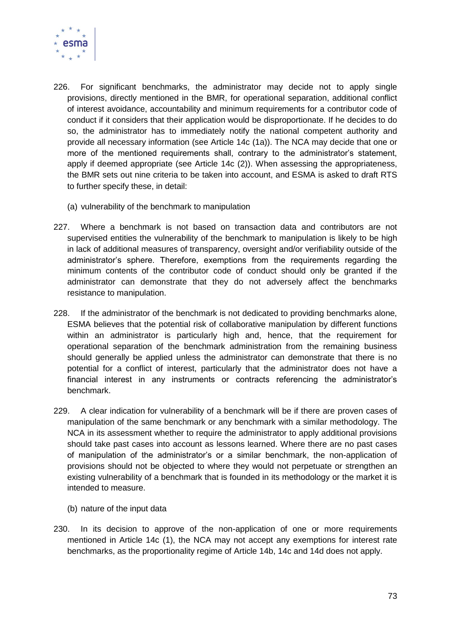

- 226. For significant benchmarks, the administrator may decide not to apply single provisions, directly mentioned in the BMR, for operational separation, additional conflict of interest avoidance, accountability and minimum requirements for a contributor code of conduct if it considers that their application would be disproportionate. If he decides to do so, the administrator has to immediately notify the national competent authority and provide all necessary information (see Article 14c (1a)). The NCA may decide that one or more of the mentioned requirements shall, contrary to the administrator's statement, apply if deemed appropriate (see Article 14c (2)). When assessing the appropriateness, the BMR sets out nine criteria to be taken into account, and ESMA is asked to draft RTS to further specify these, in detail:
	- (a) vulnerability of the benchmark to manipulation
- 227. Where a benchmark is not based on transaction data and contributors are not supervised entities the vulnerability of the benchmark to manipulation is likely to be high in lack of additional measures of transparency, oversight and/or verifiability outside of the administrator's sphere. Therefore, exemptions from the requirements regarding the minimum contents of the contributor code of conduct should only be granted if the administrator can demonstrate that they do not adversely affect the benchmarks resistance to manipulation.
- 228. If the administrator of the benchmark is not dedicated to providing benchmarks alone, ESMA believes that the potential risk of collaborative manipulation by different functions within an administrator is particularly high and, hence, that the requirement for operational separation of the benchmark administration from the remaining business should generally be applied unless the administrator can demonstrate that there is no potential for a conflict of interest, particularly that the administrator does not have a financial interest in any instruments or contracts referencing the administrator's benchmark.
- 229. A clear indication for vulnerability of a benchmark will be if there are proven cases of manipulation of the same benchmark or any benchmark with a similar methodology. The NCA in its assessment whether to require the administrator to apply additional provisions should take past cases into account as lessons learned. Where there are no past cases of manipulation of the administrator's or a similar benchmark, the non-application of provisions should not be objected to where they would not perpetuate or strengthen an existing vulnerability of a benchmark that is founded in its methodology or the market it is intended to measure.
	- (b) nature of the input data
- 230. In its decision to approve of the non-application of one or more requirements mentioned in Article 14c (1), the NCA may not accept any exemptions for interest rate benchmarks, as the proportionality regime of Article 14b, 14c and 14d does not apply.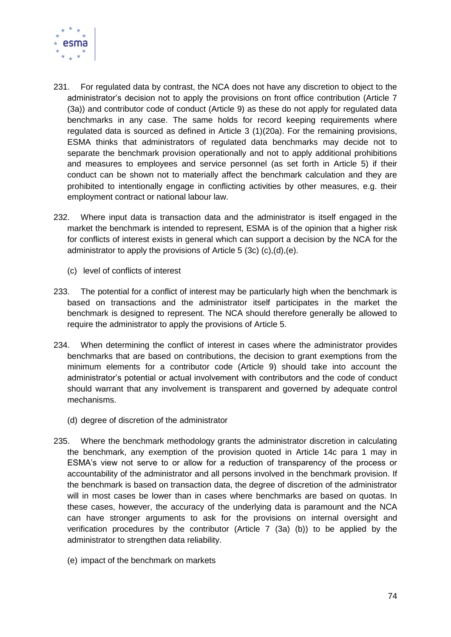

- 231. For regulated data by contrast, the NCA does not have any discretion to object to the administrator's decision not to apply the provisions on front office contribution (Article 7 (3a)) and contributor code of conduct (Article 9) as these do not apply for regulated data benchmarks in any case. The same holds for record keeping requirements where regulated data is sourced as defined in Article 3 (1)(20a). For the remaining provisions, ESMA thinks that administrators of regulated data benchmarks may decide not to separate the benchmark provision operationally and not to apply additional prohibitions and measures to employees and service personnel (as set forth in Article 5) if their conduct can be shown not to materially affect the benchmark calculation and they are prohibited to intentionally engage in conflicting activities by other measures, e.g. their employment contract or national labour law.
- 232. Where input data is transaction data and the administrator is itself engaged in the market the benchmark is intended to represent, ESMA is of the opinion that a higher risk for conflicts of interest exists in general which can support a decision by the NCA for the administrator to apply the provisions of Article 5 (3c) (c),(d),(e).
	- (c) level of conflicts of interest
- 233. The potential for a conflict of interest may be particularly high when the benchmark is based on transactions and the administrator itself participates in the market the benchmark is designed to represent. The NCA should therefore generally be allowed to require the administrator to apply the provisions of Article 5.
- 234. When determining the conflict of interest in cases where the administrator provides benchmarks that are based on contributions, the decision to grant exemptions from the minimum elements for a contributor code (Article 9) should take into account the administrator's potential or actual involvement with contributors and the code of conduct should warrant that any involvement is transparent and governed by adequate control mechanisms.
	- (d) degree of discretion of the administrator
- 235. Where the benchmark methodology grants the administrator discretion in calculating the benchmark, any exemption of the provision quoted in Article 14c para 1 may in ESMA's view not serve to or allow for a reduction of transparency of the process or accountability of the administrator and all persons involved in the benchmark provision. If the benchmark is based on transaction data, the degree of discretion of the administrator will in most cases be lower than in cases where benchmarks are based on quotas. In these cases, however, the accuracy of the underlying data is paramount and the NCA can have stronger arguments to ask for the provisions on internal oversight and verification procedures by the contributor (Article 7 (3a) (b)) to be applied by the administrator to strengthen data reliability.
	- (e) impact of the benchmark on markets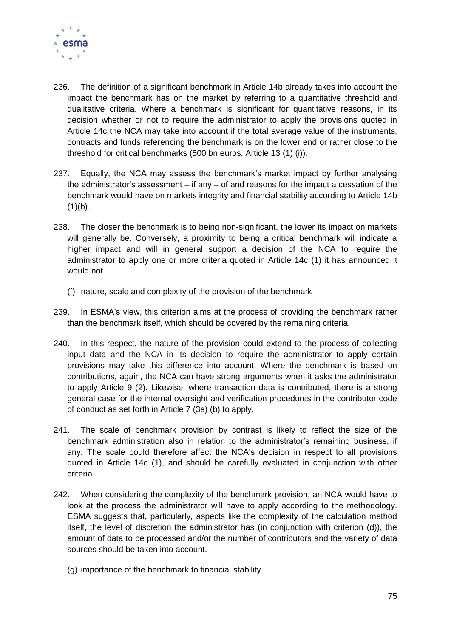

- 236. The definition of a significant benchmark in Article 14b already takes into account the impact the benchmark has on the market by referring to a quantitative threshold and qualitative criteria. Where a benchmark is significant for quantitative reasons, in its decision whether or not to require the administrator to apply the provisions quoted in Article 14c the NCA may take into account if the total average value of the instruments, contracts and funds referencing the benchmark is on the lower end or rather close to the threshold for critical benchmarks (500 bn euros, Article 13 (1) (i)).
- 237. Equally, the NCA may assess the benchmark's market impact by further analysing the administrator's assessment  $-$  if any  $-$  of and reasons for the impact a cessation of the benchmark would have on markets integrity and financial stability according to Article 14b  $(1)(b)$ .
- 238. The closer the benchmark is to being non-significant, the lower its impact on markets will generally be. Conversely, a proximity to being a critical benchmark will indicate a higher impact and will in general support a decision of the NCA to require the administrator to apply one or more criteria quoted in Article 14c (1) it has announced it would not.
	- (f) nature, scale and complexity of the provision of the benchmark
- 239. In ESMA's view, this criterion aims at the process of providing the benchmark rather than the benchmark itself, which should be covered by the remaining criteria.
- 240. In this respect, the nature of the provision could extend to the process of collecting input data and the NCA in its decision to require the administrator to apply certain provisions may take this difference into account. Where the benchmark is based on contributions, again, the NCA can have strong arguments when it asks the administrator to apply Article 9 (2). Likewise, where transaction data is contributed, there is a strong general case for the internal oversight and verification procedures in the contributor code of conduct as set forth in Article 7 (3a) (b) to apply.
- 241. The scale of benchmark provision by contrast is likely to reflect the size of the benchmark administration also in relation to the administrator's remaining business, if any. The scale could therefore affect the NCA's decision in respect to all provisions quoted in Article 14c (1), and should be carefully evaluated in conjunction with other criteria.
- 242. When considering the complexity of the benchmark provision, an NCA would have to look at the process the administrator will have to apply according to the methodology. ESMA suggests that, particularly, aspects like the complexity of the calculation method itself, the level of discretion the administrator has (in conjunction with criterion (d)), the amount of data to be processed and/or the number of contributors and the variety of data sources should be taken into account.
	- (g) importance of the benchmark to financial stability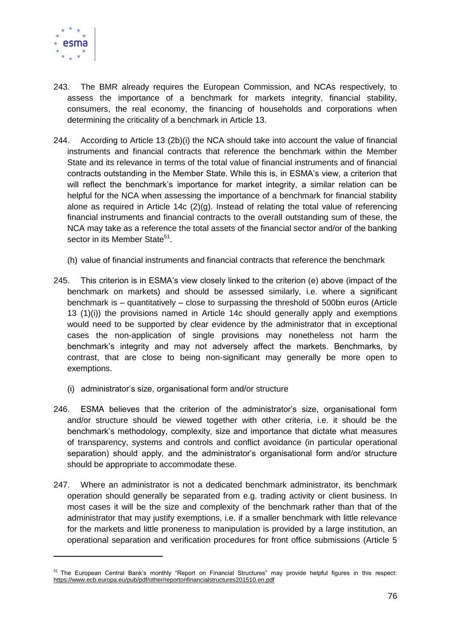

-

- 243. The BMR already requires the European Commission, and NCAs respectively, to assess the importance of a benchmark for markets integrity, financial stability, consumers, the real economy, the financing of households and corporations when determining the criticality of a benchmark in Article 13.
- 244. According to Article 13 (2b)(i) the NCA should take into account the value of financial instruments and financial contracts that reference the benchmark within the Member State and its relevance in terms of the total value of financial instruments and of financial contracts outstanding in the Member State. While this is, in ESMA's view, a criterion that will reflect the benchmark's importance for market integrity, a similar relation can be helpful for the NCA when assessing the importance of a benchmark for financial stability alone as required in Article 14c (2)(g). Instead of relating the total value of referencing financial instruments and financial contracts to the overall outstanding sum of these, the NCA may take as a reference the total assets of the financial sector and/or of the banking sector in its Member State<sup>51</sup>.
	- (h) value of financial instruments and financial contracts that reference the benchmark
- 245. This criterion is in ESMA's view closely linked to the criterion (e) above (impact of the benchmark on markets) and should be assessed similarly, i.e. where a significant benchmark is – quantitatively – close to surpassing the threshold of 500bn euros (Article 13 (1)(i)) the provisions named in Article 14c should generally apply and exemptions would need to be supported by clear evidence by the administrator that in exceptional cases the non-application of single provisions may nonetheless not harm the benchmark's integrity and may not adversely affect the markets. Benchmarks, by contrast, that are close to being non-significant may generally be more open to exemptions.
	- (i) administrator's size, organisational form and/or structure
- 246. ESMA believes that the criterion of the administrator's size, organisational form and/or structure should be viewed together with other criteria, i.e. it should be the benchmark's methodology, complexity, size and importance that dictate what measures of transparency, systems and controls and conflict avoidance (in particular operational separation) should apply, and the administrator's organisational form and/or structure should be appropriate to accommodate these.
- 247. Where an administrator is not a dedicated benchmark administrator, its benchmark operation should generally be separated from e.g. trading activity or client business. In most cases it will be the size and complexity of the benchmark rather than that of the administrator that may justify exemptions, i.e. if a smaller benchmark with little relevance for the markets and little proneness to manipulation is provided by a large institution, an operational separation and verification procedures for front office submissions (Article 5

<sup>&</sup>lt;sup>51</sup> The European Central Bank's monthly "Report on Financial Structures" may provide helpful figures in this respect: <https://www.ecb.europa.eu/pub/pdf/other/reportonfinancialstructures201510.en.pdf>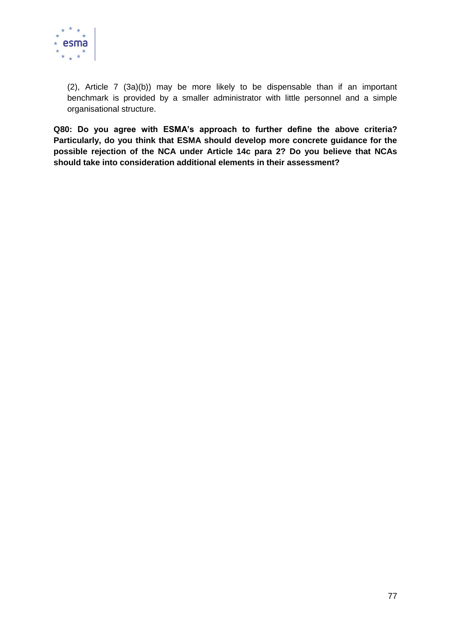

(2), Article 7 (3a)(b)) may be more likely to be dispensable than if an important benchmark is provided by a smaller administrator with little personnel and a simple organisational structure.

**Q80: Do you agree with ESMA's approach to further define the above criteria? Particularly, do you think that ESMA should develop more concrete guidance for the possible rejection of the NCA under Article 14c para 2? Do you believe that NCAs should take into consideration additional elements in their assessment?**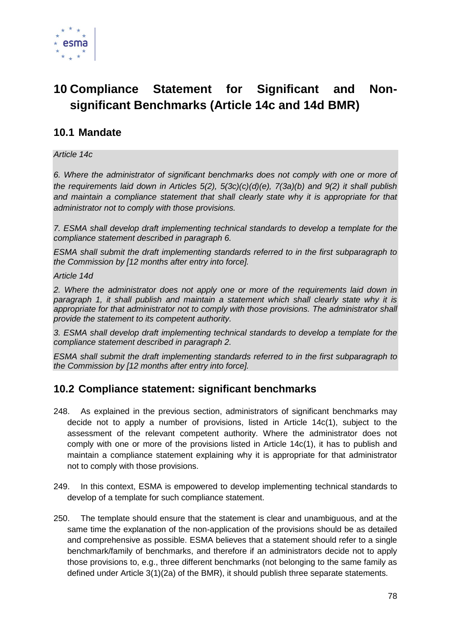

# **10 Compliance Statement for Significant and Nonsignificant Benchmarks (Article 14c and 14d BMR)**

## **10.1 Mandate**

*Article 14c*

*6. Where the administrator of significant benchmarks does not comply with one or more of the requirements laid down in Articles 5(2), 5(3c)(c)(d)(e), 7(3a)(b) and 9(2) it shall publish*  and maintain a compliance statement that shall clearly state why it is appropriate for that *administrator not to comply with those provisions.*

*7. ESMA shall develop draft implementing technical standards to develop a template for the compliance statement described in paragraph 6.*

*ESMA shall submit the draft implementing standards referred to in the first subparagraph to the Commission by [12 months after entry into force].*

*Article 14d*

*2. Where the administrator does not apply one or more of the requirements laid down in paragraph 1, it shall publish and maintain a statement which shall clearly state why it is appropriate for that administrator not to comply with those provisions. The administrator shall provide the statement to its competent authority.*

*3. ESMA shall develop draft implementing technical standards to develop a template for the compliance statement described in paragraph 2.*

*ESMA shall submit the draft implementing standards referred to in the first subparagraph to the Commission by [12 months after entry into force].*

## **10.2 Compliance statement: significant benchmarks**

- 248. As explained in the previous section, administrators of significant benchmarks may decide not to apply a number of provisions, listed in Article 14c(1), subject to the assessment of the relevant competent authority. Where the administrator does not comply with one or more of the provisions listed in Article 14c(1), it has to publish and maintain a compliance statement explaining why it is appropriate for that administrator not to comply with those provisions.
- 249. In this context, ESMA is empowered to develop implementing technical standards to develop of a template for such compliance statement.
- 250. The template should ensure that the statement is clear and unambiguous, and at the same time the explanation of the non-application of the provisions should be as detailed and comprehensive as possible. ESMA believes that a statement should refer to a single benchmark/family of benchmarks, and therefore if an administrators decide not to apply those provisions to, e.g., three different benchmarks (not belonging to the same family as defined under Article 3(1)(2a) of the BMR), it should publish three separate statements.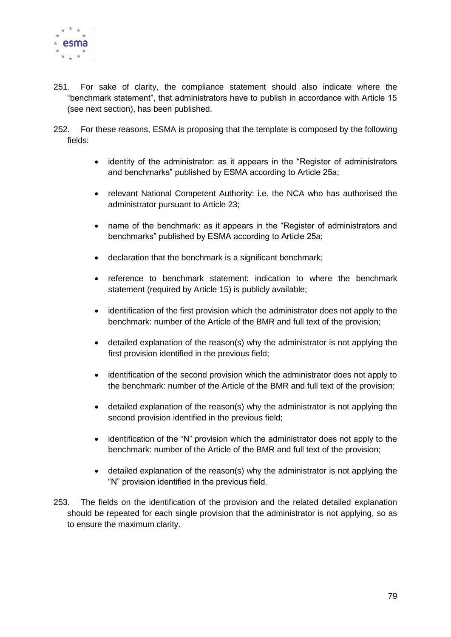

- 251. For sake of clarity, the compliance statement should also indicate where the "benchmark statement", that administrators have to publish in accordance with Article 15 (see next section), has been published.
- 252. For these reasons, ESMA is proposing that the template is composed by the following fields:
	- identity of the administrator: as it appears in the "Register of administrators and benchmarks" published by ESMA according to Article 25a;
	- relevant National Competent Authority: i.e. the NCA who has authorised the administrator pursuant to Article 23;
	- name of the benchmark: as it appears in the "Register of administrators and benchmarks" published by ESMA according to Article 25a;
	- declaration that the benchmark is a significant benchmark;
	- reference to benchmark statement: indication to where the benchmark statement (required by Article 15) is publicly available;
	- identification of the first provision which the administrator does not apply to the benchmark: number of the Article of the BMR and full text of the provision;
	- detailed explanation of the reason(s) why the administrator is not applying the first provision identified in the previous field;
	- identification of the second provision which the administrator does not apply to the benchmark: number of the Article of the BMR and full text of the provision;
	- detailed explanation of the reason(s) why the administrator is not applying the second provision identified in the previous field;
	- identification of the "N" provision which the administrator does not apply to the benchmark: number of the Article of the BMR and full text of the provision;
	- detailed explanation of the reason(s) why the administrator is not applying the "N" provision identified in the previous field.
- 253. The fields on the identification of the provision and the related detailed explanation should be repeated for each single provision that the administrator is not applying, so as to ensure the maximum clarity.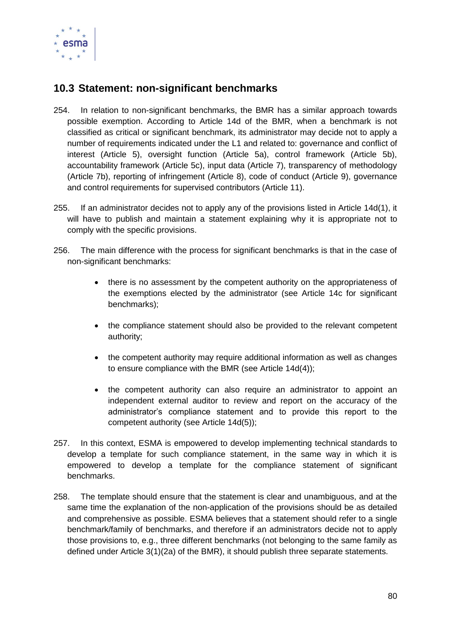

## **10.3 Statement: non-significant benchmarks**

- 254. In relation to non-significant benchmarks, the BMR has a similar approach towards possible exemption. According to Article 14d of the BMR, when a benchmark is not classified as critical or significant benchmark, its administrator may decide not to apply a number of requirements indicated under the L1 and related to: governance and conflict of interest (Article 5), oversight function (Article 5a), control framework (Article 5b), accountability framework (Article 5c), input data (Article 7), transparency of methodology (Article 7b), reporting of infringement (Article 8), code of conduct (Article 9), governance and control requirements for supervised contributors (Article 11).
- 255. If an administrator decides not to apply any of the provisions listed in Article 14d(1), it will have to publish and maintain a statement explaining why it is appropriate not to comply with the specific provisions.
- 256. The main difference with the process for significant benchmarks is that in the case of non-significant benchmarks:
	- there is no assessment by the competent authority on the appropriateness of the exemptions elected by the administrator (see Article 14c for significant benchmarks);
	- the compliance statement should also be provided to the relevant competent authority;
	- the competent authority may require additional information as well as changes to ensure compliance with the BMR (see Article 14d(4));
	- the competent authority can also require an administrator to appoint an independent external auditor to review and report on the accuracy of the administrator's compliance statement and to provide this report to the competent authority (see Article 14d(5));
- 257. In this context, ESMA is empowered to develop implementing technical standards to develop a template for such compliance statement, in the same way in which it is empowered to develop a template for the compliance statement of significant benchmarks.
- 258. The template should ensure that the statement is clear and unambiguous, and at the same time the explanation of the non-application of the provisions should be as detailed and comprehensive as possible. ESMA believes that a statement should refer to a single benchmark/family of benchmarks, and therefore if an administrators decide not to apply those provisions to, e.g., three different benchmarks (not belonging to the same family as defined under Article 3(1)(2a) of the BMR), it should publish three separate statements.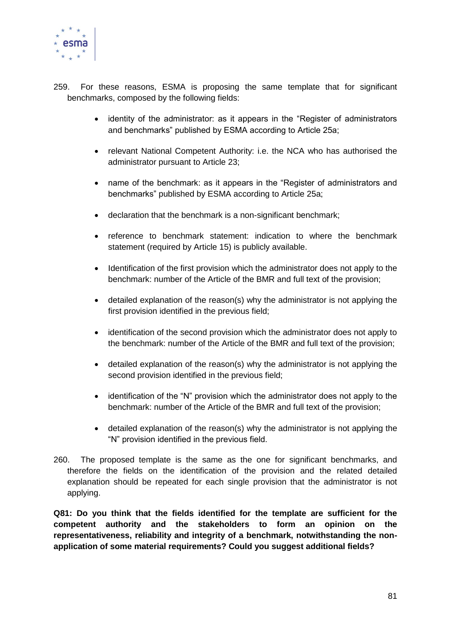

- 259. For these reasons, ESMA is proposing the same template that for significant benchmarks, composed by the following fields:
	- identity of the administrator: as it appears in the "Register of administrators and benchmarks" published by ESMA according to Article 25a;
	- relevant National Competent Authority: i.e. the NCA who has authorised the administrator pursuant to Article 23;
	- name of the benchmark: as it appears in the "Register of administrators and benchmarks" published by ESMA according to Article 25a;
	- declaration that the benchmark is a non-significant benchmark;
	- reference to benchmark statement: indication to where the benchmark statement (required by Article 15) is publicly available.
	- Identification of the first provision which the administrator does not apply to the benchmark: number of the Article of the BMR and full text of the provision;
	- detailed explanation of the reason(s) why the administrator is not applying the first provision identified in the previous field;
	- identification of the second provision which the administrator does not apply to the benchmark: number of the Article of the BMR and full text of the provision;
	- detailed explanation of the reason(s) why the administrator is not applying the second provision identified in the previous field;
	- identification of the "N" provision which the administrator does not apply to the benchmark: number of the Article of the BMR and full text of the provision;
	- detailed explanation of the reason(s) why the administrator is not applying the "N" provision identified in the previous field.
- 260. The proposed template is the same as the one for significant benchmarks, and therefore the fields on the identification of the provision and the related detailed explanation should be repeated for each single provision that the administrator is not applying.

**Q81: Do you think that the fields identified for the template are sufficient for the competent authority and the stakeholders to form an opinion on the representativeness, reliability and integrity of a benchmark, notwithstanding the nonapplication of some material requirements? Could you suggest additional fields?**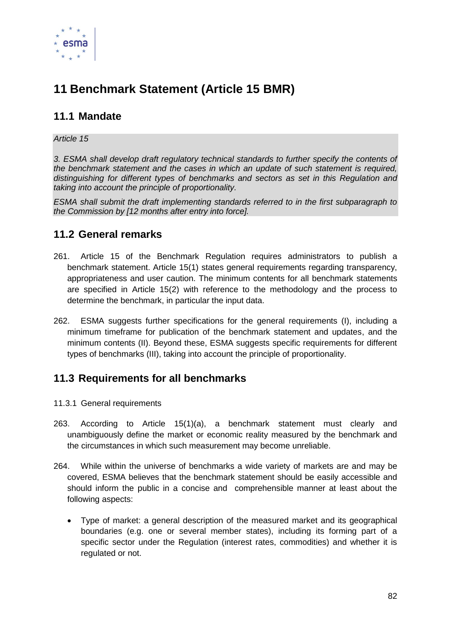

# **11 Benchmark Statement (Article 15 BMR)**

## **11.1 Mandate**

### *Article 15*

*3. ESMA shall develop draft regulatory technical standards to further specify the contents of the benchmark statement and the cases in which an update of such statement is required, distinguishing for different types of benchmarks and sectors as set in this Regulation and taking into account the principle of proportionality.* 

*ESMA shall submit the draft implementing standards referred to in the first subparagraph to the Commission by [12 months after entry into force].*

## **11.2 General remarks**

- 261. Article 15 of the Benchmark Regulation requires administrators to publish a benchmark statement. Article 15(1) states general requirements regarding transparency, appropriateness and user caution. The minimum contents for all benchmark statements are specified in Article 15(2) with reference to the methodology and the process to determine the benchmark, in particular the input data.
- 262. ESMA suggests further specifications for the general requirements (I), including a minimum timeframe for publication of the benchmark statement and updates, and the minimum contents (II). Beyond these, ESMA suggests specific requirements for different types of benchmarks (III), taking into account the principle of proportionality.

## **11.3 Requirements for all benchmarks**

- 11.3.1 General requirements
- 263. According to Article 15(1)(a), a benchmark statement must clearly and unambiguously define the market or economic reality measured by the benchmark and the circumstances in which such measurement may become unreliable.
- 264. While within the universe of benchmarks a wide variety of markets are and may be covered, ESMA believes that the benchmark statement should be easily accessible and should inform the public in a concise and comprehensible manner at least about the following aspects:
	- Type of market: a general description of the measured market and its geographical boundaries (e.g. one or several member states), including its forming part of a specific sector under the Regulation (interest rates, commodities) and whether it is regulated or not.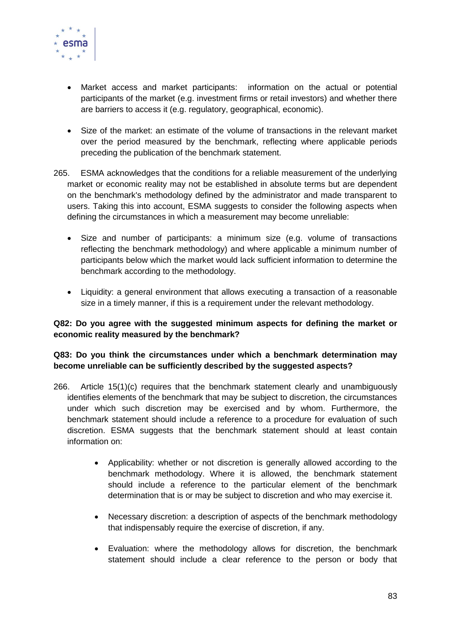

- Market access and market participants: information on the actual or potential participants of the market (e.g. investment firms or retail investors) and whether there are barriers to access it (e.g. regulatory, geographical, economic).
- Size of the market: an estimate of the volume of transactions in the relevant market over the period measured by the benchmark, reflecting where applicable periods preceding the publication of the benchmark statement.
- 265. ESMA acknowledges that the conditions for a reliable measurement of the underlying market or economic reality may not be established in absolute terms but are dependent on the benchmark's methodology defined by the administrator and made transparent to users. Taking this into account, ESMA suggests to consider the following aspects when defining the circumstances in which a measurement may become unreliable:
	- Size and number of participants: a minimum size (e.g. volume of transactions reflecting the benchmark methodology) and where applicable a minimum number of participants below which the market would lack sufficient information to determine the benchmark according to the methodology.
	- Liquidity: a general environment that allows executing a transaction of a reasonable size in a timely manner, if this is a requirement under the relevant methodology.

### **Q82: Do you agree with the suggested minimum aspects for defining the market or economic reality measured by the benchmark?**

### **Q83: Do you think the circumstances under which a benchmark determination may become unreliable can be sufficiently described by the suggested aspects?**

- 266. Article 15(1)(c) requires that the benchmark statement clearly and unambiguously identifies elements of the benchmark that may be subject to discretion, the circumstances under which such discretion may be exercised and by whom. Furthermore, the benchmark statement should include a reference to a procedure for evaluation of such discretion. ESMA suggests that the benchmark statement should at least contain information on:
	- Applicability: whether or not discretion is generally allowed according to the benchmark methodology. Where it is allowed, the benchmark statement should include a reference to the particular element of the benchmark determination that is or may be subject to discretion and who may exercise it.
	- Necessary discretion: a description of aspects of the benchmark methodology that indispensably require the exercise of discretion, if any.
	- Evaluation: where the methodology allows for discretion, the benchmark statement should include a clear reference to the person or body that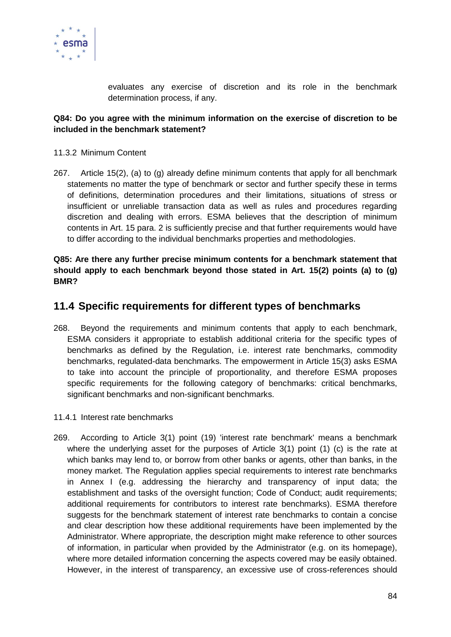

evaluates any exercise of discretion and its role in the benchmark determination process, if any.

### **Q84: Do you agree with the minimum information on the exercise of discretion to be included in the benchmark statement?**

#### 11.3.2 Minimum Content

267. Article 15(2), (a) to (g) already define minimum contents that apply for all benchmark statements no matter the type of benchmark or sector and further specify these in terms of definitions, determination procedures and their limitations, situations of stress or insufficient or unreliable transaction data as well as rules and procedures regarding discretion and dealing with errors. ESMA believes that the description of minimum contents in Art. 15 para. 2 is sufficiently precise and that further requirements would have to differ according to the individual benchmarks properties and methodologies.

### **Q85: Are there any further precise minimum contents for a benchmark statement that should apply to each benchmark beyond those stated in Art. 15(2) points (a) to (g) BMR?**

### **11.4 Specific requirements for different types of benchmarks**

268. Beyond the requirements and minimum contents that apply to each benchmark, ESMA considers it appropriate to establish additional criteria for the specific types of benchmarks as defined by the Regulation, i.e. interest rate benchmarks, commodity benchmarks, regulated-data benchmarks. The empowerment in Article 15(3) asks ESMA to take into account the principle of proportionality, and therefore ESMA proposes specific requirements for the following category of benchmarks: critical benchmarks, significant benchmarks and non-significant benchmarks.

#### 11.4.1 Interest rate benchmarks

269. According to Article 3(1) point (19) 'interest rate benchmark' means a benchmark where the underlying asset for the purposes of Article  $3(1)$  point  $(1)$  (c) is the rate at which banks may lend to, or borrow from other banks or agents, other than banks, in the money market. The Regulation applies special requirements to interest rate benchmarks in Annex I (e.g. addressing the hierarchy and transparency of input data; the establishment and tasks of the oversight function; Code of Conduct; audit requirements; additional requirements for contributors to interest rate benchmarks). ESMA therefore suggests for the benchmark statement of interest rate benchmarks to contain a concise and clear description how these additional requirements have been implemented by the Administrator. Where appropriate, the description might make reference to other sources of information, in particular when provided by the Administrator (e.g. on its homepage), where more detailed information concerning the aspects covered may be easily obtained. However, in the interest of transparency, an excessive use of cross-references should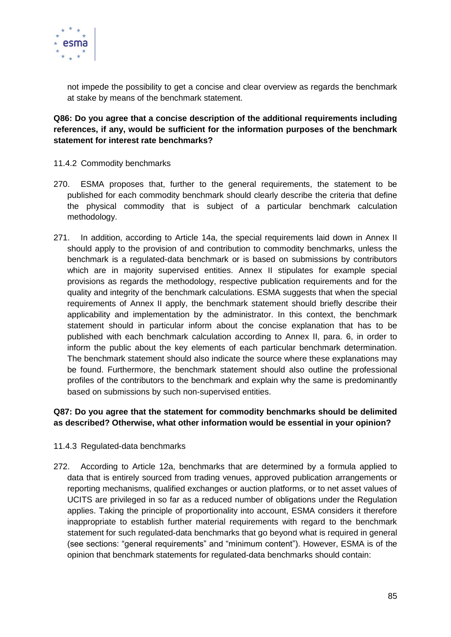

not impede the possibility to get a concise and clear overview as regards the benchmark at stake by means of the benchmark statement.

**Q86: Do you agree that a concise description of the additional requirements including references, if any, would be sufficient for the information purposes of the benchmark statement for interest rate benchmarks?**

- 11.4.2 Commodity benchmarks
- 270. ESMA proposes that, further to the general requirements, the statement to be published for each commodity benchmark should clearly describe the criteria that define the physical commodity that is subject of a particular benchmark calculation methodology.
- 271. In addition, according to Article 14a, the special requirements laid down in Annex II should apply to the provision of and contribution to commodity benchmarks, unless the benchmark is a regulated-data benchmark or is based on submissions by contributors which are in majority supervised entities. Annex II stipulates for example special provisions as regards the methodology, respective publication requirements and for the quality and integrity of the benchmark calculations. ESMA suggests that when the special requirements of Annex II apply, the benchmark statement should briefly describe their applicability and implementation by the administrator. In this context, the benchmark statement should in particular inform about the concise explanation that has to be published with each benchmark calculation according to Annex II, para. 6, in order to inform the public about the key elements of each particular benchmark determination. The benchmark statement should also indicate the source where these explanations may be found. Furthermore, the benchmark statement should also outline the professional profiles of the contributors to the benchmark and explain why the same is predominantly based on submissions by such non-supervised entities.

### **Q87: Do you agree that the statement for commodity benchmarks should be delimited as described? Otherwise, what other information would be essential in your opinion?**

- 11.4.3 Regulated-data benchmarks
- 272. According to Article 12a, benchmarks that are determined by a formula applied to data that is entirely sourced from trading venues, approved publication arrangements or reporting mechanisms, qualified exchanges or auction platforms, or to net asset values of UCITS are privileged in so far as a reduced number of obligations under the Regulation applies. Taking the principle of proportionality into account, ESMA considers it therefore inappropriate to establish further material requirements with regard to the benchmark statement for such regulated-data benchmarks that go beyond what is required in general (see sections: "general requirements" and "minimum content"). However, ESMA is of the opinion that benchmark statements for regulated-data benchmarks should contain: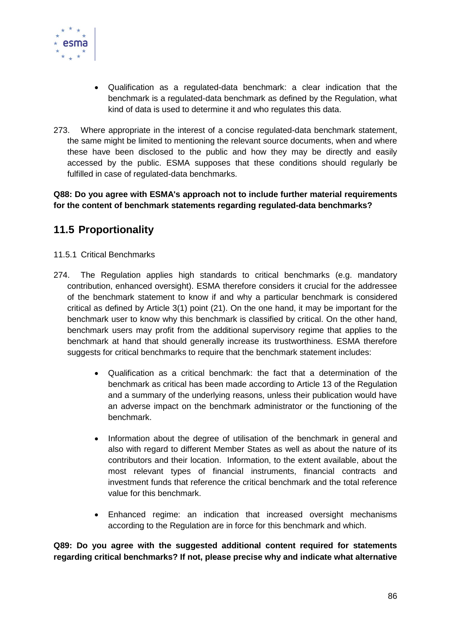

- Qualification as a regulated-data benchmark: a clear indication that the benchmark is a regulated-data benchmark as defined by the Regulation, what kind of data is used to determine it and who regulates this data.
- 273. Where appropriate in the interest of a concise regulated-data benchmark statement, the same might be limited to mentioning the relevant source documents, when and where these have been disclosed to the public and how they may be directly and easily accessed by the public. ESMA supposes that these conditions should regularly be fulfilled in case of regulated-data benchmarks.

**Q88: Do you agree with ESMA's approach not to include further material requirements for the content of benchmark statements regarding regulated-data benchmarks?**

## **11.5 Proportionality**

### 11.5.1 Critical Benchmarks

- 274. The Regulation applies high standards to critical benchmarks (e.g. mandatory contribution, enhanced oversight). ESMA therefore considers it crucial for the addressee of the benchmark statement to know if and why a particular benchmark is considered critical as defined by Article 3(1) point (21). On the one hand, it may be important for the benchmark user to know why this benchmark is classified by critical. On the other hand, benchmark users may profit from the additional supervisory regime that applies to the benchmark at hand that should generally increase its trustworthiness. ESMA therefore suggests for critical benchmarks to require that the benchmark statement includes:
	- Qualification as a critical benchmark: the fact that a determination of the benchmark as critical has been made according to Article 13 of the Regulation and a summary of the underlying reasons, unless their publication would have an adverse impact on the benchmark administrator or the functioning of the benchmark.
	- Information about the degree of utilisation of the benchmark in general and also with regard to different Member States as well as about the nature of its contributors and their location. Information, to the extent available, about the most relevant types of financial instruments, financial contracts and investment funds that reference the critical benchmark and the total reference value for this benchmark.
	- Enhanced regime: an indication that increased oversight mechanisms according to the Regulation are in force for this benchmark and which.

**Q89: Do you agree with the suggested additional content required for statements regarding critical benchmarks? If not, please precise why and indicate what alternative**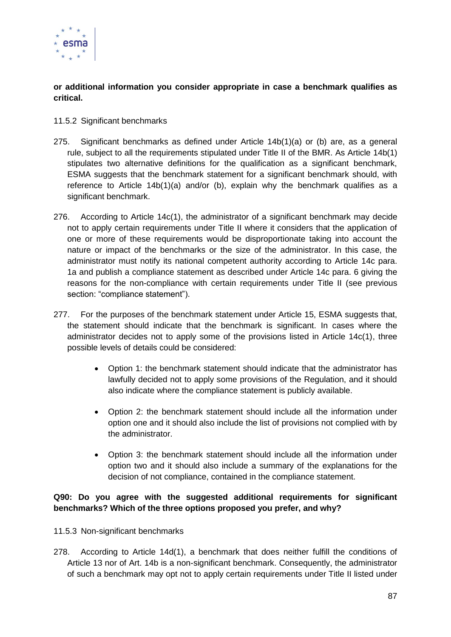

**or additional information you consider appropriate in case a benchmark qualifies as critical.**

### 11.5.2 Significant benchmarks

- 275. Significant benchmarks as defined under Article 14b(1)(a) or (b) are, as a general rule, subject to all the requirements stipulated under Title II of the BMR. As Article 14b(1) stipulates two alternative definitions for the qualification as a significant benchmark, ESMA suggests that the benchmark statement for a significant benchmark should, with reference to Article 14b(1)(a) and/or (b), explain why the benchmark qualifies as a significant benchmark.
- 276. According to Article 14c(1), the administrator of a significant benchmark may decide not to apply certain requirements under Title II where it considers that the application of one or more of these requirements would be disproportionate taking into account the nature or impact of the benchmarks or the size of the administrator. In this case, the administrator must notify its national competent authority according to Article 14c para. 1a and publish a compliance statement as described under Article 14c para. 6 giving the reasons for the non-compliance with certain requirements under Title II (see previous section: "compliance statement").
- 277. For the purposes of the benchmark statement under Article 15, ESMA suggests that, the statement should indicate that the benchmark is significant. In cases where the administrator decides not to apply some of the provisions listed in Article 14c(1), three possible levels of details could be considered:
	- Option 1: the benchmark statement should indicate that the administrator has lawfully decided not to apply some provisions of the Regulation, and it should also indicate where the compliance statement is publicly available.
	- Option 2: the benchmark statement should include all the information under option one and it should also include the list of provisions not complied with by the administrator.
	- Option 3: the benchmark statement should include all the information under option two and it should also include a summary of the explanations for the decision of not compliance, contained in the compliance statement.

### **Q90: Do you agree with the suggested additional requirements for significant benchmarks? Which of the three options proposed you prefer, and why?**

- 11.5.3 Non-significant benchmarks
- 278. According to Article 14d(1), a benchmark that does neither fulfill the conditions of Article 13 nor of Art. 14b is a non-significant benchmark. Consequently, the administrator of such a benchmark may opt not to apply certain requirements under Title II listed under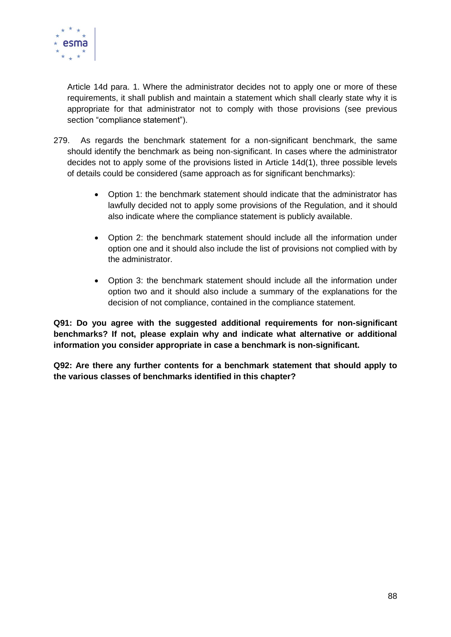

Article 14d para. 1. Where the administrator decides not to apply one or more of these requirements, it shall publish and maintain a statement which shall clearly state why it is appropriate for that administrator not to comply with those provisions (see previous section "compliance statement").

- 279. As regards the benchmark statement for a non-significant benchmark, the same should identify the benchmark as being non-significant. In cases where the administrator decides not to apply some of the provisions listed in Article 14d(1), three possible levels of details could be considered (same approach as for significant benchmarks):
	- Option 1: the benchmark statement should indicate that the administrator has lawfully decided not to apply some provisions of the Regulation, and it should also indicate where the compliance statement is publicly available.
	- Option 2: the benchmark statement should include all the information under option one and it should also include the list of provisions not complied with by the administrator.
	- Option 3: the benchmark statement should include all the information under option two and it should also include a summary of the explanations for the decision of not compliance, contained in the compliance statement.

**Q91: Do you agree with the suggested additional requirements for non-significant benchmarks? If not, please explain why and indicate what alternative or additional information you consider appropriate in case a benchmark is non-significant.** 

**Q92: Are there any further contents for a benchmark statement that should apply to the various classes of benchmarks identified in this chapter?**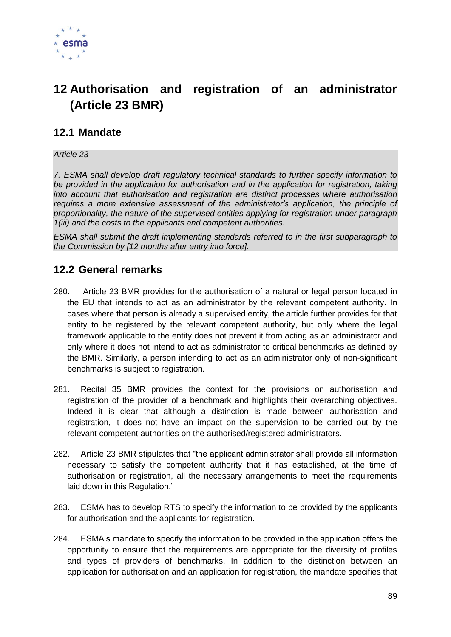

# **12 Authorisation and registration of an administrator (Article 23 BMR)**

## **12.1 Mandate**

*Article 23*

*7. ESMA shall develop draft regulatory technical standards to further specify information to be provided in the application for authorisation and in the application for registration, taking into account that authorisation and registration are distinct processes where authorisation requires a more extensive assessment of the administrator's application, the principle of proportionality, the nature of the supervised entities applying for registration under paragraph 1(iii) and the costs to the applicants and competent authorities.* 

*ESMA shall submit the draft implementing standards referred to in the first subparagraph to the Commission by [12 months after entry into force].*

### **12.2 General remarks**

- 280. Article 23 BMR provides for the authorisation of a natural or legal person located in the EU that intends to act as an administrator by the relevant competent authority. In cases where that person is already a supervised entity, the article further provides for that entity to be registered by the relevant competent authority, but only where the legal framework applicable to the entity does not prevent it from acting as an administrator and only where it does not intend to act as administrator to critical benchmarks as defined by the BMR. Similarly, a person intending to act as an administrator only of non-significant benchmarks is subject to registration.
- 281. Recital 35 BMR provides the context for the provisions on authorisation and registration of the provider of a benchmark and highlights their overarching objectives. Indeed it is clear that although a distinction is made between authorisation and registration, it does not have an impact on the supervision to be carried out by the relevant competent authorities on the authorised/registered administrators.
- 282. Article 23 BMR stipulates that "the applicant administrator shall provide all information necessary to satisfy the competent authority that it has established, at the time of authorisation or registration, all the necessary arrangements to meet the requirements laid down in this Regulation."
- 283. ESMA has to develop RTS to specify the information to be provided by the applicants for authorisation and the applicants for registration.
- 284. ESMA's mandate to specify the information to be provided in the application offers the opportunity to ensure that the requirements are appropriate for the diversity of profiles and types of providers of benchmarks. In addition to the distinction between an application for authorisation and an application for registration, the mandate specifies that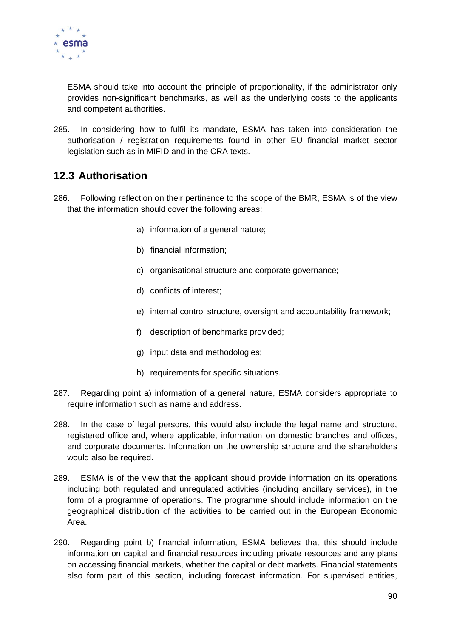

ESMA should take into account the principle of proportionality, if the administrator only provides non-significant benchmarks, as well as the underlying costs to the applicants and competent authorities.

285. In considering how to fulfil its mandate, ESMA has taken into consideration the authorisation / registration requirements found in other EU financial market sector legislation such as in MIFID and in the CRA texts.

## **12.3 Authorisation**

- 286. Following reflection on their pertinence to the scope of the BMR, ESMA is of the view that the information should cover the following areas:
	- a) information of a general nature;
	- b) financial information;
	- c) organisational structure and corporate governance;
	- d) conflicts of interest;
	- e) internal control structure, oversight and accountability framework;
	- f) description of benchmarks provided;
	- g) input data and methodologies;
	- h) requirements for specific situations.
- 287. Regarding point a) information of a general nature, ESMA considers appropriate to require information such as name and address.
- 288. In the case of legal persons, this would also include the legal name and structure, registered office and, where applicable, information on domestic branches and offices, and corporate documents. Information on the ownership structure and the shareholders would also be required.
- 289. ESMA is of the view that the applicant should provide information on its operations including both regulated and unregulated activities (including ancillary services), in the form of a programme of operations. The programme should include information on the geographical distribution of the activities to be carried out in the European Economic Area.
- 290. Regarding point b) financial information, ESMA believes that this should include information on capital and financial resources including private resources and any plans on accessing financial markets, whether the capital or debt markets. Financial statements also form part of this section, including forecast information. For supervised entities,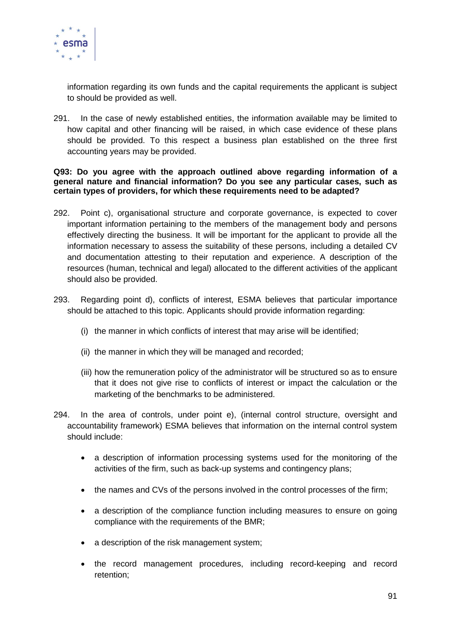

information regarding its own funds and the capital requirements the applicant is subject to should be provided as well.

291. In the case of newly established entities, the information available may be limited to how capital and other financing will be raised, in which case evidence of these plans should be provided. To this respect a business plan established on the three first accounting years may be provided.

**Q93: Do you agree with the approach outlined above regarding information of a general nature and financial information? Do you see any particular cases, such as certain types of providers, for which these requirements need to be adapted?**

- 292. Point c), organisational structure and corporate governance, is expected to cover important information pertaining to the members of the management body and persons effectively directing the business. It will be important for the applicant to provide all the information necessary to assess the suitability of these persons, including a detailed CV and documentation attesting to their reputation and experience. A description of the resources (human, technical and legal) allocated to the different activities of the applicant should also be provided.
- 293. Regarding point d), conflicts of interest, ESMA believes that particular importance should be attached to this topic. Applicants should provide information regarding:
	- (i) the manner in which conflicts of interest that may arise will be identified;
	- (ii) the manner in which they will be managed and recorded;
	- (iii) how the remuneration policy of the administrator will be structured so as to ensure that it does not give rise to conflicts of interest or impact the calculation or the marketing of the benchmarks to be administered.
- 294. In the area of controls, under point e), (internal control structure, oversight and accountability framework) ESMA believes that information on the internal control system should include:
	- a description of information processing systems used for the monitoring of the activities of the firm, such as back-up systems and contingency plans;
	- the names and CVs of the persons involved in the control processes of the firm;
	- a description of the compliance function including measures to ensure on going compliance with the requirements of the BMR;
	- a description of the risk management system;
	- the record management procedures, including record-keeping and record retention;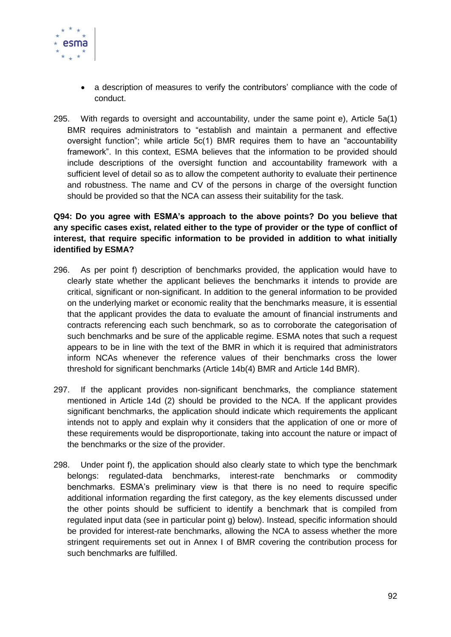

- a description of measures to verify the contributors' compliance with the code of conduct.
- 295. With regards to oversight and accountability, under the same point e), Article 5a(1) BMR requires administrators to "establish and maintain a permanent and effective oversight function"; while article 5c(1) BMR requires them to have an "accountability framework". In this context, ESMA believes that the information to be provided should include descriptions of the oversight function and accountability framework with a sufficient level of detail so as to allow the competent authority to evaluate their pertinence and robustness. The name and CV of the persons in charge of the oversight function should be provided so that the NCA can assess their suitability for the task.

### **Q94: Do you agree with ESMA's approach to the above points? Do you believe that any specific cases exist, related either to the type of provider or the type of conflict of interest, that require specific information to be provided in addition to what initially identified by ESMA?**

- 296. As per point f) description of benchmarks provided, the application would have to clearly state whether the applicant believes the benchmarks it intends to provide are critical, significant or non-significant. In addition to the general information to be provided on the underlying market or economic reality that the benchmarks measure, it is essential that the applicant provides the data to evaluate the amount of financial instruments and contracts referencing each such benchmark, so as to corroborate the categorisation of such benchmarks and be sure of the applicable regime. ESMA notes that such a request appears to be in line with the text of the BMR in which it is required that administrators inform NCAs whenever the reference values of their benchmarks cross the lower threshold for significant benchmarks (Article 14b(4) BMR and Article 14d BMR).
- 297. If the applicant provides non-significant benchmarks, the compliance statement mentioned in Article 14d (2) should be provided to the NCA. If the applicant provides significant benchmarks, the application should indicate which requirements the applicant intends not to apply and explain why it considers that the application of one or more of these requirements would be disproportionate, taking into account the nature or impact of the benchmarks or the size of the provider.
- 298. Under point f), the application should also clearly state to which type the benchmark belongs: regulated-data benchmarks, interest-rate benchmarks or commodity benchmarks. ESMA's preliminary view is that there is no need to require specific additional information regarding the first category, as the key elements discussed under the other points should be sufficient to identify a benchmark that is compiled from regulated input data (see in particular point g) below). Instead, specific information should be provided for interest-rate benchmarks, allowing the NCA to assess whether the more stringent requirements set out in Annex I of BMR covering the contribution process for such benchmarks are fulfilled.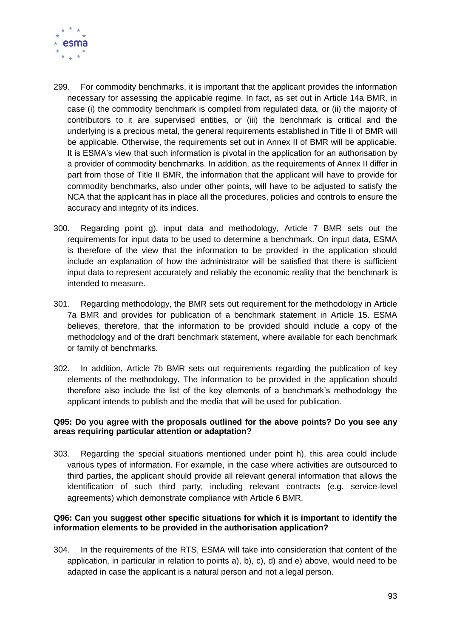

- 299. For commodity benchmarks, it is important that the applicant provides the information necessary for assessing the applicable regime. In fact, as set out in Article 14a BMR, in case (i) the commodity benchmark is compiled from regulated data, or (ii) the majority of contributors to it are supervised entities, or (iii) the benchmark is critical and the underlying is a precious metal, the general requirements established in Title II of BMR will be applicable. Otherwise, the requirements set out in Annex II of BMR will be applicable. It is ESMA's view that such information is pivotal in the application for an authorisation by a provider of commodity benchmarks. In addition, as the requirements of Annex II differ in part from those of Title II BMR, the information that the applicant will have to provide for commodity benchmarks, also under other points, will have to be adjusted to satisfy the NCA that the applicant has in place all the procedures, policies and controls to ensure the accuracy and integrity of its indices.
- 300. Regarding point g), input data and methodology, Article 7 BMR sets out the requirements for input data to be used to determine a benchmark. On input data, ESMA is therefore of the view that the information to be provided in the application should include an explanation of how the administrator will be satisfied that there is sufficient input data to represent accurately and reliably the economic reality that the benchmark is intended to measure.
- 301. Regarding methodology, the BMR sets out requirement for the methodology in Article 7a BMR and provides for publication of a benchmark statement in Article 15. ESMA believes, therefore, that the information to be provided should include a copy of the methodology and of the draft benchmark statement, where available for each benchmark or family of benchmarks.
- 302. In addition, Article 7b BMR sets out requirements regarding the publication of key elements of the methodology. The information to be provided in the application should therefore also include the list of the key elements of a benchmark's methodology the applicant intends to publish and the media that will be used for publication.

#### **Q95: Do you agree with the proposals outlined for the above points? Do you see any areas requiring particular attention or adaptation?**

303. Regarding the special situations mentioned under point h), this area could include various types of information. For example, in the case where activities are outsourced to third parties, the applicant should provide all relevant general information that allows the identification of such third party, including relevant contracts (e.g. service-level agreements) which demonstrate compliance with Article 6 BMR.

#### **Q96: Can you suggest other specific situations for which it is important to identify the information elements to be provided in the authorisation application?**

304. In the requirements of the RTS, ESMA will take into consideration that content of the application, in particular in relation to points a), b), c), d) and e) above, would need to be adapted in case the applicant is a natural person and not a legal person.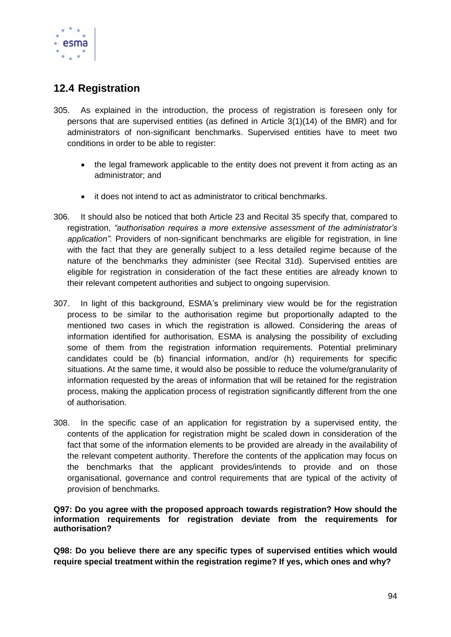

## **12.4 Registration**

- 305. As explained in the introduction, the process of registration is foreseen only for persons that are supervised entities (as defined in Article 3(1)(14) of the BMR) and for administrators of non-significant benchmarks. Supervised entities have to meet two conditions in order to be able to register:
	- the legal framework applicable to the entity does not prevent it from acting as an administrator; and
	- it does not intend to act as administrator to critical benchmarks.
- 306. It should also be noticed that both Article 23 and Recital 35 specify that, compared to registration, *"authorisation requires a more extensive assessment of the administrator's application"*. Providers of non-significant benchmarks are eligible for registration, in line with the fact that they are generally subject to a less detailed regime because of the nature of the benchmarks they administer (see Recital 31d). Supervised entities are eligible for registration in consideration of the fact these entities are already known to their relevant competent authorities and subject to ongoing supervision.
- 307. In light of this background, ESMA's preliminary view would be for the registration process to be similar to the authorisation regime but proportionally adapted to the mentioned two cases in which the registration is allowed. Considering the areas of information identified for authorisation, ESMA is analysing the possibility of excluding some of them from the registration information requirements. Potential preliminary candidates could be (b) financial information, and/or (h) requirements for specific situations. At the same time, it would also be possible to reduce the volume/granularity of information requested by the areas of information that will be retained for the registration process, making the application process of registration significantly different from the one of authorisation.
- 308. In the specific case of an application for registration by a supervised entity, the contents of the application for registration might be scaled down in consideration of the fact that some of the information elements to be provided are already in the availability of the relevant competent authority. Therefore the contents of the application may focus on the benchmarks that the applicant provides/intends to provide and on those organisational, governance and control requirements that are typical of the activity of provision of benchmarks.

**Q97: Do you agree with the proposed approach towards registration? How should the information requirements for registration deviate from the requirements for authorisation?** 

**Q98: Do you believe there are any specific types of supervised entities which would require special treatment within the registration regime? If yes, which ones and why?**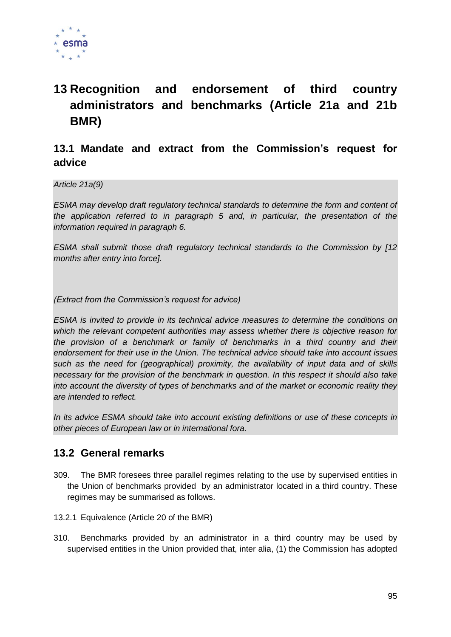

# **13 Recognition and endorsement of third country administrators and benchmarks (Article 21a and 21b BMR)**

## **13.1 Mandate and extract from the Commission's request for advice**

*Article 21a(9)*

*ESMA may develop draft regulatory technical standards to determine the form and content of the application referred to in paragraph 5 and, in particular, the presentation of the information required in paragraph 6.*

*ESMA shall submit those draft regulatory technical standards to the Commission by [12 months after entry into force].*

*(Extract from the Commission's request for advice)*

*ESMA is invited to provide in its technical advice measures to determine the conditions on which the relevant competent authorities may assess whether there is objective reason for the provision of a benchmark or family of benchmarks in a third country and their endorsement for their use in the Union. The technical advice should take into account issues such as the need for (geographical) proximity, the availability of input data and of skills necessary for the provision of the benchmark in question. In this respect it should also take into account the diversity of types of benchmarks and of the market or economic reality they are intended to reflect.*

*In its advice ESMA should take into account existing definitions or use of these concepts in other pieces of European law or in international fora.*

### **13.2 General remarks**

- 309. The BMR foresees three parallel regimes relating to the use by supervised entities in the Union of benchmarks provided by an administrator located in a third country. These regimes may be summarised as follows.
- 13.2.1 Equivalence (Article 20 of the BMR)
- 310. Benchmarks provided by an administrator in a third country may be used by supervised entities in the Union provided that, inter alia, (1) the Commission has adopted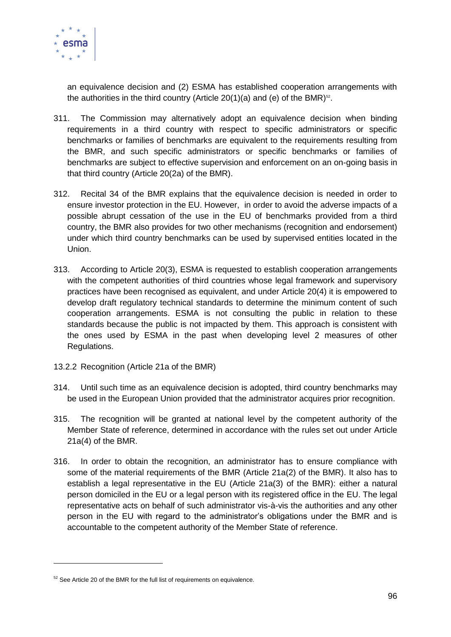

an equivalence decision and (2) ESMA has established cooperation arrangements with the authorities in the third country (Article 20(1)(a) and (e) of the BMR) $^{52}$ .

- 311. The Commission may alternatively adopt an equivalence decision when binding requirements in a third country with respect to specific administrators or specific benchmarks or families of benchmarks are equivalent to the requirements resulting from the BMR, and such specific administrators or specific benchmarks or families of benchmarks are subject to effective supervision and enforcement on an on-going basis in that third country (Article 20(2a) of the BMR).
- 312. Recital 34 of the BMR explains that the equivalence decision is needed in order to ensure investor protection in the EU. However, in order to avoid the adverse impacts of a possible abrupt cessation of the use in the EU of benchmarks provided from a third country, the BMR also provides for two other mechanisms (recognition and endorsement) under which third country benchmarks can be used by supervised entities located in the Union.
- 313. According to Article 20(3), ESMA is requested to establish cooperation arrangements with the competent authorities of third countries whose legal framework and supervisory practices have been recognised as equivalent, and under Article 20(4) it is empowered to develop draft regulatory technical standards to determine the minimum content of such cooperation arrangements. ESMA is not consulting the public in relation to these standards because the public is not impacted by them. This approach is consistent with the ones used by ESMA in the past when developing level 2 measures of other Regulations.
- 13.2.2 Recognition (Article 21a of the BMR)
- 314. Until such time as an equivalence decision is adopted, third country benchmarks may be used in the European Union provided that the administrator acquires prior recognition.
- 315. The recognition will be granted at national level by the competent authority of the Member State of reference, determined in accordance with the rules set out under Article 21a(4) of the BMR.
- 316. In order to obtain the recognition, an administrator has to ensure compliance with some of the material requirements of the BMR (Article 21a(2) of the BMR). It also has to establish a legal representative in the EU (Article 21a(3) of the BMR): either a natural person domiciled in the EU or a legal person with its registered office in the EU. The legal representative acts on behalf of such administrator vis-à-vis the authorities and any other person in the EU with regard to the administrator's obligations under the BMR and is accountable to the competent authority of the Member State of reference.

-

 $52$  See Article 20 of the BMR for the full list of requirements on equivalence.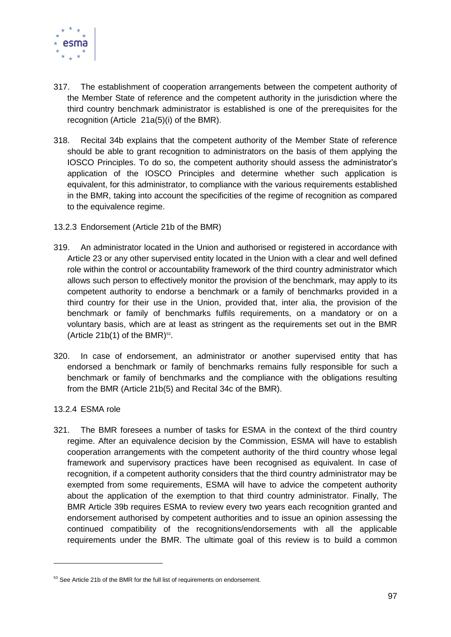

- 317. The establishment of cooperation arrangements between the competent authority of the Member State of reference and the competent authority in the jurisdiction where the third country benchmark administrator is established is one of the prerequisites for the recognition (Article 21a(5)(i) of the BMR).
- 318. Recital 34b explains that the competent authority of the Member State of reference should be able to grant recognition to administrators on the basis of them applying the IOSCO Principles. To do so, the competent authority should assess the administrator's application of the IOSCO Principles and determine whether such application is equivalent, for this administrator, to compliance with the various requirements established in the BMR, taking into account the specificities of the regime of recognition as compared to the equivalence regime.
- 13.2.3 Endorsement (Article 21b of the BMR)
- 319. An administrator located in the Union and authorised or registered in accordance with Article 23 or any other supervised entity located in the Union with a clear and well defined role within the control or accountability framework of the third country administrator which allows such person to effectively monitor the provision of the benchmark, may apply to its competent authority to endorse a benchmark or a family of benchmarks provided in a third country for their use in the Union, provided that, inter alia, the provision of the benchmark or family of benchmarks fulfils requirements, on a mandatory or on a voluntary basis, which are at least as stringent as the requirements set out in the BMR (Article  $21b(1)$  of the BMR)<sup>53</sup>.
- 320. In case of endorsement, an administrator or another supervised entity that has endorsed a benchmark or family of benchmarks remains fully responsible for such a benchmark or family of benchmarks and the compliance with the obligations resulting from the BMR (Article 21b(5) and Recital 34c of the BMR).
- 13.2.4 ESMA role

-

321. The BMR foresees a number of tasks for ESMA in the context of the third country regime. After an equivalence decision by the Commission, ESMA will have to establish cooperation arrangements with the competent authority of the third country whose legal framework and supervisory practices have been recognised as equivalent. In case of recognition, if a competent authority considers that the third country administrator may be exempted from some requirements, ESMA will have to advice the competent authority about the application of the exemption to that third country administrator. Finally, The BMR Article 39b requires ESMA to review every two years each recognition granted and endorsement authorised by competent authorities and to issue an opinion assessing the continued compatibility of the recognitions/endorsements with all the applicable requirements under the BMR. The ultimate goal of this review is to build a common

<sup>&</sup>lt;sup>53</sup> See Article 21b of the BMR for the full list of requirements on endorsement.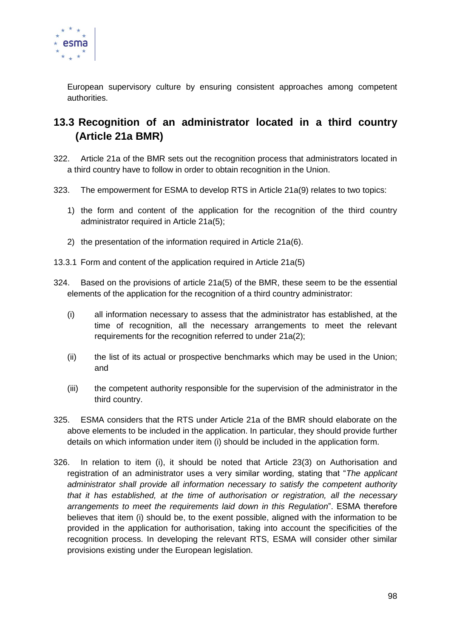

European supervisory culture by ensuring consistent approaches among competent authorities.

## **13.3 Recognition of an administrator located in a third country (Article 21a BMR)**

- 322. Article 21a of the BMR sets out the recognition process that administrators located in a third country have to follow in order to obtain recognition in the Union.
- 323. The empowerment for ESMA to develop RTS in Article 21a(9) relates to two topics:
	- 1) the form and content of the application for the recognition of the third country administrator required in Article 21a(5);
	- 2) the presentation of the information required in Article 21a(6).
- 13.3.1 Form and content of the application required in Article 21a(5)
- 324. Based on the provisions of article 21a(5) of the BMR, these seem to be the essential elements of the application for the recognition of a third country administrator:
	- (i) all information necessary to assess that the administrator has established, at the time of recognition, all the necessary arrangements to meet the relevant requirements for the recognition referred to under 21a(2);
	- (ii) the list of its actual or prospective benchmarks which may be used in the Union; and
	- (iii) the competent authority responsible for the supervision of the administrator in the third country.
- 325. ESMA considers that the RTS under Article 21a of the BMR should elaborate on the above elements to be included in the application. In particular, they should provide further details on which information under item (i) should be included in the application form.
- 326. In relation to item (i), it should be noted that Article 23(3) on Authorisation and registration of an administrator uses a very similar wording, stating that "*The applicant administrator shall provide all information necessary to satisfy the competent authority that it has established, at the time of authorisation or registration, all the necessary arrangements to meet the requirements laid down in this Regulation*". ESMA therefore believes that item (i) should be, to the exent possible, aligned with the information to be provided in the application for authorisation, taking into account the specificities of the recognition process. In developing the relevant RTS, ESMA will consider other similar provisions existing under the European legislation.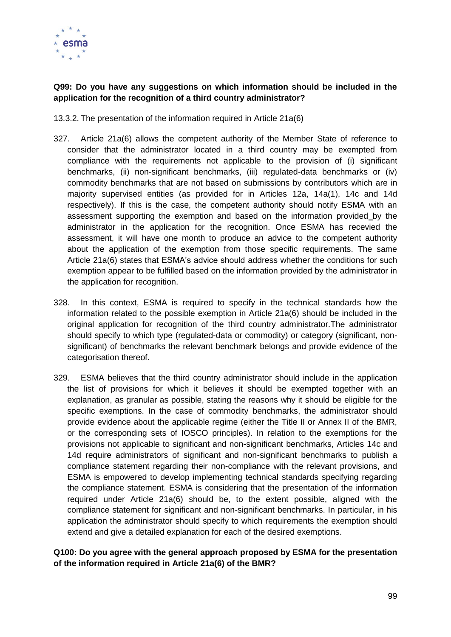

### **Q99: Do you have any suggestions on which information should be included in the application for the recognition of a third country administrator?**

13.3.2. The presentation of the information required in Article 21a(6)

- 327. Article 21a(6) allows the competent authority of the Member State of reference to consider that the administrator located in a third country may be exempted from compliance with the requirements not applicable to the provision of (i) significant benchmarks, (ii) non-significant benchmarks, (iii) regulated-data benchmarks or (iv) commodity benchmarks that are not based on submissions by contributors which are in majority supervised entities (as provided for in Articles 12a, 14a(1), 14c and 14d respectively). If this is the case, the competent authority should notify ESMA with an assessment supporting the exemption and based on the information provided by the administrator in the application for the recognition. Once ESMA has recevied the assessment, it will have one month to produce an advice to the competent authority about the application of the exemption from those specific requirements. The same Article 21a(6) states that ESMA's advice should address whether the conditions for such exemption appear to be fulfilled based on the information provided by the administrator in the application for recognition.
- 328. In this context, ESMA is required to specify in the technical standards how the information related to the possible exemption in Article 21a(6) should be included in the original application for recognition of the third country administrator.The administrator should specify to which type (regulated-data or commodity) or category (significant, nonsignificant) of benchmarks the relevant benchmark belongs and provide evidence of the categorisation thereof.
- 329. ESMA believes that the third country administrator should include in the application the list of provisions for which it believes it should be exempted together with an explanation, as granular as possible, stating the reasons why it should be eligible for the specific exemptions. In the case of commodity benchmarks, the administrator should provide evidence about the applicable regime (either the Title II or Annex II of the BMR, or the corresponding sets of IOSCO principles). In relation to the exemptions for the provisions not applicable to significant and non-significant benchmarks, Articles 14c and 14d require administrators of significant and non-significant benchmarks to publish a compliance statement regarding their non-compliance with the relevant provisions, and ESMA is empowered to develop implementing technical standards specifying regarding the compliance statement. ESMA is considering that the presentation of the information required under Article 21a(6) should be, to the extent possible, aligned with the compliance statement for significant and non-significant benchmarks. In particular, in his application the administrator should specify to which requirements the exemption should extend and give a detailed explanation for each of the desired exemptions.

**Q100: Do you agree with the general approach proposed by ESMA for the presentation of the information required in Article 21a(6) of the BMR?**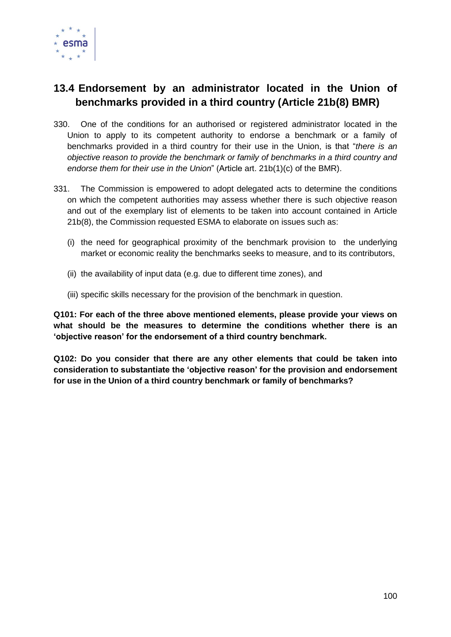

## **13.4 Endorsement by an administrator located in the Union of benchmarks provided in a third country (Article 21b(8) BMR)**

- 330. One of the conditions for an authorised or registered administrator located in the Union to apply to its competent authority to endorse a benchmark or a family of benchmarks provided in a third country for their use in the Union, is that "*there is an objective reason to provide the benchmark or family of benchmarks in a third country and endorse them for their use in the Union*" (Article art. 21b(1)(c) of the BMR).
- 331. The Commission is empowered to adopt delegated acts to determine the conditions on which the competent authorities may assess whether there is such objective reason and out of the exemplary list of elements to be taken into account contained in Article 21b(8), the Commission requested ESMA to elaborate on issues such as:
	- (i) the need for geographical proximity of the benchmark provision to the underlying market or economic reality the benchmarks seeks to measure, and to its contributors,
	- (ii) the availability of input data (e.g. due to different time zones), and
	- (iii) specific skills necessary for the provision of the benchmark in question.

**Q101: For each of the three above mentioned elements, please provide your views on what should be the measures to determine the conditions whether there is an 'objective reason' for the endorsement of a third country benchmark.**

**Q102: Do you consider that there are any other elements that could be taken into consideration to substantiate the 'objective reason' for the provision and endorsement for use in the Union of a third country benchmark or family of benchmarks?**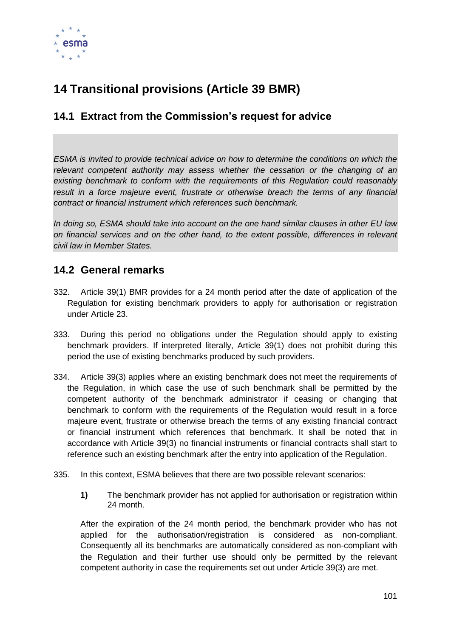

# **14 Transitional provisions (Article 39 BMR)**

## **14.1 Extract from the Commission's request for advice**

*ESMA is invited to provide technical advice on how to determine the conditions on which the relevant competent authority may assess whether the cessation or the changing of an existing benchmark to conform with the requirements of this Regulation could reasonably result in a force majeure event, frustrate or otherwise breach the terms of any financial contract or financial instrument which references such benchmark.*

*In doing so, ESMA should take into account on the one hand similar clauses in other EU law on financial services and on the other hand, to the extent possible, differences in relevant civil law in Member States.*

### **14.2 General remarks**

- 332. Article 39(1) BMR provides for a 24 month period after the date of application of the Regulation for existing benchmark providers to apply for authorisation or registration under Article 23.
- 333. During this period no obligations under the Regulation should apply to existing benchmark providers. If interpreted literally, Article 39(1) does not prohibit during this period the use of existing benchmarks produced by such providers.
- 334. Article 39(3) applies where an existing benchmark does not meet the requirements of the Regulation, in which case the use of such benchmark shall be permitted by the competent authority of the benchmark administrator if ceasing or changing that benchmark to conform with the requirements of the Regulation would result in a force majeure event, frustrate or otherwise breach the terms of any existing financial contract or financial instrument which references that benchmark. It shall be noted that in accordance with Article 39(3) no financial instruments or financial contracts shall start to reference such an existing benchmark after the entry into application of the Regulation.
- 335. In this context, ESMA believes that there are two possible relevant scenarios:
	- **1)** The benchmark provider has not applied for authorisation or registration within 24 month.

After the expiration of the 24 month period, the benchmark provider who has not applied for the authorisation/registration is considered as non-compliant. Consequently all its benchmarks are automatically considered as non-compliant with the Regulation and their further use should only be permitted by the relevant competent authority in case the requirements set out under Article 39(3) are met.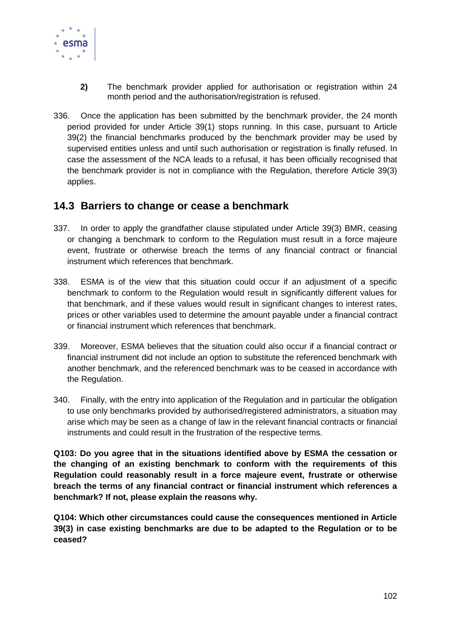

- **2)** The benchmark provider applied for authorisation or registration within 24 month period and the authorisation/registration is refused.
- 336. Once the application has been submitted by the benchmark provider, the 24 month period provided for under Article 39(1) stops running. In this case, pursuant to Article 39(2) the financial benchmarks produced by the benchmark provider may be used by supervised entities unless and until such authorisation or registration is finally refused. In case the assessment of the NCA leads to a refusal, it has been officially recognised that the benchmark provider is not in compliance with the Regulation, therefore Article 39(3) applies.

### **14.3 Barriers to change or cease a benchmark**

- 337. In order to apply the grandfather clause stipulated under Article 39(3) BMR, ceasing or changing a benchmark to conform to the Regulation must result in a force majeure event, frustrate or otherwise breach the terms of any financial contract or financial instrument which references that benchmark.
- 338. ESMA is of the view that this situation could occur if an adjustment of a specific benchmark to conform to the Regulation would result in significantly different values for that benchmark, and if these values would result in significant changes to interest rates, prices or other variables used to determine the amount payable under a financial contract or financial instrument which references that benchmark.
- 339. Moreover, ESMA believes that the situation could also occur if a financial contract or financial instrument did not include an option to substitute the referenced benchmark with another benchmark, and the referenced benchmark was to be ceased in accordance with the Regulation.
- 340. Finally, with the entry into application of the Regulation and in particular the obligation to use only benchmarks provided by authorised/registered administrators, a situation may arise which may be seen as a change of law in the relevant financial contracts or financial instruments and could result in the frustration of the respective terms.

**Q103: Do you agree that in the situations identified above by ESMA the cessation or the changing of an existing benchmark to conform with the requirements of this Regulation could reasonably result in a force majeure event, frustrate or otherwise breach the terms of any financial contract or financial instrument which references a benchmark? If not, please explain the reasons why.**

**Q104: Which other circumstances could cause the consequences mentioned in Article 39(3) in case existing benchmarks are due to be adapted to the Regulation or to be ceased?**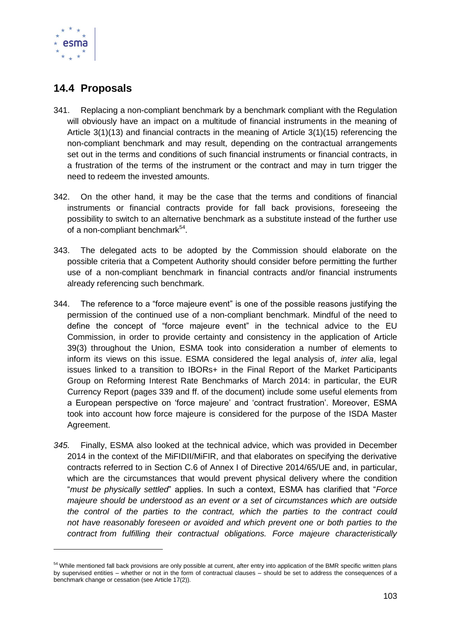

-

## **14.4 Proposals**

- 341. Replacing a non-compliant benchmark by a benchmark compliant with the Regulation will obviously have an impact on a multitude of financial instruments in the meaning of Article 3(1)(13) and financial contracts in the meaning of Article 3(1)(15) referencing the non-compliant benchmark and may result, depending on the contractual arrangements set out in the terms and conditions of such financial instruments or financial contracts, in a frustration of the terms of the instrument or the contract and may in turn trigger the need to redeem the invested amounts.
- 342. On the other hand, it may be the case that the terms and conditions of financial instruments or financial contracts provide for fall back provisions, foreseeing the possibility to switch to an alternative benchmark as a substitute instead of the further use of a non-compliant benchmark<sup>54</sup>.
- 343. The delegated acts to be adopted by the Commission should elaborate on the possible criteria that a Competent Authority should consider before permitting the further use of a non-compliant benchmark in financial contracts and/or financial instruments already referencing such benchmark.
- 344. The reference to a "force majeure event" is one of the possible reasons justifying the permission of the continued use of a non-compliant benchmark. Mindful of the need to define the concept of "force majeure event" in the technical advice to the EU Commission, in order to provide certainty and consistency in the application of Article 39(3) throughout the Union, ESMA took into consideration a number of elements to inform its views on this issue. ESMA considered the legal analysis of, *inter alia*, legal issues linked to a transition to IBORs+ in the Final Report of the Market Participants Group on Reforming Interest Rate Benchmarks of March 2014: in particular, the EUR Currency Report (pages 339 and ff. of the document) include some useful elements from a European perspective on 'force majeure' and 'contract frustration'. Moreover, ESMA took into account how force majeure is considered for the purpose of the ISDA Master Agreement.
- *345.* Finally, ESMA also looked at the technical advice, which was provided in December 2014 in the context of the MiFIDII/MiFIR, and that elaborates on specifying the derivative contracts referred to in Section C.6 of Annex I of Directive 2014/65/UE and, in particular, which are the circumstances that would prevent physical delivery where the condition "*must be physically settled*" applies. In such a context, ESMA has clarified that "*Force majeure should be understood as an event or a set of circumstances which are outside the control of the parties to the contract, which the parties to the contract could not have reasonably foreseen or avoided and which prevent one or both parties to the contract from fulfilling their contractual obligations. Force majeure characteristically*

<sup>&</sup>lt;sup>54</sup> While mentioned fall back provisions are only possible at current, after entry into application of the BMR specific written plans by supervised entities – whether or not in the form of contractual clauses – should be set to address the consequences of a benchmark change or cessation (see Article 17(2)).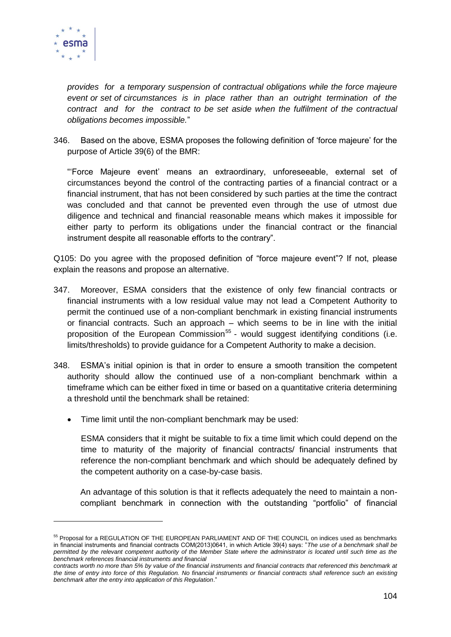

-

*provides for a temporary suspension of contractual obligations while the force majeure event or set of circumstances is in place rather than an outright termination of the contract and for the contract to be set aside when the fulfilment of the contractual obligations becomes impossible.*"

346. Based on the above, ESMA proposes the following definition of 'force majeure' for the purpose of Article 39(6) of the BMR:

"'Force Majeure event' means an extraordinary, unforeseeable, external set of circumstances beyond the control of the contracting parties of a financial contract or a financial instrument, that has not been considered by such parties at the time the contract was concluded and that cannot be prevented even through the use of utmost due diligence and technical and financial reasonable means which makes it impossible for either party to perform its obligations under the financial contract or the financial instrument despite all reasonable efforts to the contrary".

Q105: Do you agree with the proposed definition of "force majeure event"? If not, please explain the reasons and propose an alternative.

- 347. Moreover, ESMA considers that the existence of only few financial contracts or financial instruments with a low residual value may not lead a Competent Authority to permit the continued use of a non-compliant benchmark in existing financial instruments or financial contracts. Such an approach – which seems to be in line with the initial proposition of the European Commission<sup>55</sup> - would suggest identifying conditions (i.e. limits/thresholds) to provide guidance for a Competent Authority to make a decision.
- 348. ESMA's initial opinion is that in order to ensure a smooth transition the competent authority should allow the continued use of a non-compliant benchmark within a timeframe which can be either fixed in time or based on a quantitative criteria determining a threshold until the benchmark shall be retained:
	- Time limit until the non-compliant benchmark may be used:

ESMA considers that it might be suitable to fix a time limit which could depend on the time to maturity of the majority of financial contracts/ financial instruments that reference the non-compliant benchmark and which should be adequately defined by the competent authority on a case-by-case basis.

An advantage of this solution is that it reflects adequately the need to maintain a noncompliant benchmark in connection with the outstanding "portfolio" of financial

<sup>&</sup>lt;sup>55</sup> Proposal for a REGULATION OF THE EUROPEAN PARLIAMENT AND OF THE COUNCIL on indices used as benchmarks in financial instruments and financial contracts COM(2013)0641, in which Article 39(4) says: "*The use of a benchmark shall be*  permitted by the relevant competent authority of the Member State where the administrator is located until such time as the *benchmark references financial instruments and financial* 

*contracts worth no more than 5% by value of the financial instruments and financial contracts that referenced this benchmark at the time of entry into force of this Regulation. No financial instruments or financial contracts shall reference such an existing benchmark after the entry into application of this Regulation*."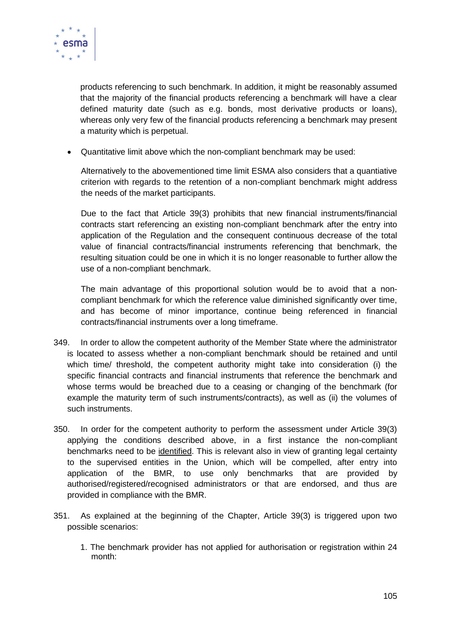

products referencing to such benchmark. In addition, it might be reasonably assumed that the majority of the financial products referencing a benchmark will have a clear defined maturity date (such as e.g. bonds, most derivative products or loans), whereas only very few of the financial products referencing a benchmark may present a maturity which is perpetual.

Quantitative limit above which the non-compliant benchmark may be used:

Alternatively to the abovementioned time limit ESMA also considers that a quantiative criterion with regards to the retention of a non-compliant benchmark might address the needs of the market participants.

Due to the fact that Article 39(3) prohibits that new financial instruments/financial contracts start referencing an existing non-compliant benchmark after the entry into application of the Regulation and the consequent continuous decrease of the total value of financial contracts/financial instruments referencing that benchmark, the resulting situation could be one in which it is no longer reasonable to further allow the use of a non-compliant benchmark.

The main advantage of this proportional solution would be to avoid that a noncompliant benchmark for which the reference value diminished significantly over time, and has become of minor importance, continue being referenced in financial contracts/financial instruments over a long timeframe.

- 349. In order to allow the competent authority of the Member State where the administrator is located to assess whether a non-compliant benchmark should be retained and until which time/ threshold, the competent authority might take into consideration (i) the specific financial contracts and financial instruments that reference the benchmark and whose terms would be breached due to a ceasing or changing of the benchmark (for example the maturity term of such instruments/contracts), as well as (ii) the volumes of such instruments.
- 350. In order for the competent authority to perform the assessment under Article 39(3) applying the conditions described above, in a first instance the non-compliant benchmarks need to be identified. This is relevant also in view of granting legal certainty to the supervised entities in the Union, which will be compelled, after entry into application of the BMR, to use only benchmarks that are provided by authorised/registered/recognised administrators or that are endorsed, and thus are provided in compliance with the BMR.
- 351. As explained at the beginning of the Chapter, Article 39(3) is triggered upon two possible scenarios:
	- 1. The benchmark provider has not applied for authorisation or registration within 24 month: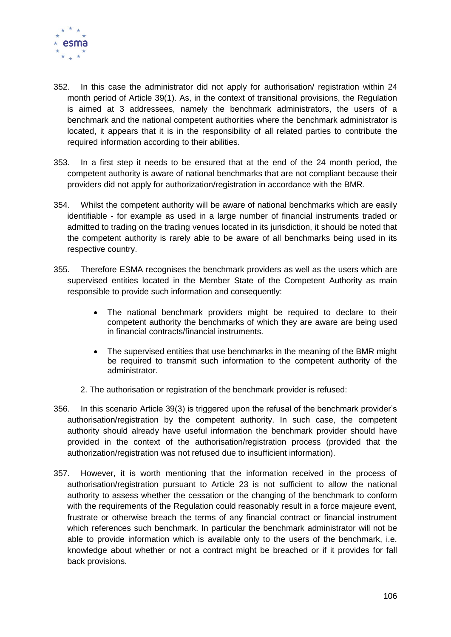

- 352. In this case the administrator did not apply for authorisation/ registration within 24 month period of Article 39(1). As, in the context of transitional provisions, the Regulation is aimed at 3 addressees, namely the benchmark administrators, the users of a benchmark and the national competent authorities where the benchmark administrator is located, it appears that it is in the responsibility of all related parties to contribute the required information according to their abilities.
- 353. In a first step it needs to be ensured that at the end of the 24 month period, the competent authority is aware of national benchmarks that are not compliant because their providers did not apply for authorization/registration in accordance with the BMR.
- 354. Whilst the competent authority will be aware of national benchmarks which are easily identifiable - for example as used in a large number of financial instruments traded or admitted to trading on the trading venues located in its jurisdiction, it should be noted that the competent authority is rarely able to be aware of all benchmarks being used in its respective country.
- 355. Therefore ESMA recognises the benchmark providers as well as the users which are supervised entities located in the Member State of the Competent Authority as main responsible to provide such information and consequently:
	- The national benchmark providers might be required to declare to their competent authority the benchmarks of which they are aware are being used in financial contracts/financial instruments.
	- The supervised entities that use benchmarks in the meaning of the BMR might be required to transmit such information to the competent authority of the administrator.
	- 2. The authorisation or registration of the benchmark provider is refused:
- 356. In this scenario Article 39(3) is triggered upon the refusal of the benchmark provider's authorisation/registration by the competent authority. In such case, the competent authority should already have useful information the benchmark provider should have provided in the context of the authorisation/registration process (provided that the authorization/registration was not refused due to insufficient information).
- 357. However, it is worth mentioning that the information received in the process of authorisation/registration pursuant to Article 23 is not sufficient to allow the national authority to assess whether the cessation or the changing of the benchmark to conform with the requirements of the Regulation could reasonably result in a force majeure event, frustrate or otherwise breach the terms of any financial contract or financial instrument which references such benchmark. In particular the benchmark administrator will not be able to provide information which is available only to the users of the benchmark, i.e. knowledge about whether or not a contract might be breached or if it provides for fall back provisions.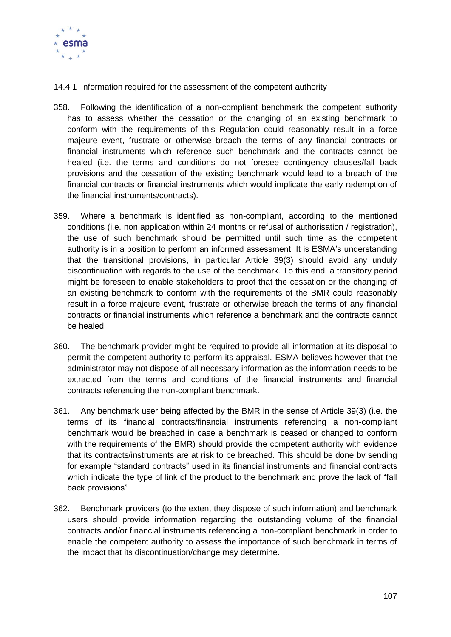

14.4.1 Information required for the assessment of the competent authority

- 358. Following the identification of a non-compliant benchmark the competent authority has to assess whether the cessation or the changing of an existing benchmark to conform with the requirements of this Regulation could reasonably result in a force majeure event, frustrate or otherwise breach the terms of any financial contracts or financial instruments which reference such benchmark and the contracts cannot be healed (i.e. the terms and conditions do not foresee contingency clauses/fall back provisions and the cessation of the existing benchmark would lead to a breach of the financial contracts or financial instruments which would implicate the early redemption of the financial instruments/contracts).
- 359. Where a benchmark is identified as non-compliant, according to the mentioned conditions (i.e. non application within 24 months or refusal of authorisation / registration), the use of such benchmark should be permitted until such time as the competent authority is in a position to perform an informed assessment. It is ESMA's understanding that the transitional provisions, in particular Article 39(3) should avoid any unduly discontinuation with regards to the use of the benchmark. To this end, a transitory period might be foreseen to enable stakeholders to proof that the cessation or the changing of an existing benchmark to conform with the requirements of the BMR could reasonably result in a force majeure event, frustrate or otherwise breach the terms of any financial contracts or financial instruments which reference a benchmark and the contracts cannot be healed.
- 360. The benchmark provider might be required to provide all information at its disposal to permit the competent authority to perform its appraisal. ESMA believes however that the administrator may not dispose of all necessary information as the information needs to be extracted from the terms and conditions of the financial instruments and financial contracts referencing the non-compliant benchmark.
- 361. Any benchmark user being affected by the BMR in the sense of Article 39(3) (i.e. the terms of its financial contracts/financial instruments referencing a non-compliant benchmark would be breached in case a benchmark is ceased or changed to conform with the requirements of the BMR) should provide the competent authority with evidence that its contracts/instruments are at risk to be breached. This should be done by sending for example "standard contracts" used in its financial instruments and financial contracts which indicate the type of link of the product to the benchmark and prove the lack of "fall back provisions".
- 362. Benchmark providers (to the extent they dispose of such information) and benchmark users should provide information regarding the outstanding volume of the financial contracts and/or financial instruments referencing a non-compliant benchmark in order to enable the competent authority to assess the importance of such benchmark in terms of the impact that its discontinuation/change may determine.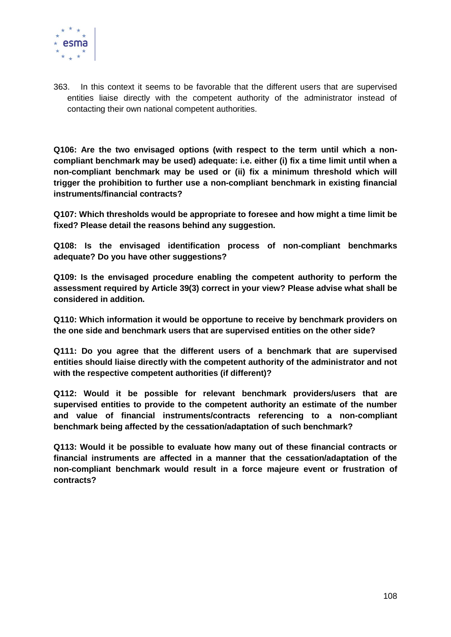

363. In this context it seems to be favorable that the different users that are supervised entities liaise directly with the competent authority of the administrator instead of contacting their own national competent authorities.

**Q106: Are the two envisaged options (with respect to the term until which a noncompliant benchmark may be used) adequate: i.e. either (i) fix a time limit until when a non-compliant benchmark may be used or (ii) fix a minimum threshold which will trigger the prohibition to further use a non-compliant benchmark in existing financial instruments/financial contracts?** 

**Q107: Which thresholds would be appropriate to foresee and how might a time limit be fixed? Please detail the reasons behind any suggestion.**

**Q108: Is the envisaged identification process of non-compliant benchmarks adequate? Do you have other suggestions?**

**Q109: Is the envisaged procedure enabling the competent authority to perform the assessment required by Article 39(3) correct in your view? Please advise what shall be considered in addition.**

**Q110: Which information it would be opportune to receive by benchmark providers on the one side and benchmark users that are supervised entities on the other side?**

**Q111: Do you agree that the different users of a benchmark that are supervised entities should liaise directly with the competent authority of the administrator and not with the respective competent authorities (if different)?** 

**Q112: Would it be possible for relevant benchmark providers/users that are supervised entities to provide to the competent authority an estimate of the number and value of financial instruments/contracts referencing to a non-compliant benchmark being affected by the cessation/adaptation of such benchmark?**

**Q113: Would it be possible to evaluate how many out of these financial contracts or financial instruments are affected in a manner that the cessation/adaptation of the non-compliant benchmark would result in a force majeure event or frustration of contracts?**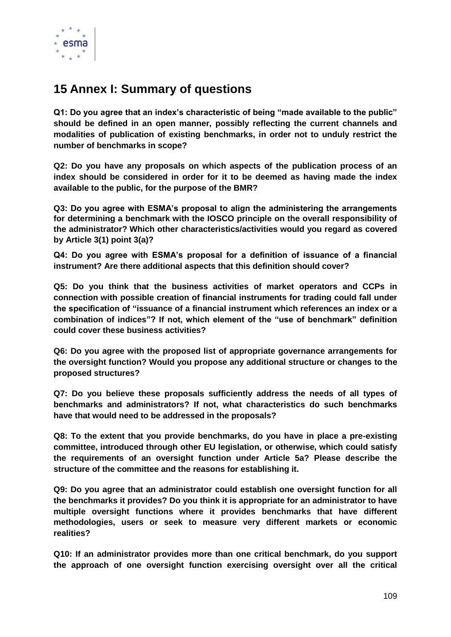

## **15 Annex I: Summary of questions**

**Q1: Do you agree that an index's characteristic of being "made available to the public" should be defined in an open manner, possibly reflecting the current channels and modalities of publication of existing benchmarks, in order not to unduly restrict the number of benchmarks in scope?**

**Q2: Do you have any proposals on which aspects of the publication process of an index should be considered in order for it to be deemed as having made the index available to the public, for the purpose of the BMR?**

**Q3: Do you agree with ESMA's proposal to align the administering the arrangements for determining a benchmark with the IOSCO principle on the overall responsibility of the administrator? Which other characteristics/activities would you regard as covered by Article 3(1) point 3(a)?**

**Q4: Do you agree with ESMA's proposal for a definition of issuance of a financial instrument? Are there additional aspects that this definition should cover?**

**Q5: Do you think that the business activities of market operators and CCPs in connection with possible creation of financial instruments for trading could fall under the specification of "issuance of a financial instrument which references an index or a combination of indices"? If not, which element of the "use of benchmark" definition could cover these business activities?** 

**Q6: Do you agree with the proposed list of appropriate governance arrangements for the oversight function? Would you propose any additional structure or changes to the proposed structures?**

**Q7: Do you believe these proposals sufficiently address the needs of all types of benchmarks and administrators? If not, what characteristics do such benchmarks have that would need to be addressed in the proposals?**

**Q8: To the extent that you provide benchmarks, do you have in place a pre-existing committee, introduced through other EU legislation, or otherwise, which could satisfy the requirements of an oversight function under Article 5a? Please describe the structure of the committee and the reasons for establishing it.** 

**Q9: Do you agree that an administrator could establish one oversight function for all the benchmarks it provides? Do you think it is appropriate for an administrator to have multiple oversight functions where it provides benchmarks that have different methodologies, users or seek to measure very different markets or economic realities?**

**Q10: If an administrator provides more than one critical benchmark, do you support the approach of one oversight function exercising oversight over all the critical**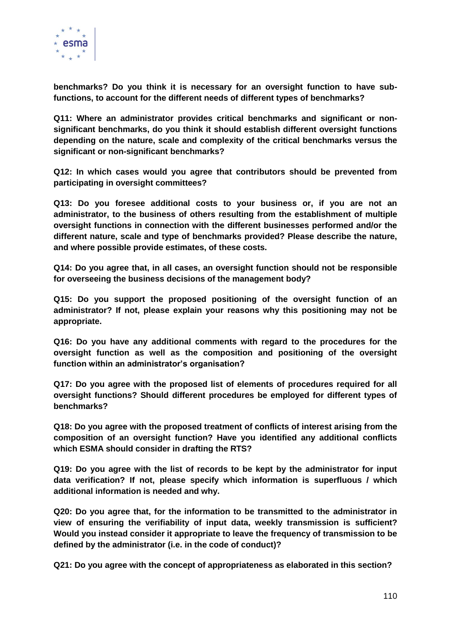

**benchmarks? Do you think it is necessary for an oversight function to have subfunctions, to account for the different needs of different types of benchmarks?** 

**Q11: Where an administrator provides critical benchmarks and significant or nonsignificant benchmarks, do you think it should establish different oversight functions depending on the nature, scale and complexity of the critical benchmarks versus the significant or non-significant benchmarks?** 

**Q12: In which cases would you agree that contributors should be prevented from participating in oversight committees?** 

**Q13: Do you foresee additional costs to your business or, if you are not an administrator, to the business of others resulting from the establishment of multiple oversight functions in connection with the different businesses performed and/or the different nature, scale and type of benchmarks provided? Please describe the nature, and where possible provide estimates, of these costs.**

**Q14: Do you agree that, in all cases, an oversight function should not be responsible for overseeing the business decisions of the management body?** 

**Q15: Do you support the proposed positioning of the oversight function of an administrator? If not, please explain your reasons why this positioning may not be appropriate.**

**Q16: Do you have any additional comments with regard to the procedures for the oversight function as well as the composition and positioning of the oversight function within an administrator's organisation?**

**Q17: Do you agree with the proposed list of elements of procedures required for all oversight functions? Should different procedures be employed for different types of benchmarks?**

**Q18: Do you agree with the proposed treatment of conflicts of interest arising from the composition of an oversight function? Have you identified any additional conflicts which ESMA should consider in drafting the RTS?**

**Q19: Do you agree with the list of records to be kept by the administrator for input data verification? If not, please specify which information is superfluous / which additional information is needed and why.**

**Q20: Do you agree that, for the information to be transmitted to the administrator in view of ensuring the verifiability of input data, weekly transmission is sufficient? Would you instead consider it appropriate to leave the frequency of transmission to be defined by the administrator (i.e. in the code of conduct)?**

**Q21: Do you agree with the concept of appropriateness as elaborated in this section?**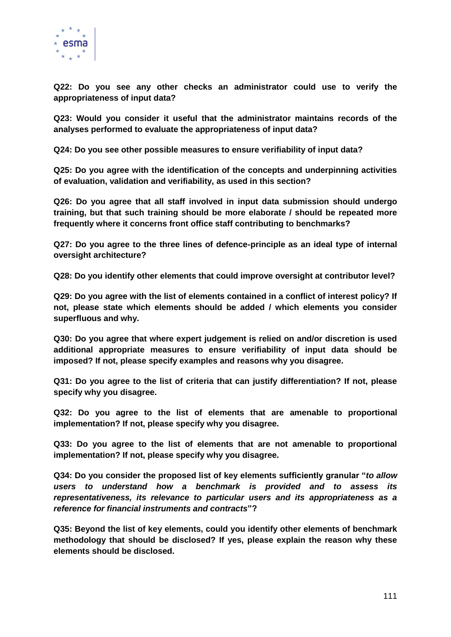

**Q22: Do you see any other checks an administrator could use to verify the appropriateness of input data?**

**Q23: Would you consider it useful that the administrator maintains records of the analyses performed to evaluate the appropriateness of input data?**

**Q24: Do you see other possible measures to ensure verifiability of input data?**

**Q25: Do you agree with the identification of the concepts and underpinning activities of evaluation, validation and verifiability, as used in this section?**

**Q26: Do you agree that all staff involved in input data submission should undergo training, but that such training should be more elaborate / should be repeated more frequently where it concerns front office staff contributing to benchmarks?**

**Q27: Do you agree to the three lines of defence-principle as an ideal type of internal oversight architecture?**

**Q28: Do you identify other elements that could improve oversight at contributor level?**

**Q29: Do you agree with the list of elements contained in a conflict of interest policy? If not, please state which elements should be added / which elements you consider superfluous and why.**

**Q30: Do you agree that where expert judgement is relied on and/or discretion is used additional appropriate measures to ensure verifiability of input data should be imposed? If not, please specify examples and reasons why you disagree.**

**Q31: Do you agree to the list of criteria that can justify differentiation? If not, please specify why you disagree.** 

**Q32: Do you agree to the list of elements that are amenable to proportional implementation? If not, please specify why you disagree.**

**Q33: Do you agree to the list of elements that are not amenable to proportional implementation? If not, please specify why you disagree.**

**Q34: Do you consider the proposed list of key elements sufficiently granular "***to allow users to understand how a benchmark is provided and to assess its representativeness, its relevance to particular users and its appropriateness as a reference for financial instruments and contracts***"?**

**Q35: Beyond the list of key elements, could you identify other elements of benchmark methodology that should be disclosed? If yes, please explain the reason why these elements should be disclosed.**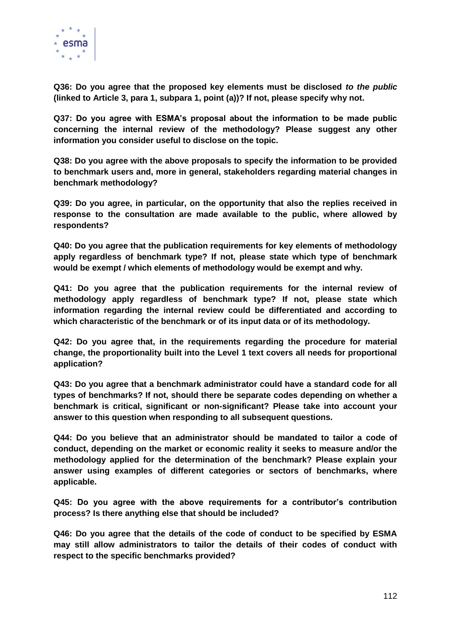

**Q36: Do you agree that the proposed key elements must be disclosed** *to the public* **(linked to Article 3, para 1, subpara 1, point (a))? If not, please specify why not.**

**Q37: Do you agree with ESMA's proposal about the information to be made public concerning the internal review of the methodology? Please suggest any other information you consider useful to disclose on the topic.**

**Q38: Do you agree with the above proposals to specify the information to be provided to benchmark users and, more in general, stakeholders regarding material changes in benchmark methodology?**

**Q39: Do you agree, in particular, on the opportunity that also the replies received in response to the consultation are made available to the public, where allowed by respondents?** 

**Q40: Do you agree that the publication requirements for key elements of methodology apply regardless of benchmark type? If not, please state which type of benchmark would be exempt / which elements of methodology would be exempt and why.**

**Q41: Do you agree that the publication requirements for the internal review of methodology apply regardless of benchmark type? If not, please state which information regarding the internal review could be differentiated and according to which characteristic of the benchmark or of its input data or of its methodology.**

**Q42: Do you agree that, in the requirements regarding the procedure for material change, the proportionality built into the Level 1 text covers all needs for proportional application?**

**Q43: Do you agree that a benchmark administrator could have a standard code for all types of benchmarks? If not, should there be separate codes depending on whether a benchmark is critical, significant or non-significant? Please take into account your answer to this question when responding to all subsequent questions.**

**Q44: Do you believe that an administrator should be mandated to tailor a code of conduct, depending on the market or economic reality it seeks to measure and/or the methodology applied for the determination of the benchmark? Please explain your answer using examples of different categories or sectors of benchmarks, where applicable.**

**Q45: Do you agree with the above requirements for a contributor's contribution process? Is there anything else that should be included?**

**Q46: Do you agree that the details of the code of conduct to be specified by ESMA may still allow administrators to tailor the details of their codes of conduct with respect to the specific benchmarks provided?**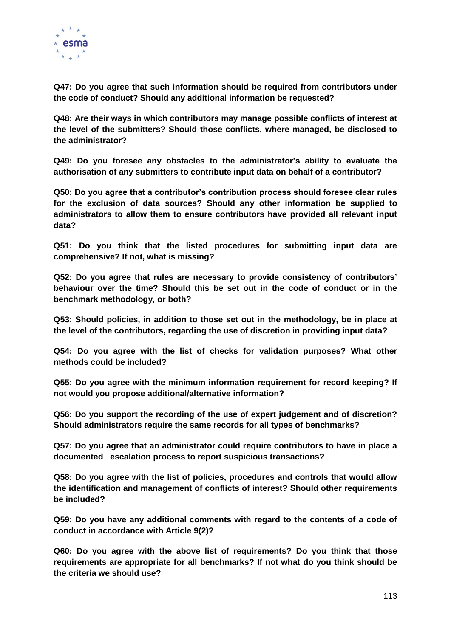

**Q47: Do you agree that such information should be required from contributors under the code of conduct? Should any additional information be requested?**

**Q48: Are their ways in which contributors may manage possible conflicts of interest at the level of the submitters? Should those conflicts, where managed, be disclosed to the administrator?**

**Q49: Do you foresee any obstacles to the administrator's ability to evaluate the authorisation of any submitters to contribute input data on behalf of a contributor?**

**Q50: Do you agree that a contributor's contribution process should foresee clear rules for the exclusion of data sources? Should any other information be supplied to administrators to allow them to ensure contributors have provided all relevant input data?**

**Q51: Do you think that the listed procedures for submitting input data are comprehensive? If not, what is missing?**

**Q52: Do you agree that rules are necessary to provide consistency of contributors' behaviour over the time? Should this be set out in the code of conduct or in the benchmark methodology, or both?**

**Q53: Should policies, in addition to those set out in the methodology, be in place at the level of the contributors, regarding the use of discretion in providing input data?** 

**Q54: Do you agree with the list of checks for validation purposes? What other methods could be included?** 

**Q55: Do you agree with the minimum information requirement for record keeping? If not would you propose additional/alternative information?**

**Q56: Do you support the recording of the use of expert judgement and of discretion? Should administrators require the same records for all types of benchmarks?**

**Q57: Do you agree that an administrator could require contributors to have in place a documented escalation process to report suspicious transactions?** 

**Q58: Do you agree with the list of policies, procedures and controls that would allow the identification and management of conflicts of interest? Should other requirements be included?**

**Q59: Do you have any additional comments with regard to the contents of a code of conduct in accordance with Article 9(2)?**

**Q60: Do you agree with the above list of requirements? Do you think that those requirements are appropriate for all benchmarks? If not what do you think should be the criteria we should use?**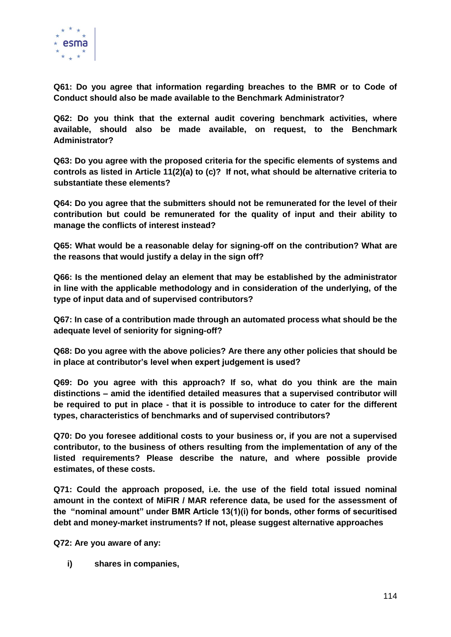

**Q61: Do you agree that information regarding breaches to the BMR or to Code of Conduct should also be made available to the Benchmark Administrator?** 

**Q62: Do you think that the external audit covering benchmark activities, where available, should also be made available, on request, to the Benchmark Administrator?**

**Q63: Do you agree with the proposed criteria for the specific elements of systems and controls as listed in Article 11(2)(a) to (c)? If not, what should be alternative criteria to substantiate these elements?** 

**Q64: Do you agree that the submitters should not be remunerated for the level of their contribution but could be remunerated for the quality of input and their ability to manage the conflicts of interest instead?**

**Q65: What would be a reasonable delay for signing-off on the contribution? What are the reasons that would justify a delay in the sign off?**

**Q66: Is the mentioned delay an element that may be established by the administrator in line with the applicable methodology and in consideration of the underlying, of the type of input data and of supervised contributors?**

**Q67: In case of a contribution made through an automated process what should be the adequate level of seniority for signing-off?** 

**Q68: Do you agree with the above policies? Are there any other policies that should be in place at contributor's level when expert judgement is used?** 

**Q69: Do you agree with this approach? If so, what do you think are the main distinctions – amid the identified detailed measures that a supervised contributor will be required to put in place - that it is possible to introduce to cater for the different types, characteristics of benchmarks and of supervised contributors?**

**Q70: Do you foresee additional costs to your business or, if you are not a supervised contributor, to the business of others resulting from the implementation of any of the listed requirements? Please describe the nature, and where possible provide estimates, of these costs.**

**Q71: Could the approach proposed, i.e. the use of the field total issued nominal amount in the context of MiFIR / MAR reference data, be used for the assessment of the "nominal amount" under BMR Article 13(1)(i) for bonds, other forms of securitised debt and money-market instruments? If not, please suggest alternative approaches**

**Q72: Are you aware of any:**

**i) shares in companies,**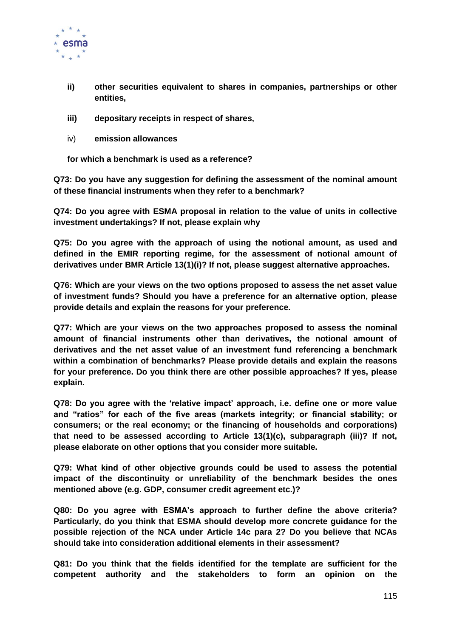

- **ii) other securities equivalent to shares in companies, partnerships or other entities,**
- **iii) depositary receipts in respect of shares,**
- iv) **emission allowances**

**for which a benchmark is used as a reference?** 

**Q73: Do you have any suggestion for defining the assessment of the nominal amount of these financial instruments when they refer to a benchmark?**

**Q74: Do you agree with ESMA proposal in relation to the value of units in collective investment undertakings? If not, please explain why**

**Q75: Do you agree with the approach of using the notional amount, as used and defined in the EMIR reporting regime, for the assessment of notional amount of derivatives under BMR Article 13(1)(i)? If not, please suggest alternative approaches.**

**Q76: Which are your views on the two options proposed to assess the net asset value of investment funds? Should you have a preference for an alternative option, please provide details and explain the reasons for your preference.**

**Q77: Which are your views on the two approaches proposed to assess the nominal amount of financial instruments other than derivatives, the notional amount of derivatives and the net asset value of an investment fund referencing a benchmark within a combination of benchmarks? Please provide details and explain the reasons for your preference. Do you think there are other possible approaches? If yes, please explain.**

**Q78: Do you agree with the 'relative impact' approach, i.e. define one or more value and "ratios" for each of the five areas (markets integrity; or financial stability; or consumers; or the real economy; or the financing of households and corporations) that need to be assessed according to Article 13(1)(c), subparagraph (iii)? If not, please elaborate on other options that you consider more suitable.**

**Q79: What kind of other objective grounds could be used to assess the potential impact of the discontinuity or unreliability of the benchmark besides the ones mentioned above (e.g. GDP, consumer credit agreement etc.)?** 

**Q80: Do you agree with ESMA's approach to further define the above criteria? Particularly, do you think that ESMA should develop more concrete guidance for the possible rejection of the NCA under Article 14c para 2? Do you believe that NCAs should take into consideration additional elements in their assessment?**

**Q81: Do you think that the fields identified for the template are sufficient for the competent authority and the stakeholders to form an opinion on the**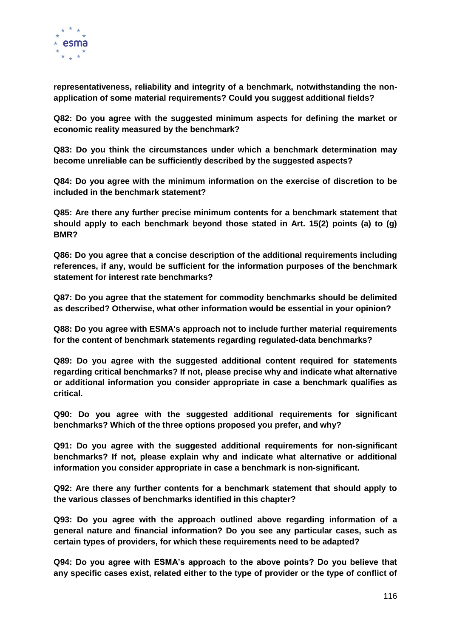

**representativeness, reliability and integrity of a benchmark, notwithstanding the nonapplication of some material requirements? Could you suggest additional fields?**

**Q82: Do you agree with the suggested minimum aspects for defining the market or economic reality measured by the benchmark?**

**Q83: Do you think the circumstances under which a benchmark determination may become unreliable can be sufficiently described by the suggested aspects?**

**Q84: Do you agree with the minimum information on the exercise of discretion to be included in the benchmark statement?**

**Q85: Are there any further precise minimum contents for a benchmark statement that should apply to each benchmark beyond those stated in Art. 15(2) points (a) to (g) BMR?**

**Q86: Do you agree that a concise description of the additional requirements including references, if any, would be sufficient for the information purposes of the benchmark statement for interest rate benchmarks?**

**Q87: Do you agree that the statement for commodity benchmarks should be delimited as described? Otherwise, what other information would be essential in your opinion?**

**Q88: Do you agree with ESMA's approach not to include further material requirements for the content of benchmark statements regarding regulated-data benchmarks?**

**Q89: Do you agree with the suggested additional content required for statements regarding critical benchmarks? If not, please precise why and indicate what alternative or additional information you consider appropriate in case a benchmark qualifies as critical.**

**Q90: Do you agree with the suggested additional requirements for significant benchmarks? Which of the three options proposed you prefer, and why?**

**Q91: Do you agree with the suggested additional requirements for non-significant benchmarks? If not, please explain why and indicate what alternative or additional information you consider appropriate in case a benchmark is non-significant.** 

**Q92: Are there any further contents for a benchmark statement that should apply to the various classes of benchmarks identified in this chapter?**

**Q93: Do you agree with the approach outlined above regarding information of a general nature and financial information? Do you see any particular cases, such as certain types of providers, for which these requirements need to be adapted?**

**Q94: Do you agree with ESMA's approach to the above points? Do you believe that any specific cases exist, related either to the type of provider or the type of conflict of**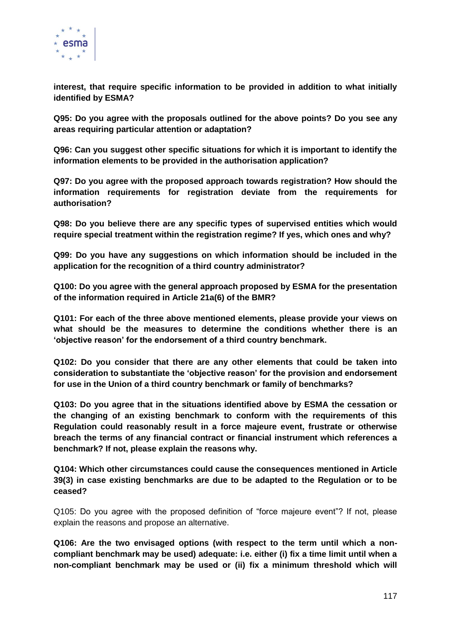

**interest, that require specific information to be provided in addition to what initially identified by ESMA?**

**Q95: Do you agree with the proposals outlined for the above points? Do you see any areas requiring particular attention or adaptation?**

**Q96: Can you suggest other specific situations for which it is important to identify the information elements to be provided in the authorisation application?**

**Q97: Do you agree with the proposed approach towards registration? How should the information requirements for registration deviate from the requirements for authorisation?** 

**Q98: Do you believe there are any specific types of supervised entities which would require special treatment within the registration regime? If yes, which ones and why?**

**Q99: Do you have any suggestions on which information should be included in the application for the recognition of a third country administrator?**

**Q100: Do you agree with the general approach proposed by ESMA for the presentation of the information required in Article 21a(6) of the BMR?**

**Q101: For each of the three above mentioned elements, please provide your views on what should be the measures to determine the conditions whether there is an 'objective reason' for the endorsement of a third country benchmark.** 

**Q102: Do you consider that there are any other elements that could be taken into consideration to substantiate the 'objective reason' for the provision and endorsement for use in the Union of a third country benchmark or family of benchmarks?** 

**Q103: Do you agree that in the situations identified above by ESMA the cessation or the changing of an existing benchmark to conform with the requirements of this Regulation could reasonably result in a force majeure event, frustrate or otherwise breach the terms of any financial contract or financial instrument which references a benchmark? If not, please explain the reasons why.**

**Q104: Which other circumstances could cause the consequences mentioned in Article 39(3) in case existing benchmarks are due to be adapted to the Regulation or to be ceased?**

Q105: Do you agree with the proposed definition of "force majeure event"? If not, please explain the reasons and propose an alternative.

**Q106: Are the two envisaged options (with respect to the term until which a noncompliant benchmark may be used) adequate: i.e. either (i) fix a time limit until when a non-compliant benchmark may be used or (ii) fix a minimum threshold which will**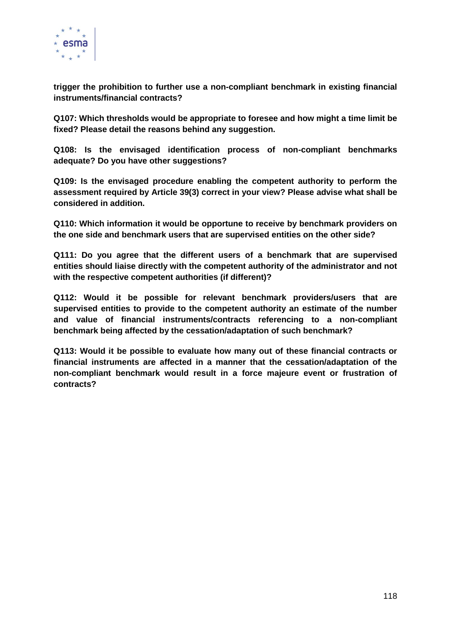

**trigger the prohibition to further use a non-compliant benchmark in existing financial instruments/financial contracts?** 

**Q107: Which thresholds would be appropriate to foresee and how might a time limit be fixed? Please detail the reasons behind any suggestion.**

**Q108: Is the envisaged identification process of non-compliant benchmarks adequate? Do you have other suggestions?**

**Q109: Is the envisaged procedure enabling the competent authority to perform the assessment required by Article 39(3) correct in your view? Please advise what shall be considered in addition.**

**Q110: Which information it would be opportune to receive by benchmark providers on the one side and benchmark users that are supervised entities on the other side?**

**Q111: Do you agree that the different users of a benchmark that are supervised entities should liaise directly with the competent authority of the administrator and not with the respective competent authorities (if different)?** 

**Q112: Would it be possible for relevant benchmark providers/users that are supervised entities to provide to the competent authority an estimate of the number and value of financial instruments/contracts referencing to a non-compliant benchmark being affected by the cessation/adaptation of such benchmark?**

**Q113: Would it be possible to evaluate how many out of these financial contracts or financial instruments are affected in a manner that the cessation/adaptation of the non-compliant benchmark would result in a force majeure event or frustration of contracts?**